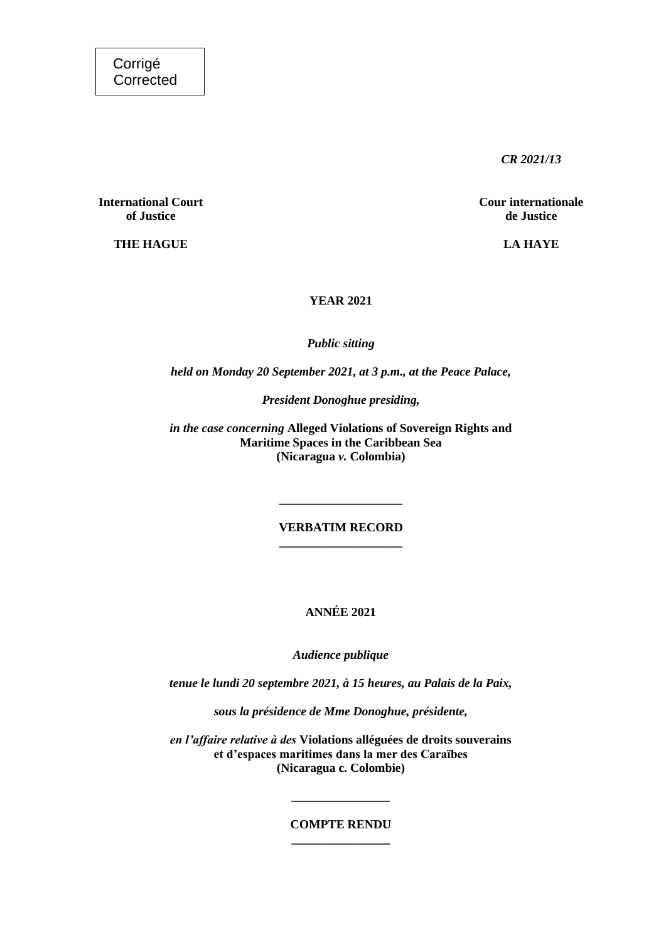Corrigé **Corrected** 

*CR 2021/13*

**International Court**<br> **Cour internationale**<br> **Cour internationale**<br> **Cour internationale**<br> **Cour internationale** 

**YEAR 2021**

*Public sitting*

*held on Monday 20 September 2021, at 3 p.m., at the Peace Palace,*

*President Donoghue presiding,*

*in the case concerning* **Alleged Violations of Sovereign Rights and Maritime Spaces in the Caribbean Sea (Nicaragua** *v.* **Colombia)**

# **VERBATIM RECORD \_\_\_\_\_\_\_\_\_\_\_\_\_\_\_\_\_\_\_\_**

**\_\_\_\_\_\_\_\_\_\_\_\_\_\_\_\_\_\_\_\_**

**ANNÉE 2021**

*Audience publique*

*tenue le lundi 20 septembre 2021, à 15 heures, au Palais de la Paix,*

*sous la présidence de Mme Donoghue, présidente,*

*en l'affaire relative à des* **Violations alléguées de droits souverains et d'espaces maritimes dans la mer des Caraïbes (Nicaragua c. Colombie)**

# **COMPTE RENDU \_\_\_\_\_\_\_\_\_\_\_\_\_\_\_\_**

**\_\_\_\_\_\_\_\_\_\_\_\_\_\_\_\_**

**of Justice de Justice**

**THE HAGUE LA HAYE**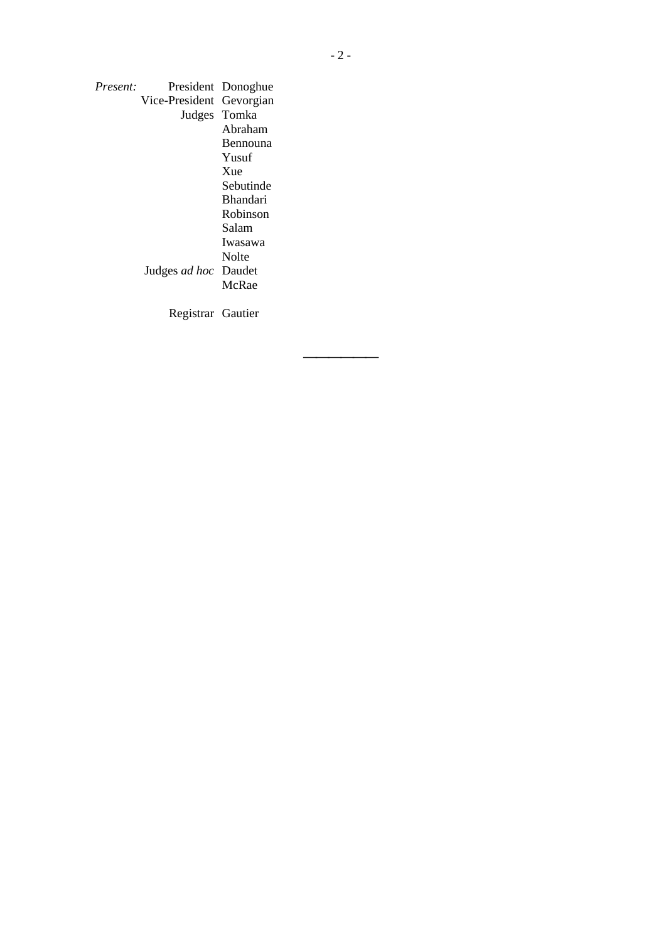| Present: | Vice-President              | President Donoghue<br>Gevorgian |
|----------|-----------------------------|---------------------------------|
|          |                             | Judges Tomka<br>Abraham         |
|          |                             | Bennouna                        |
|          |                             |                                 |
|          |                             | Yusuf                           |
|          |                             | Xue                             |
|          |                             | Sebutinde                       |
|          |                             | <b>Bhandari</b>                 |
|          |                             | Robinson                        |
|          |                             | Salam                           |
|          |                             | Iwasawa                         |
|          |                             | Nolte                           |
|          | Judges <i>ad hoc</i> Daudet |                                 |
|          |                             | McRae                           |
|          | Registrar Gautier           |                                 |
|          |                             |                                 |

⎯⎯⎯⎯⎯⎯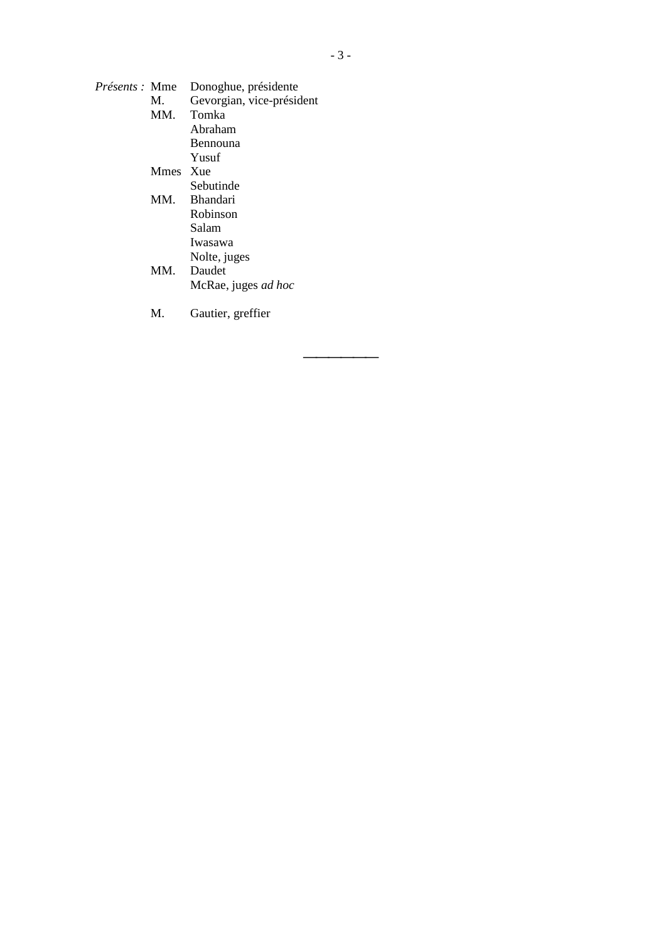*Présents :* Mme Donoghue, présidente

| M.   | Gevorgian, vice-président |
|------|---------------------------|
| MM.  | Tomka                     |
|      | Abraham                   |
|      | Bennouna                  |
|      | Yusuf                     |
| Mmes | Xue                       |
|      | Sebutinde                 |
| MM.  | - Bhandari                |
|      | Robinson                  |
|      | Salam                     |
|      | Iwasawa                   |
|      | Nolte, juges              |
| MM.  | Daudet                    |
|      | McRae, juges ad hoc       |
|      |                           |

M. Gautier, greffier

⎯⎯⎯⎯⎯⎯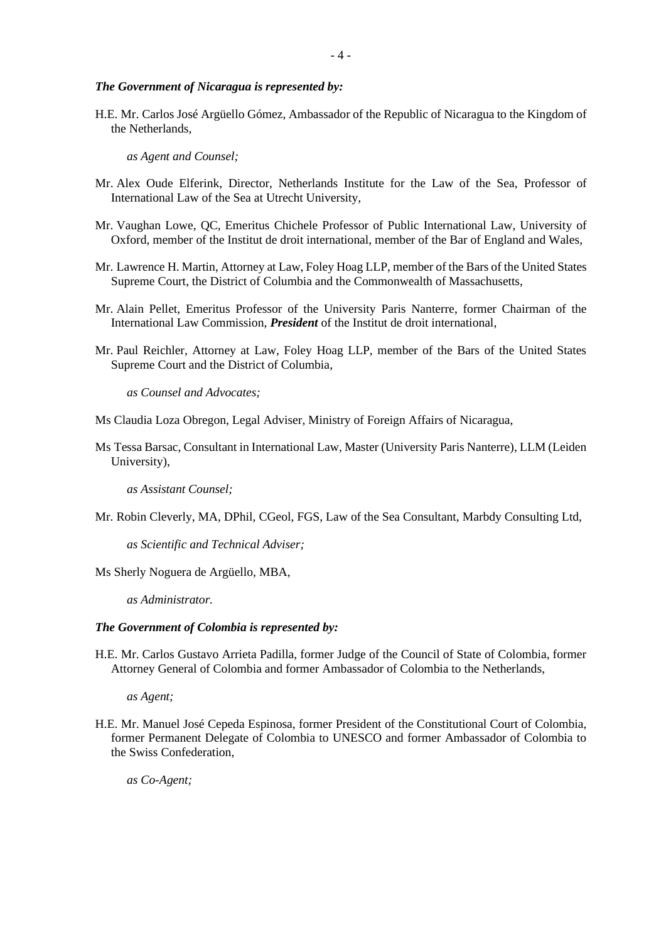### *The Government of Nicaragua is represented by:*

H.E. Mr. Carlos José Argüello Gómez, Ambassador of the Republic of Nicaragua to the Kingdom of the Netherlands,

*as Agent and Counsel;*

- Mr. Alex Oude Elferink, Director, Netherlands Institute for the Law of the Sea, Professor of International Law of the Sea at Utrecht University,
- Mr. Vaughan Lowe, QC, Emeritus Chichele Professor of Public International Law, University of Oxford, member of the Institut de droit international, member of the Bar of England and Wales,
- Mr. Lawrence H. Martin, Attorney at Law, Foley Hoag LLP, member of the Bars of the United States Supreme Court, the District of Columbia and the Commonwealth of Massachusetts,
- Mr. Alain Pellet, Emeritus Professor of the University Paris Nanterre, former Chairman of the International Law Commission, *President* of the Institut de droit international,
- Mr. Paul Reichler, Attorney at Law, Foley Hoag LLP, member of the Bars of the United States Supreme Court and the District of Columbia,

*as Counsel and Advocates;*

- Ms Claudia Loza Obregon, Legal Adviser, Ministry of Foreign Affairs of Nicaragua,
- Ms Tessa Barsac, Consultant in International Law, Master (University Paris Nanterre), LLM (Leiden University),

*as Assistant Counsel;*

Mr. Robin Cleverly, MA, DPhil, CGeol, FGS, Law of the Sea Consultant, Marbdy Consulting Ltd,

*as Scientific and Technical Adviser;*

Ms Sherly Noguera de Argüello, MBA,

*as Administrator.*

### *The Government of Colombia is represented by:*

H.E. Mr. Carlos Gustavo Arrieta Padilla, former Judge of the Council of State of Colombia, former Attorney General of Colombia and former Ambassador of Colombia to the Netherlands,

*as Agent;*

H.E. Mr. Manuel José Cepeda Espinosa, former President of the Constitutional Court of Colombia, former Permanent Delegate of Colombia to UNESCO and former Ambassador of Colombia to the Swiss Confederation,

*as Co-Agent;*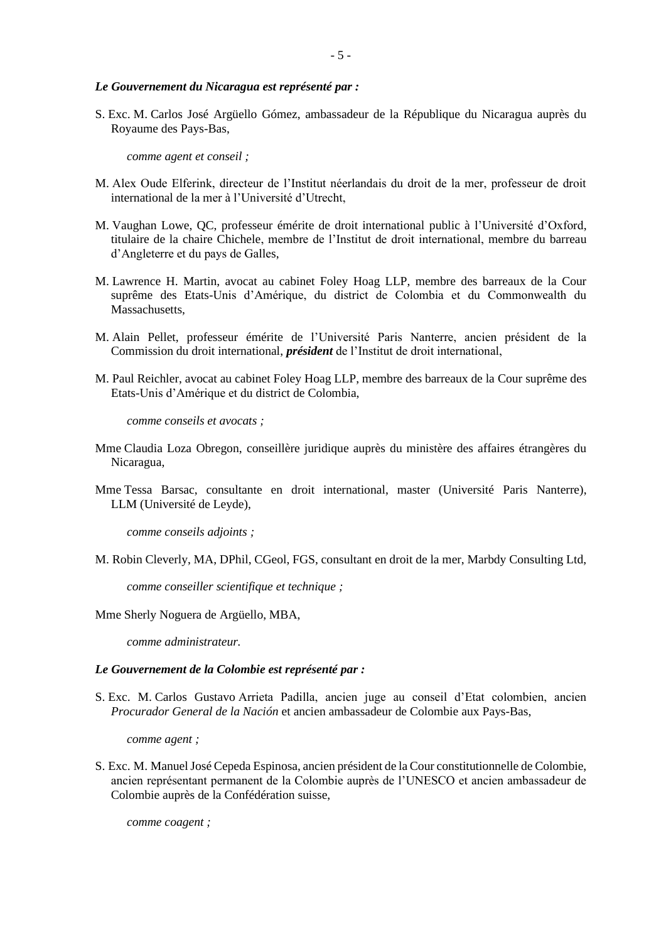## *Le Gouvernement du Nicaragua est représenté par :*

S. Exc. M. Carlos José Argüello Gómez, ambassadeur de la République du Nicaragua auprès du Royaume des Pays-Bas,

*comme agent et conseil ;*

- M. Alex Oude Elferink, directeur de l'Institut néerlandais du droit de la mer, professeur de droit international de la mer à l'Université d'Utrecht,
- M. Vaughan Lowe, QC, professeur émérite de droit international public à l'Université d'Oxford, titulaire de la chaire Chichele, membre de l'Institut de droit international, membre du barreau d'Angleterre et du pays de Galles,
- M. Lawrence H. Martin, avocat au cabinet Foley Hoag LLP, membre des barreaux de la Cour suprême des Etats-Unis d'Amérique, du district de Colombia et du Commonwealth du Massachusetts,
- M. Alain Pellet, professeur émérite de l'Université Paris Nanterre, ancien président de la Commission du droit international, *président* de l'Institut de droit international,
- M. Paul Reichler, avocat au cabinet Foley Hoag LLP, membre des barreaux de la Cour suprême des Etats-Unis d'Amérique et du district de Colombia,

*comme conseils et avocats ;*

- Mme Claudia Loza Obregon, conseillère juridique auprès du ministère des affaires étrangères du Nicaragua,
- Mme Tessa Barsac, consultante en droit international, master (Université Paris Nanterre), LLM (Université de Leyde),

*comme conseils adjoints ;*

M. Robin Cleverly, MA, DPhil, CGeol, FGS, consultant en droit de la mer, Marbdy Consulting Ltd,

*comme conseiller scientifique et technique ;*

Mme Sherly Noguera de Argüello, MBA,

*comme administrateur.*

## *Le Gouvernement de la Colombie est représenté par :*

S. Exc. M. Carlos Gustavo Arrieta Padilla, ancien juge au conseil d'Etat colombien, ancien *Procurador General de la Nación* et ancien ambassadeur de Colombie aux Pays-Bas,

*comme agent ;* 

S. Exc. M. ManuelJosé Cepeda Espinosa, ancien président de la Cour constitutionnelle de Colombie, ancien représentant permanent de la Colombie auprès de l'UNESCO et ancien ambassadeur de Colombie auprès de la Confédération suisse,

*comme coagent ;*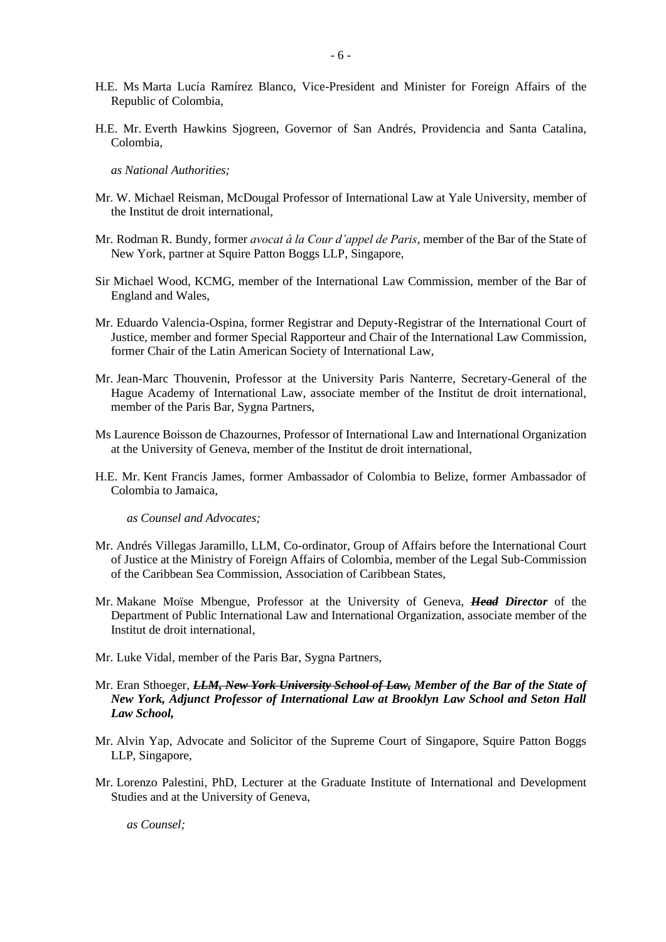- H.E. Ms Marta Lucía Ramírez Blanco, Vice-President and Minister for Foreign Affairs of the Republic of Colombia,
- H.E. Mr. Everth Hawkins Sjogreen, Governor of San Andrés, Providencia and Santa Catalina, Colombia,
	- *as National Authorities;*
- Mr. W. Michael Reisman, McDougal Professor of International Law at Yale University, member of the Institut de droit international,
- Mr. Rodman R. Bundy, former *avocat à la Cour d'appel de Paris*, member of the Bar of the State of New York, partner at Squire Patton Boggs LLP, Singapore,
- Sir Michael Wood, KCMG, member of the International Law Commission, member of the Bar of England and Wales,
- Mr. Eduardo Valencia-Ospina, former Registrar and Deputy-Registrar of the International Court of Justice, member and former Special Rapporteur and Chair of the International Law Commission, former Chair of the Latin American Society of International Law,
- Mr. Jean-Marc Thouvenin, Professor at the University Paris Nanterre, Secretary-General of the Hague Academy of International Law, associate member of the Institut de droit international, member of the Paris Bar, Sygna Partners,
- Ms Laurence Boisson de Chazournes, Professor of International Law and International Organization at the University of Geneva, member of the Institut de droit international,
- H.E. Mr. Kent Francis James, former Ambassador of Colombia to Belize, former Ambassador of Colombia to Jamaica,
	- *as Counsel and Advocates;*
- Mr. Andrés Villegas Jaramillo, LLM, Co-ordinator, Group of Affairs before the International Court of Justice at the Ministry of Foreign Affairs of Colombia, member of the Legal Sub-Commission of the Caribbean Sea Commission, Association of Caribbean States,
- Mr. Makane Moïse Mbengue, Professor at the University of Geneva, *Head Director* of the Department of Public International Law and International Organization, associate member of the Institut de droit international,
- Mr. Luke Vidal, member of the Paris Bar, Sygna Partners,
- Mr. Eran Sthoeger, *LLM, New York University School of Law, Member of the Bar of the State of New York, Adjunct Professor of International Law at Brooklyn Law School and Seton Hall Law School,*
- Mr. Alvin Yap, Advocate and Solicitor of the Supreme Court of Singapore, Squire Patton Boggs LLP, Singapore,
- Mr. Lorenzo Palestini, PhD, Lecturer at the Graduate Institute of International and Development Studies and at the University of Geneva,

*as Counsel;*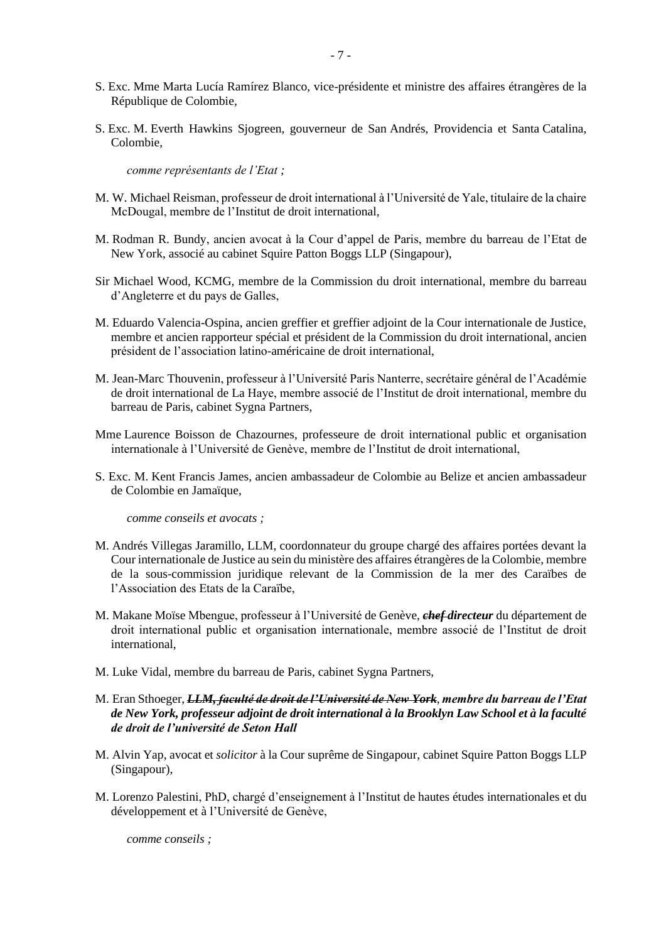- S. Exc. Mme Marta Lucía Ramírez Blanco, vice-présidente et ministre des affaires étrangères de la République de Colombie,
- S. Exc. M. Everth Hawkins Sjogreen, gouverneur de San Andrés, Providencia et Santa Catalina, Colombie,

*comme représentants de l'Etat ;*

- M. W. Michael Reisman, professeur de droit international à l'Université de Yale, titulaire de la chaire McDougal, membre de l'Institut de droit international,
- M. Rodman R. Bundy, ancien avocat à la Cour d'appel de Paris, membre du barreau de l'Etat de New York, associé au cabinet Squire Patton Boggs LLP (Singapour),
- Sir Michael Wood, KCMG, membre de la Commission du droit international, membre du barreau d'Angleterre et du pays de Galles,
- M. Eduardo Valencia-Ospina, ancien greffier et greffier adjoint de la Cour internationale de Justice, membre et ancien rapporteur spécial et président de la Commission du droit international, ancien président de l'association latino-américaine de droit international,
- M. Jean-Marc Thouvenin, professeur à l'Université Paris Nanterre, secrétaire général de l'Académie de droit international de La Haye, membre associé de l'Institut de droit international, membre du barreau de Paris, cabinet Sygna Partners,
- Mme Laurence Boisson de Chazournes, professeure de droit international public et organisation internationale à l'Université de Genève, membre de l'Institut de droit international,
- S. Exc. M. Kent Francis James, ancien ambassadeur de Colombie au Belize et ancien ambassadeur de Colombie en Jamaïque,

*comme conseils et avocats ;* 

- M. Andrés Villegas Jaramillo, LLM, coordonnateur du groupe chargé des affaires portées devant la Cour internationale de Justice au sein du ministère des affaires étrangères de la Colombie, membre de la sous-commission juridique relevant de la Commission de la mer des Caraïbes de l'Association des Etats de la Caraïbe,
- M. Makane Moïse Mbengue, professeur à l'Université de Genève, *chef directeur* du département de droit international public et organisation internationale, membre associé de l'Institut de droit international,
- M. Luke Vidal, membre du barreau de Paris, cabinet Sygna Partners,
- M. Eran Sthoeger, *LLM, faculté de droit de l'Université de New York*, *membre du barreau de l'Etat de New York, professeur adjoint de droit international à la Brooklyn Law School et à la faculté de droit de l'université de Seton Hall*
- M. Alvin Yap, avocat et *solicitor* à la Cour suprême de Singapour, cabinet Squire Patton Boggs LLP (Singapour),
- M. Lorenzo Palestini, PhD, chargé d'enseignement à l'Institut de hautes études internationales et du développement et à l'Université de Genève,

*comme conseils ;*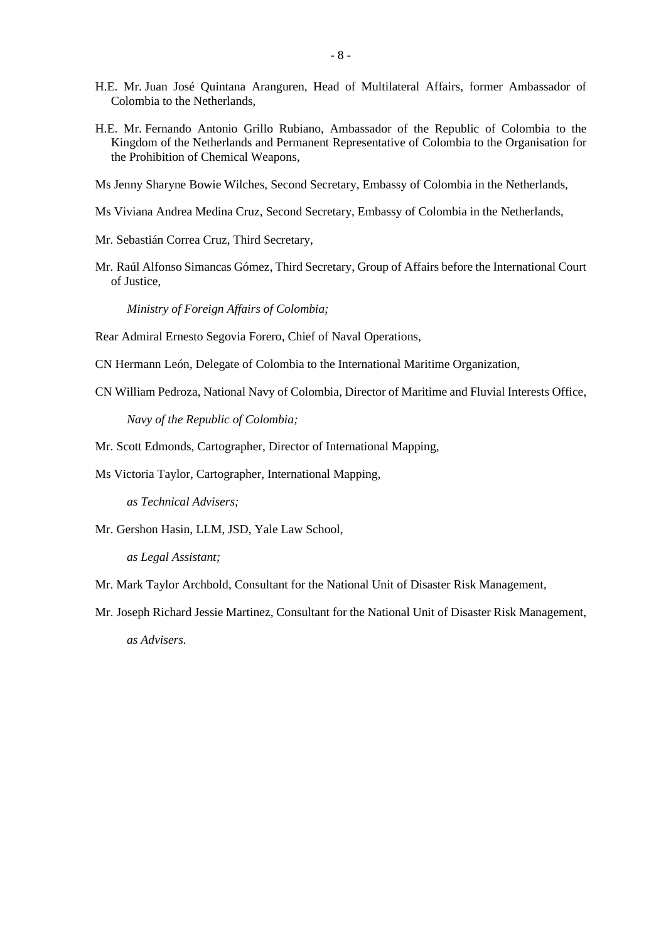- H.E. Mr. Juan José Quintana Aranguren, Head of Multilateral Affairs, former Ambassador of Colombia to the Netherlands,
- H.E. Mr. Fernando Antonio Grillo Rubiano, Ambassador of the Republic of Colombia to the Kingdom of the Netherlands and Permanent Representative of Colombia to the Organisation for the Prohibition of Chemical Weapons,
- Ms Jenny Sharyne Bowie Wilches, Second Secretary, Embassy of Colombia in the Netherlands,
- Ms Viviana Andrea Medina Cruz, Second Secretary, Embassy of Colombia in the Netherlands,
- Mr. Sebastián Correa Cruz, Third Secretary,
- Mr. Raúl Alfonso Simancas Gómez, Third Secretary, Group of Affairs before the International Court of Justice,

*Ministry of Foreign Affairs of Colombia;*

Rear Admiral Ernesto Segovia Forero, Chief of Naval Operations,

CN Hermann León, Delegate of Colombia to the International Maritime Organization,

CN William Pedroza, National Navy of Colombia, Director of Maritime and Fluvial Interests Office,

*Navy of the Republic of Colombia;*

- Mr. Scott Edmonds, Cartographer, Director of International Mapping,
- Ms Victoria Taylor, Cartographer, International Mapping,

*as Technical Advisers;*

Mr. Gershon Hasin, LLM, JSD, Yale Law School,

*as Legal Assistant;*

Mr. Mark Taylor Archbold, Consultant for the National Unit of Disaster Risk Management,

Mr. Joseph Richard Jessie Martinez, Consultant for the National Unit of Disaster Risk Management, *as Advisers.*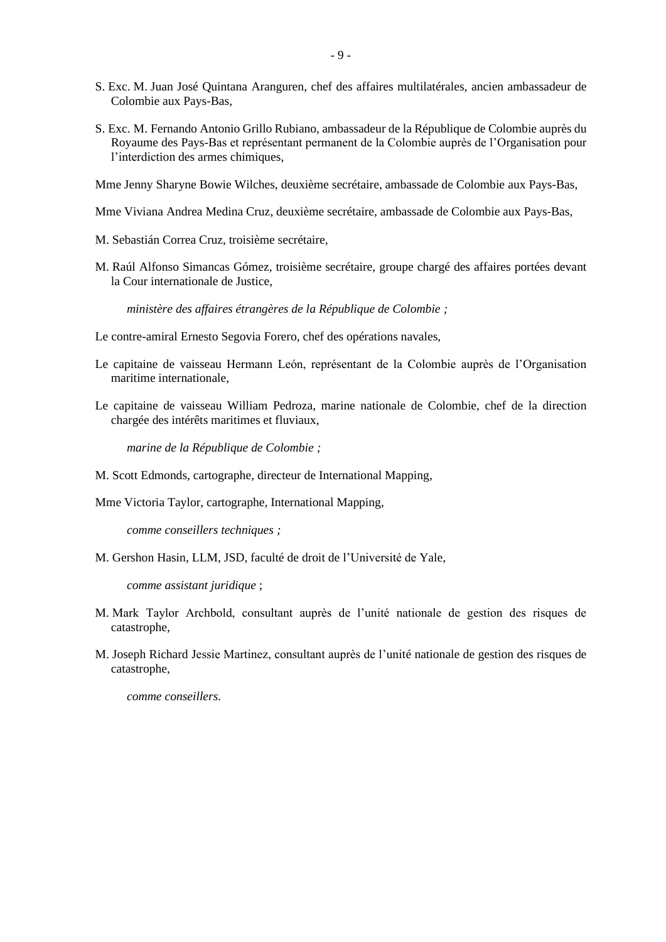- S. Exc. M. Juan José Quintana Aranguren, chef des affaires multilatérales, ancien ambassadeur de Colombie aux Pays-Bas,
- S. Exc. M. Fernando Antonio Grillo Rubiano, ambassadeur de la République de Colombie auprès du Royaume des Pays-Bas et représentant permanent de la Colombie auprès de l'Organisation pour l'interdiction des armes chimiques,

Mme Jenny Sharyne Bowie Wilches, deuxième secrétaire, ambassade de Colombie aux Pays-Bas,

Mme Viviana Andrea Medina Cruz, deuxième secrétaire, ambassade de Colombie aux Pays-Bas,

- M. Sebastián Correa Cruz, troisième secrétaire,
- M. Raúl Alfonso Simancas Gómez, troisième secrétaire, groupe chargé des affaires portées devant la Cour internationale de Justice,

*ministère des affaires étrangères de la République de Colombie ;*

- Le contre-amiral Ernesto Segovia Forero, chef des opérations navales,
- Le capitaine de vaisseau Hermann León, représentant de la Colombie auprès de l'Organisation maritime internationale,
- Le capitaine de vaisseau William Pedroza, marine nationale de Colombie, chef de la direction chargée des intérêts maritimes et fluviaux,

*marine de la République de Colombie ;*

M. Scott Edmonds, cartographe, directeur de International Mapping,

Mme Victoria Taylor, cartographe, International Mapping,

*comme conseillers techniques ;*

M. Gershon Hasin, LLM, JSD, faculté de droit de l'Université de Yale,

*comme assistant juridique* ;

- M. Mark Taylor Archbold, consultant auprès de l'unité nationale de gestion des risques de catastrophe,
- M. Joseph Richard Jessie Martinez, consultant auprès de l'unité nationale de gestion des risques de catastrophe,

*comme conseillers.*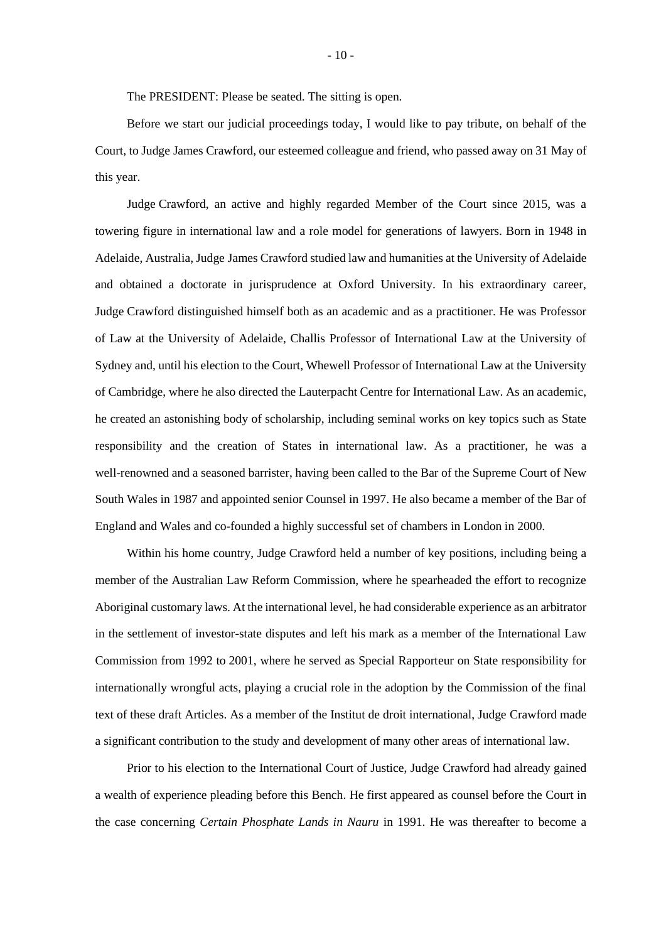The PRESIDENT: Please be seated. The sitting is open.

Before we start our judicial proceedings today, I would like to pay tribute, on behalf of the Court, to Judge James Crawford, our esteemed colleague and friend, who passed away on 31 May of this year.

Judge Crawford, an active and highly regarded Member of the Court since 2015, was a towering figure in international law and a role model for generations of lawyers. Born in 1948 in Adelaide, Australia, Judge James Crawford studied law and humanities at the University of Adelaide and obtained a doctorate in jurisprudence at Oxford University. In his extraordinary career, Judge Crawford distinguished himself both as an academic and as a practitioner. He was Professor of Law at the University of Adelaide, Challis Professor of International Law at the University of Sydney and, until his election to the Court, Whewell Professor of International Law at the University of Cambridge, where he also directed the Lauterpacht Centre for International Law. As an academic, he created an astonishing body of scholarship, including seminal works on key topics such as State responsibility and the creation of States in international law. As a practitioner, he was a well-renowned and a seasoned barrister, having been called to the Bar of the Supreme Court of New South Wales in 1987 and appointed senior Counsel in 1997. He also became a member of the Bar of England and Wales and co-founded a highly successful set of chambers in London in 2000.

Within his home country, Judge Crawford held a number of key positions, including being a member of the Australian Law Reform Commission, where he spearheaded the effort to recognize Aboriginal customary laws. At the international level, he had considerable experience as an arbitrator in the settlement of investor-state disputes and left his mark as a member of the International Law Commission from 1992 to 2001, where he served as Special Rapporteur on State responsibility for internationally wrongful acts, playing a crucial role in the adoption by the Commission of the final text of these draft Articles. As a member of the Institut de droit international, Judge Crawford made a significant contribution to the study and development of many other areas of international law.

Prior to his election to the International Court of Justice, Judge Crawford had already gained a wealth of experience pleading before this Bench. He first appeared as counsel before the Court in the case concerning *Certain Phosphate Lands in Nauru* in 1991. He was thereafter to become a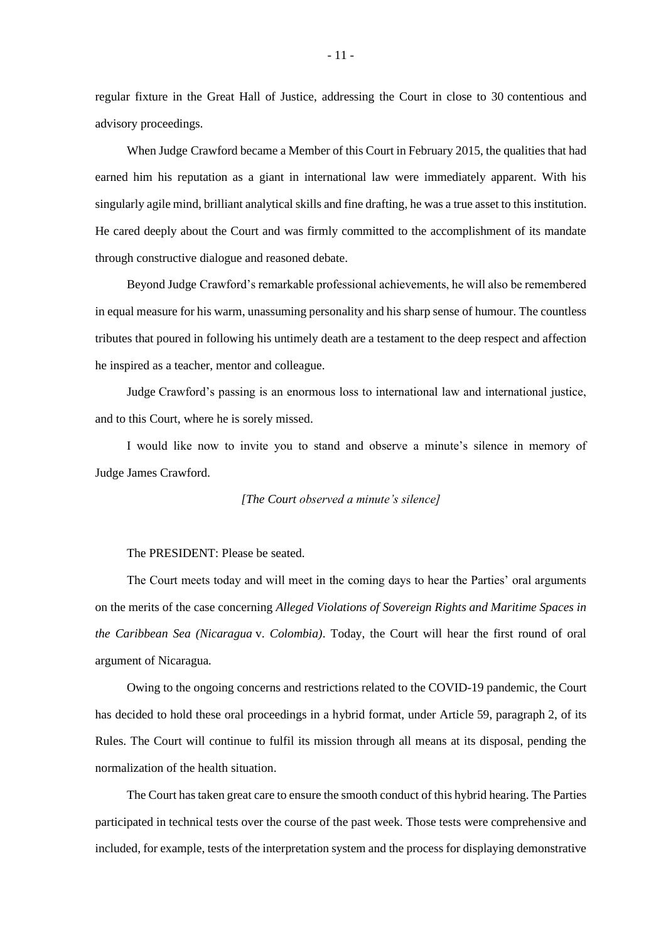regular fixture in the Great Hall of Justice, addressing the Court in close to 30 contentious and advisory proceedings.

When Judge Crawford became a Member of this Court in February 2015, the qualities that had earned him his reputation as a giant in international law were immediately apparent. With his singularly agile mind, brilliant analytical skills and fine drafting, he was a true asset to this institution. He cared deeply about the Court and was firmly committed to the accomplishment of its mandate through constructive dialogue and reasoned debate.

Beyond Judge Crawford's remarkable professional achievements, he will also be remembered in equal measure for his warm, unassuming personality and his sharp sense of humour. The countless tributes that poured in following his untimely death are a testament to the deep respect and affection he inspired as a teacher, mentor and colleague.

Judge Crawford's passing is an enormous loss to international law and international justice, and to this Court, where he is sorely missed.

I would like now to invite you to stand and observe a minute's silence in memory of Judge James Crawford.

## *[The Court observed a minute's silence]*

The PRESIDENT: Please be seated.

The Court meets today and will meet in the coming days to hear the Parties' oral arguments on the merits of the case concerning *Alleged Violations of Sovereign Rights and Maritime Spaces in the Caribbean Sea (Nicaragua* v. *Colombia)*. Today, the Court will hear the first round of oral argument of Nicaragua*.*

Owing to the ongoing concerns and restrictions related to the COVID-19 pandemic, the Court has decided to hold these oral proceedings in a hybrid format, under Article 59, paragraph 2, of its Rules. The Court will continue to fulfil its mission through all means at its disposal, pending the normalization of the health situation.

The Court has taken great care to ensure the smooth conduct of this hybrid hearing. The Parties participated in technical tests over the course of the past week. Those tests were comprehensive and included, for example, tests of the interpretation system and the process for displaying demonstrative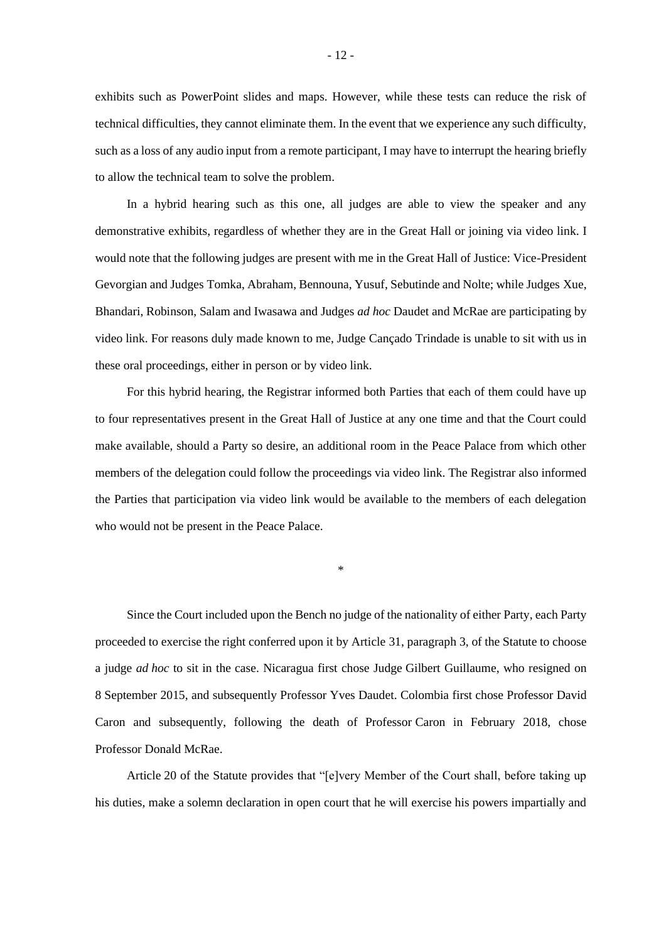exhibits such as PowerPoint slides and maps. However, while these tests can reduce the risk of technical difficulties, they cannot eliminate them. In the event that we experience any such difficulty, such as a loss of any audio input from a remote participant, I may have to interrupt the hearing briefly to allow the technical team to solve the problem.

In a hybrid hearing such as this one, all judges are able to view the speaker and any demonstrative exhibits, regardless of whether they are in the Great Hall or joining via video link. I would note that the following judges are present with me in the Great Hall of Justice: Vice-President Gevorgian and Judges Tomka, Abraham, Bennouna, Yusuf, Sebutinde and Nolte; while Judges Xue, Bhandari, Robinson, Salam and Iwasawa and Judges *ad hoc* Daudet and McRae are participating by video link. For reasons duly made known to me, Judge Cançado Trindade is unable to sit with us in these oral proceedings, either in person or by video link.

For this hybrid hearing, the Registrar informed both Parties that each of them could have up to four representatives present in the Great Hall of Justice at any one time and that the Court could make available, should a Party so desire, an additional room in the Peace Palace from which other members of the delegation could follow the proceedings via video link. The Registrar also informed the Parties that participation via video link would be available to the members of each delegation who would not be present in the Peace Palace.

\*

Since the Court included upon the Bench no judge of the nationality of either Party, each Party proceeded to exercise the right conferred upon it by Article 31, paragraph 3, of the Statute to choose a judge *ad hoc* to sit in the case. Nicaragua first chose Judge Gilbert Guillaume, who resigned on 8 September 2015, and subsequently Professor Yves Daudet. Colombia first chose Professor David Caron and subsequently, following the death of Professor Caron in February 2018, chose Professor Donald McRae.

Article 20 of the Statute provides that "[e]very Member of the Court shall, before taking up his duties, make a solemn declaration in open court that he will exercise his powers impartially and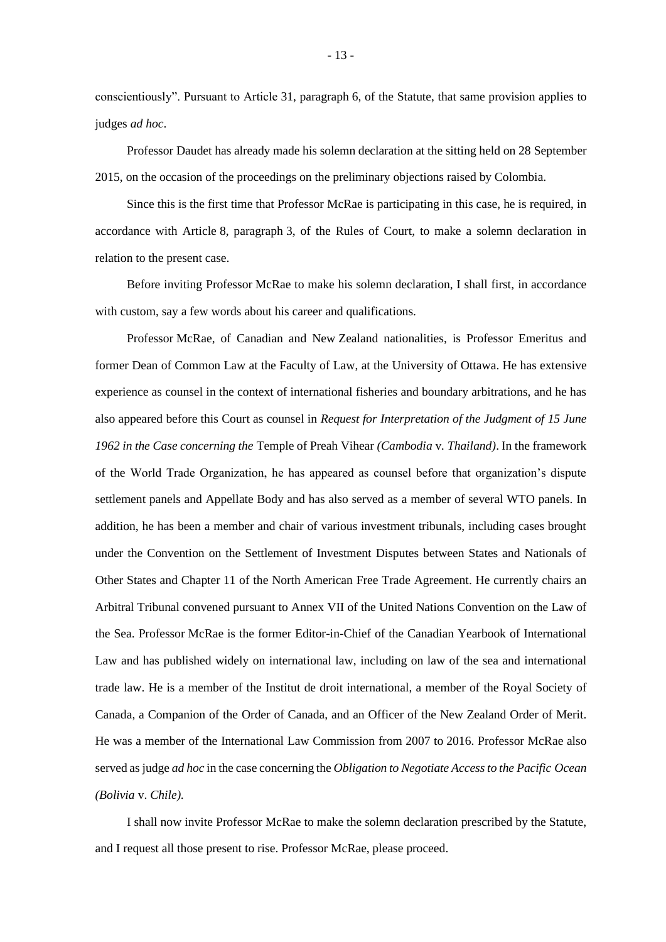conscientiously". Pursuant to Article 31, paragraph 6, of the Statute, that same provision applies to judges *ad hoc*.

Professor Daudet has already made his solemn declaration at the sitting held on 28 September 2015, on the occasion of the proceedings on the preliminary objections raised by Colombia.

Since this is the first time that Professor McRae is participating in this case, he is required, in accordance with Article 8, paragraph 3, of the Rules of Court, to make a solemn declaration in relation to the present case.

Before inviting Professor McRae to make his solemn declaration, I shall first, in accordance with custom, say a few words about his career and qualifications.

Professor McRae, of Canadian and New Zealand nationalities, is Professor Emeritus and former Dean of Common Law at the Faculty of Law, at the University of Ottawa. He has extensive experience as counsel in the context of international fisheries and boundary arbitrations, and he has also appeared before this Court as counsel in *Request for Interpretation of the Judgment of 15 June 1962 in the Case concerning the* Temple of Preah Vihear *(Cambodia* v*. Thailand)*. In the framework of the World Trade Organization, he has appeared as counsel before that organization's dispute settlement panels and Appellate Body and has also served as a member of several WTO panels. In addition, he has been a member and chair of various investment tribunals, including cases brought under the Convention on the Settlement of Investment Disputes between States and Nationals of Other States and Chapter 11 of the North American Free Trade Agreement. He currently chairs an Arbitral Tribunal convened pursuant to Annex VII of the United Nations Convention on the Law of the Sea. Professor McRae is the former Editor-in-Chief of the Canadian Yearbook of International Law and has published widely on international law, including on law of the sea and international trade law. He is a member of the Institut de droit international, a member of the Royal Society of Canada, a Companion of the Order of Canada, and an Officer of the New Zealand Order of Merit. He was a member of the International Law Commission from 2007 to 2016. Professor McRae also served as judge *ad hoc* in the case concerning the *Obligation to Negotiate Access to the Pacific Ocean (Bolivia* v. *Chile).*

I shall now invite Professor McRae to make the solemn declaration prescribed by the Statute, and I request all those present to rise. Professor McRae, please proceed.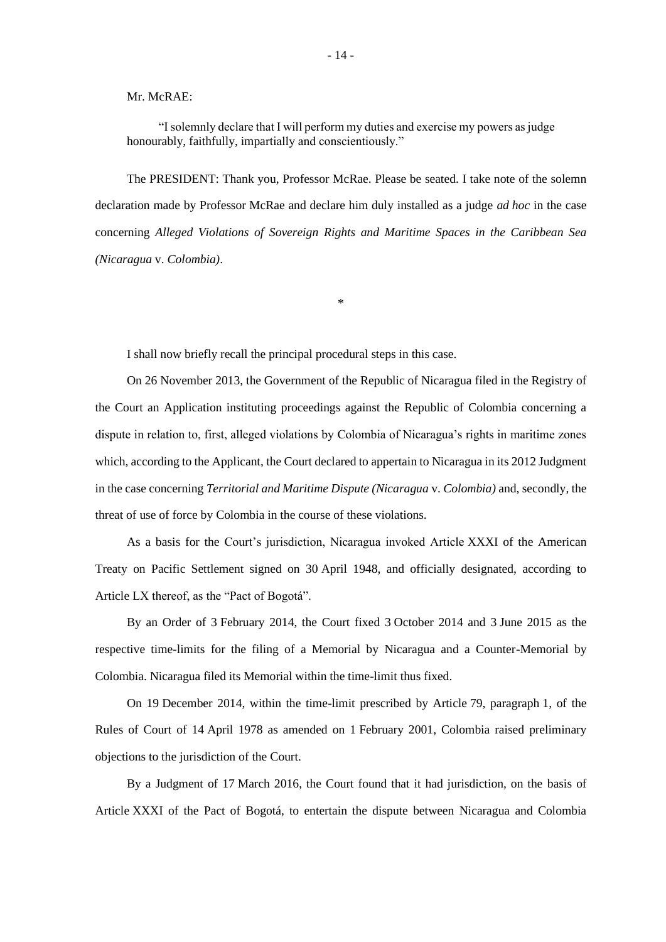Mr. McRAE:

"I solemnly declare that I will perform my duties and exercise my powers as judge honourably, faithfully, impartially and conscientiously."

The PRESIDENT: Thank you, Professor McRae. Please be seated. I take note of the solemn declaration made by Professor McRae and declare him duly installed as a judge *ad hoc* in the case concerning *Alleged Violations of Sovereign Rights and Maritime Spaces in the Caribbean Sea (Nicaragua* v. *Colombia)*.

\*

I shall now briefly recall the principal procedural steps in this case.

On 26 November 2013, the Government of the Republic of Nicaragua filed in the Registry of the Court an Application instituting proceedings against the Republic of Colombia concerning a dispute in relation to, first, alleged violations by Colombia of Nicaragua's rights in maritime zones which, according to the Applicant, the Court declared to appertain to Nicaragua in its 2012 Judgment in the case concerning *Territorial and Maritime Dispute (Nicaragua* v. *Colombia)* and, secondly, the threat of use of force by Colombia in the course of these violations*.* 

As a basis for the Court's jurisdiction, Nicaragua invoked Article XXXI of the American Treaty on Pacific Settlement signed on 30 April 1948, and officially designated, according to Article LX thereof, as the "Pact of Bogotá".

By an Order of 3 February 2014, the Court fixed 3 October 2014 and 3 June 2015 as the respective time-limits for the filing of a Memorial by Nicaragua and a Counter-Memorial by Colombia. Nicaragua filed its Memorial within the time-limit thus fixed.

On 19 December 2014, within the time-limit prescribed by Article 79, paragraph 1, of the Rules of Court of 14 April 1978 as amended on 1 February 2001, Colombia raised preliminary objections to the jurisdiction of the Court.

By a Judgment of 17 March 2016, the Court found that it had jurisdiction, on the basis of Article XXXI of the Pact of Bogotá, to entertain the dispute between Nicaragua and Colombia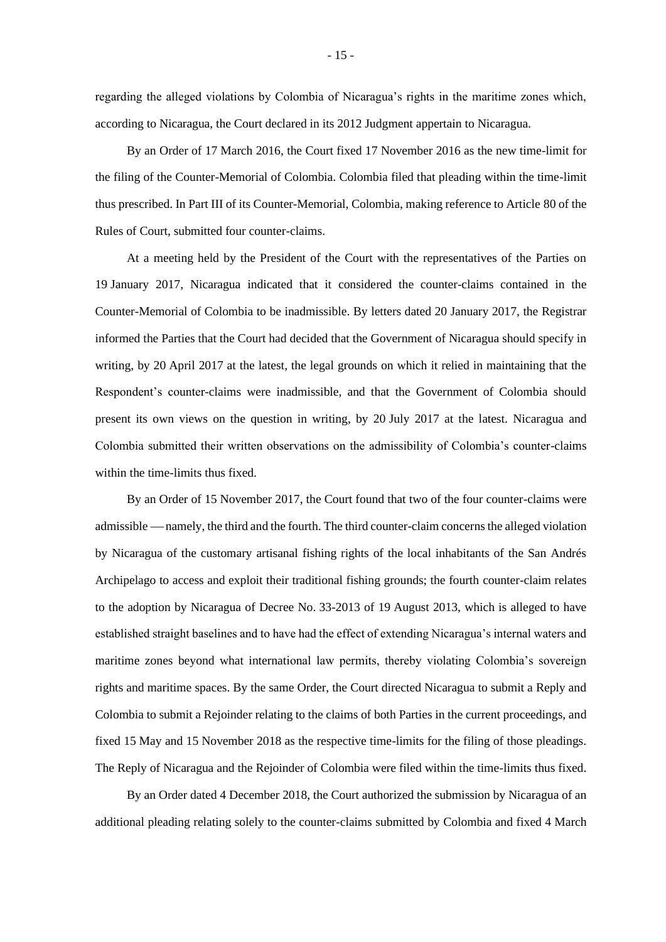regarding the alleged violations by Colombia of Nicaragua's rights in the maritime zones which, according to Nicaragua, the Court declared in its 2012 Judgment appertain to Nicaragua.

By an Order of 17 March 2016, the Court fixed 17 November 2016 as the new time-limit for the filing of the Counter-Memorial of Colombia. Colombia filed that pleading within the time-limit thus prescribed. In Part III of its Counter-Memorial, Colombia, making reference to Article 80 of the Rules of Court, submitted four counter-claims.

At a meeting held by the President of the Court with the representatives of the Parties on 19 January 2017, Nicaragua indicated that it considered the counter-claims contained in the Counter-Memorial of Colombia to be inadmissible. By letters dated 20 January 2017, the Registrar informed the Parties that the Court had decided that the Government of Nicaragua should specify in writing, by 20 April 2017 at the latest, the legal grounds on which it relied in maintaining that the Respondent's counter-claims were inadmissible, and that the Government of Colombia should present its own views on the question in writing, by 20 July 2017 at the latest. Nicaragua and Colombia submitted their written observations on the admissibility of Colombia's counter-claims within the time-limits thus fixed.

By an Order of 15 November 2017, the Court found that two of the four counter-claims were admissible — namely, the third and the fourth. The third counter-claim concerns the alleged violation by Nicaragua of the customary artisanal fishing rights of the local inhabitants of the San Andrés Archipelago to access and exploit their traditional fishing grounds; the fourth counter-claim relates to the adoption by Nicaragua of Decree No. 33-2013 of 19 August 2013, which is alleged to have established straight baselines and to have had the effect of extending Nicaragua's internal waters and maritime zones beyond what international law permits, thereby violating Colombia's sovereign rights and maritime spaces. By the same Order, the Court directed Nicaragua to submit a Reply and Colombia to submit a Rejoinder relating to the claims of both Parties in the current proceedings, and fixed 15 May and 15 November 2018 as the respective time-limits for the filing of those pleadings. The Reply of Nicaragua and the Rejoinder of Colombia were filed within the time-limits thus fixed.

By an Order dated 4 December 2018, the Court authorized the submission by Nicaragua of an additional pleading relating solely to the counter-claims submitted by Colombia and fixed 4 March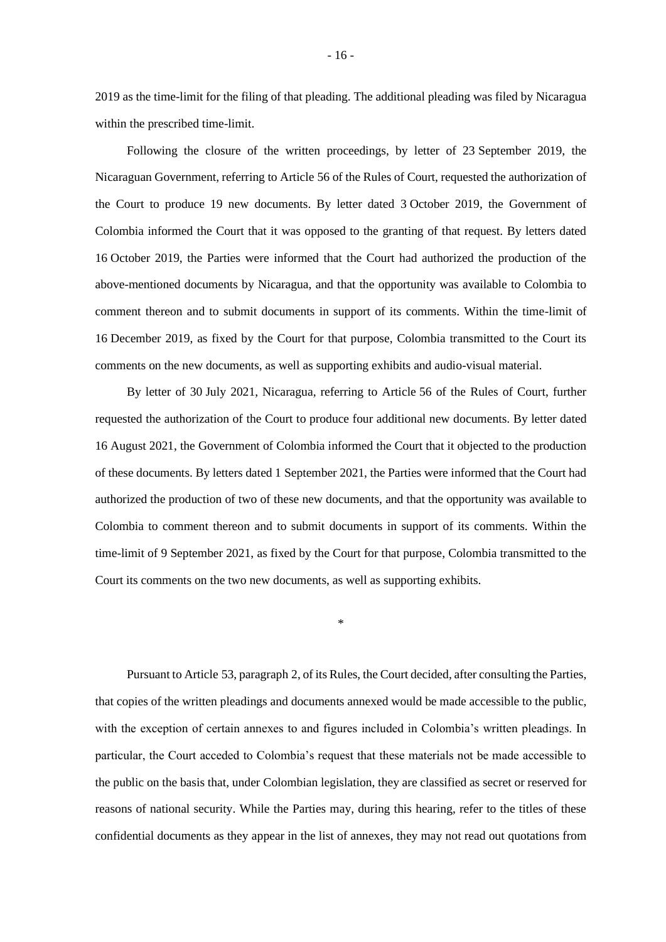2019 as the time-limit for the filing of that pleading. The additional pleading was filed by Nicaragua within the prescribed time-limit.

Following the closure of the written proceedings, by letter of 23 September 2019, the Nicaraguan Government, referring to Article 56 of the Rules of Court, requested the authorization of the Court to produce 19 new documents. By letter dated 3 October 2019, the Government of Colombia informed the Court that it was opposed to the granting of that request. By letters dated 16 October 2019, the Parties were informed that the Court had authorized the production of the above-mentioned documents by Nicaragua, and that the opportunity was available to Colombia to comment thereon and to submit documents in support of its comments. Within the time-limit of 16 December 2019, as fixed by the Court for that purpose, Colombia transmitted to the Court its comments on the new documents, as well as supporting exhibits and audio-visual material.

By letter of 30 July 2021, Nicaragua, referring to Article 56 of the Rules of Court, further requested the authorization of the Court to produce four additional new documents. By letter dated 16 August 2021, the Government of Colombia informed the Court that it objected to the production of these documents. By letters dated 1 September 2021, the Parties were informed that the Court had authorized the production of two of these new documents, and that the opportunity was available to Colombia to comment thereon and to submit documents in support of its comments. Within the time-limit of 9 September 2021, as fixed by the Court for that purpose, Colombia transmitted to the Court its comments on the two new documents, as well as supporting exhibits.

\*

Pursuant to Article 53, paragraph 2, of its Rules, the Court decided, after consulting the Parties, that copies of the written pleadings and documents annexed would be made accessible to the public, with the exception of certain annexes to and figures included in Colombia's written pleadings. In particular, the Court acceded to Colombia's request that these materials not be made accessible to the public on the basis that, under Colombian legislation, they are classified as secret or reserved for reasons of national security. While the Parties may, during this hearing, refer to the titles of these confidential documents as they appear in the list of annexes, they may not read out quotations from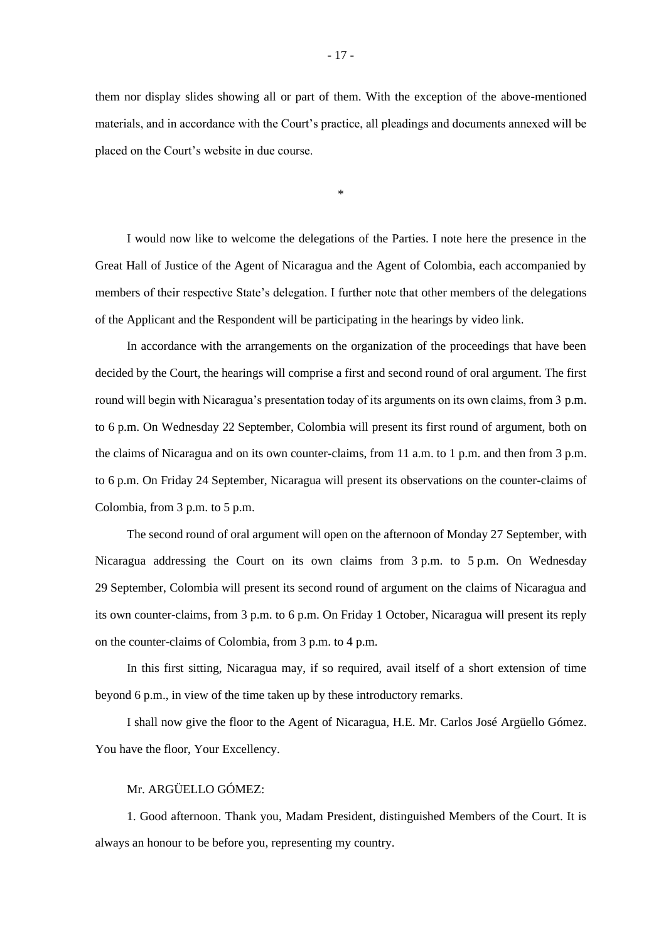them nor display slides showing all or part of them. With the exception of the above-mentioned materials, and in accordance with the Court's practice, all pleadings and documents annexed will be placed on the Court's website in due course.

\*

I would now like to welcome the delegations of the Parties. I note here the presence in the Great Hall of Justice of the Agent of Nicaragua and the Agent of Colombia, each accompanied by members of their respective State's delegation. I further note that other members of the delegations of the Applicant and the Respondent will be participating in the hearings by video link.

In accordance with the arrangements on the organization of the proceedings that have been decided by the Court, the hearings will comprise a first and second round of oral argument. The first round will begin with Nicaragua's presentation today of its arguments on its own claims, from 3 p.m. to 6 p.m. On Wednesday 22 September, Colombia will present its first round of argument, both on the claims of Nicaragua and on its own counter-claims, from 11 a.m. to 1 p.m. and then from 3 p.m. to 6 p.m. On Friday 24 September, Nicaragua will present its observations on the counter-claims of Colombia, from 3 p.m. to 5 p.m.

The second round of oral argument will open on the afternoon of Monday 27 September, with Nicaragua addressing the Court on its own claims from 3 p.m. to 5 p.m. On Wednesday 29 September, Colombia will present its second round of argument on the claims of Nicaragua and its own counter-claims, from 3 p.m. to 6 p.m. On Friday 1 October, Nicaragua will present its reply on the counter-claims of Colombia, from 3 p.m. to 4 p.m.

In this first sitting, Nicaragua may, if so required, avail itself of a short extension of time beyond 6 p.m., in view of the time taken up by these introductory remarks.

I shall now give the floor to the Agent of Nicaragua, H.E. Mr. Carlos José Argüello Gómez. You have the floor, Your Excellency.

# Mr. ARGÜELLO GÓMEZ:

1. Good afternoon. Thank you, Madam President, distinguished Members of the Court. It is always an honour to be before you, representing my country.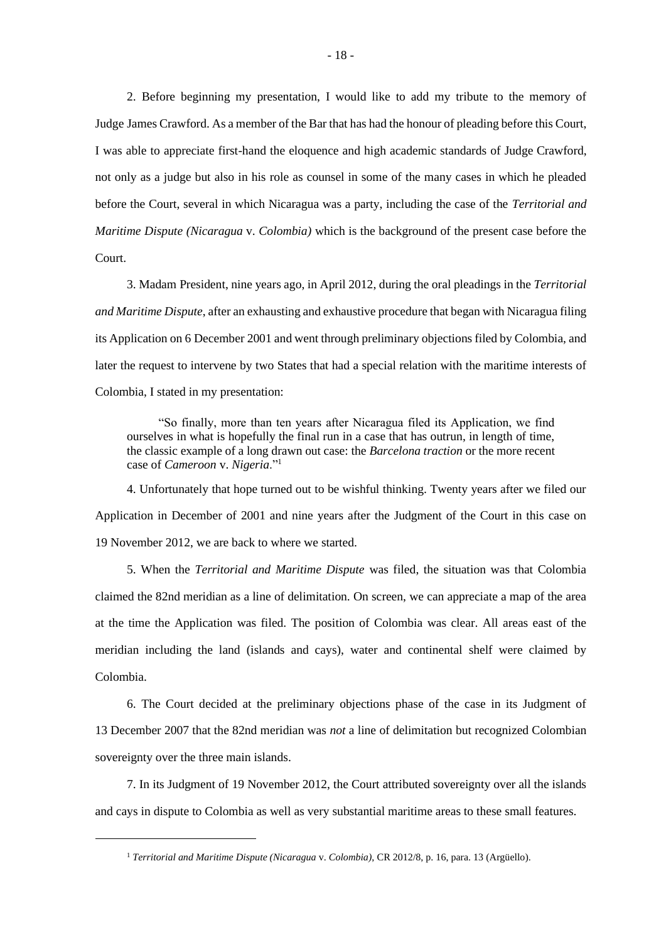2. Before beginning my presentation, I would like to add my tribute to the memory of Judge James Crawford. As a member of the Bar that has had the honour of pleading before this Court, I was able to appreciate first-hand the eloquence and high academic standards of Judge Crawford, not only as a judge but also in his role as counsel in some of the many cases in which he pleaded before the Court, several in which Nicaragua was a party, including the case of the *Territorial and Maritime Dispute (Nicaragua* v. *Colombia)* which is the background of the present case before the Court.

3. Madam President, nine years ago, in April 2012, during the oral pleadings in the *Territorial and Maritime Dispute*, after an exhausting and exhaustive procedure that began with Nicaragua filing its Application on 6 December 2001 and went through preliminary objections filed by Colombia, and later the request to intervene by two States that had a special relation with the maritime interests of Colombia, I stated in my presentation:

"So finally, more than ten years after Nicaragua filed its Application, we find ourselves in what is hopefully the final run in a case that has outrun, in length of time, the classic example of a long drawn out case: the *Barcelona traction* or the more recent case of *Cameroon* v. *Nigeria*."<sup>1</sup>

4. Unfortunately that hope turned out to be wishful thinking. Twenty years after we filed our Application in December of 2001 and nine years after the Judgment of the Court in this case on 19 November 2012, we are back to where we started.

5. When the *Territorial and Maritime Dispute* was filed, the situation was that Colombia claimed the 82nd meridian as a line of delimitation. On screen, we can appreciate a map of the area at the time the Application was filed. The position of Colombia was clear. All areas east of the meridian including the land (islands and cays), water and continental shelf were claimed by Colombia.

6. The Court decided at the preliminary objections phase of the case in its Judgment of 13 December 2007 that the 82nd meridian was *not* a line of delimitation but recognized Colombian sovereignty over the three main islands.

7. In its Judgment of 19 November 2012, the Court attributed sovereignty over all the islands and cays in dispute to Colombia as well as very substantial maritime areas to these small features.

<sup>1</sup> *Territorial and Maritime Dispute (Nicaragua* v. *Colombia)*, CR 2012/8, p. 16, para. 13 (Argüello).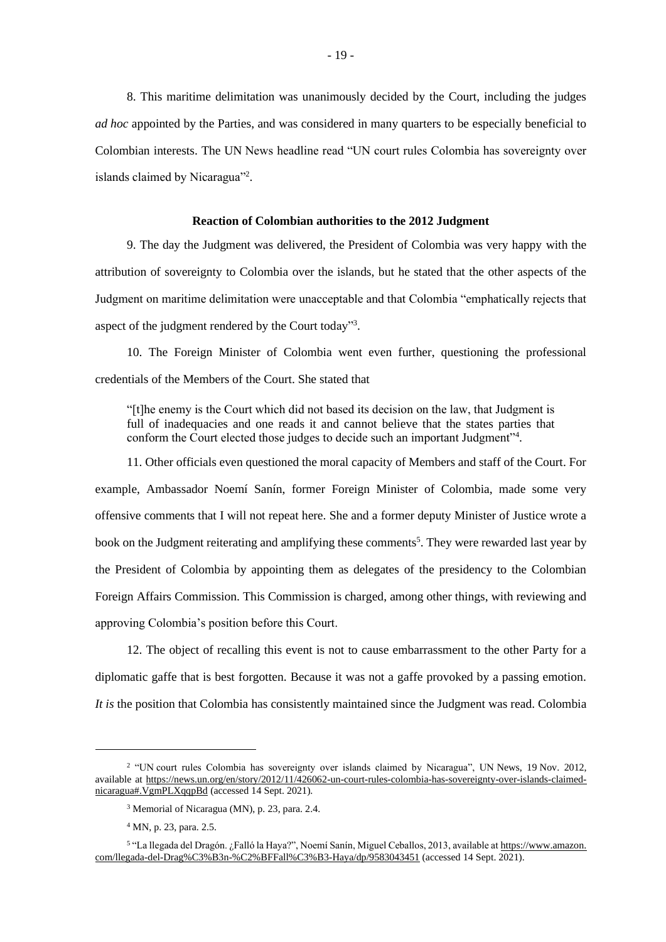8. This maritime delimitation was unanimously decided by the Court, including the judges *ad hoc* appointed by the Parties, and was considered in many quarters to be especially beneficial to Colombian interests. The UN News headline read "UN court rules Colombia has sovereignty over islands claimed by Nicaragua"<sup>2</sup>.

## **Reaction of Colombian authorities to the 2012 Judgment**

9. The day the Judgment was delivered, the President of Colombia was very happy with the attribution of sovereignty to Colombia over the islands, but he stated that the other aspects of the Judgment on maritime delimitation were unacceptable and that Colombia "emphatically rejects that aspect of the judgment rendered by the Court today"3.

10. The Foreign Minister of Colombia went even further, questioning the professional credentials of the Members of the Court. She stated that

"[t]he enemy is the Court which did not based its decision on the law, that Judgment is full of inadequacies and one reads it and cannot believe that the states parties that conform the Court elected those judges to decide such an important Judgment"<sup>4</sup> .

11. Other officials even questioned the moral capacity of Members and staff of the Court. For example, Ambassador Noemí Sanín, former Foreign Minister of Colombia, made some very offensive comments that I will not repeat here. She and a former deputy Minister of Justice wrote a book on the Judgment reiterating and amplifying these comments<sup>5</sup>. They were rewarded last year by the President of Colombia by appointing them as delegates of the presidency to the Colombian Foreign Affairs Commission. This Commission is charged, among other things, with reviewing and approving Colombia's position before this Court.

12. The object of recalling this event is not to cause embarrassment to the other Party for a diplomatic gaffe that is best forgotten. Because it was not a gaffe provoked by a passing emotion. *It is* the position that Colombia has consistently maintained since the Judgment was read. Colombia

<sup>2</sup> "UN court rules Colombia has sovereignty over islands claimed by Nicaragua", UN News, 19 Nov. 2012, available at https://news.un.org/en/story/2012/11/426062-un-court-rules-colombia-has-sovereignty-over-islands-claimednicaragua#.VgmPLXqqpBd (accessed 14 Sept. 2021).

<sup>3</sup> Memorial of Nicaragua (MN), p. 23, para. 2.4.

<sup>4</sup> MN, p. 23, para. 2.5.

<sup>&</sup>lt;sup>5</sup> "La llegada del Dragón. ¿Falló la Haya?", Noemí Sanín, Miguel Ceballos, 2013, available at <u>https://www.amazon.</u> com/llegada-del-Drag%C3%B3n-%C2%BFFall%C3%B3-Haya/dp/9583043451 (accessed 14 Sept. 2021).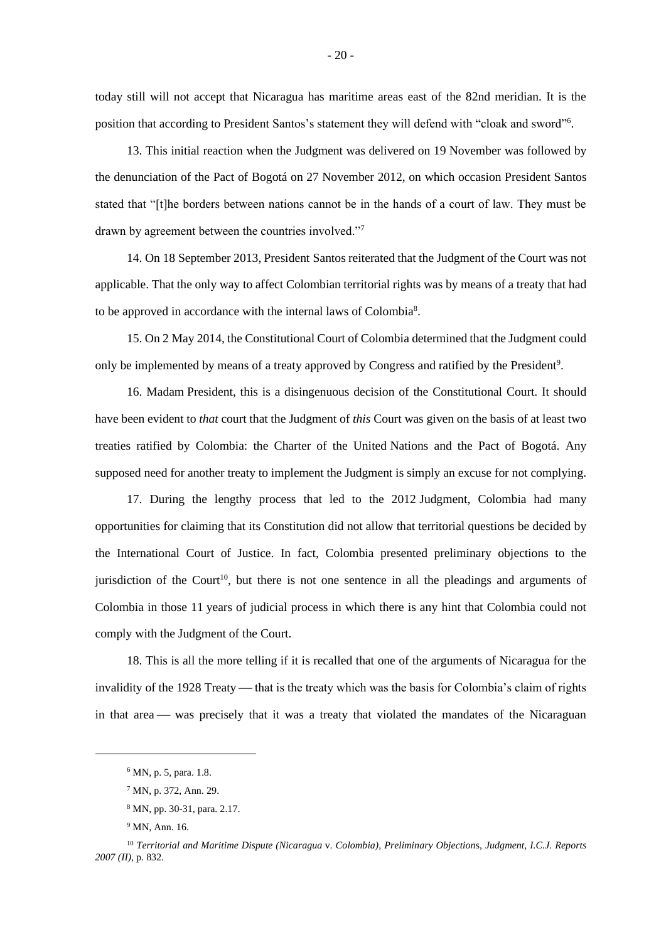today still will not accept that Nicaragua has maritime areas east of the 82nd meridian. It is the position that according to President Santos's statement they will defend with "cloak and sword"<sup>6</sup> .

13. This initial reaction when the Judgment was delivered on 19 November was followed by the denunciation of the Pact of Bogotá on 27 November 2012, on which occasion President Santos stated that "[t]he borders between nations cannot be in the hands of a court of law. They must be drawn by agreement between the countries involved."<sup>7</sup>

14. On 18 September 2013, President Santos reiterated that the Judgment of the Court was not applicable. That the only way to affect Colombian territorial rights was by means of a treaty that had to be approved in accordance with the internal laws of Colombia<sup>8</sup>.

15. On 2 May 2014, the Constitutional Court of Colombia determined that the Judgment could only be implemented by means of a treaty approved by Congress and ratified by the President<sup>9</sup>.

16. Madam President, this is a disingenuous decision of the Constitutional Court. It should have been evident to *that* court that the Judgment of *this* Court was given on the basis of at least two treaties ratified by Colombia: the Charter of the United Nations and the Pact of Bogotá. Any supposed need for another treaty to implement the Judgment is simply an excuse for not complying.

17. During the lengthy process that led to the 2012 Judgment, Colombia had many opportunities for claiming that its Constitution did not allow that territorial questions be decided by the International Court of Justice. In fact, Colombia presented preliminary objections to the jurisdiction of the Court<sup>10</sup>, but there is not one sentence in all the pleadings and arguments of Colombia in those 11 years of judicial process in which there is any hint that Colombia could not comply with the Judgment of the Court.

18. This is all the more telling if it is recalled that one of the arguments of Nicaragua for the invalidity of the 1928 Treaty — that is the treaty which was the basis for Colombia's claim of rights in that area — was precisely that it was a treaty that violated the mandates of the Nicaraguan

<sup>6</sup> MN, p. 5, para. 1.8.

<sup>7</sup> MN, p. 372, Ann. 29.

<sup>8</sup> MN, pp. 30-31, para. 2.17.

<sup>9</sup> MN, Ann. 16.

<sup>10</sup> *Territorial and Maritime Dispute (Nicaragua* v. *Colombia), Preliminary Objection*s*, Judgment, I.C.J. Reports 2007 (II)*, p. 832.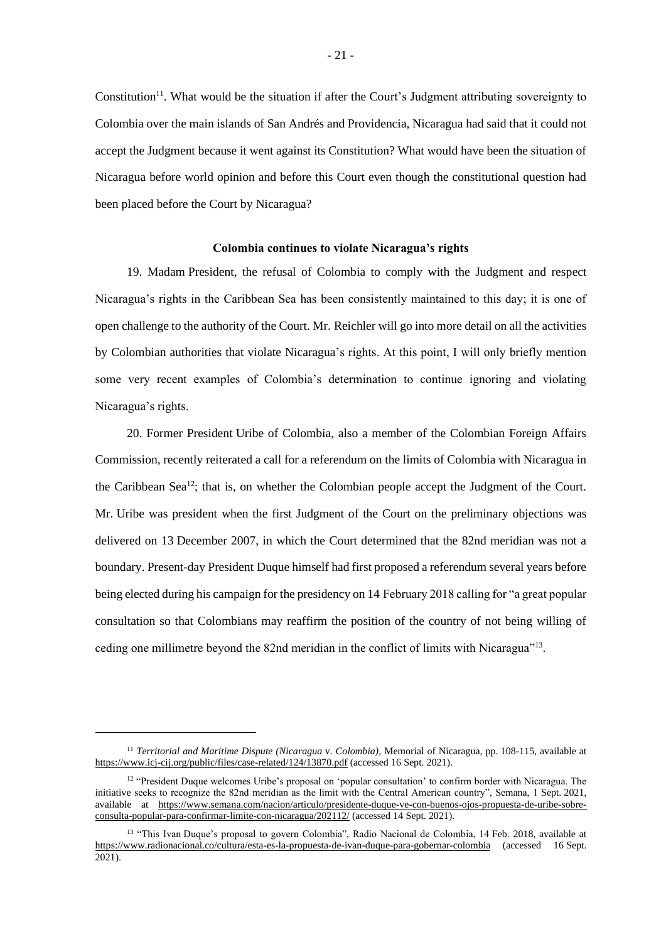Constitution<sup>11</sup>. What would be the situation if after the Court's Judgment attributing sovereignty to Colombia over the main islands of San Andrés and Providencia, Nicaragua had said that it could not accept the Judgment because it went against its Constitution? What would have been the situation of Nicaragua before world opinion and before this Court even though the constitutional question had been placed before the Court by Nicaragua?

#### **Colombia continues to violate Nicaragua's rights**

19. Madam President, the refusal of Colombia to comply with the Judgment and respect Nicaragua's rights in the Caribbean Sea has been consistently maintained to this day; it is one of open challenge to the authority of the Court. Mr. Reichler will go into more detail on all the activities by Colombian authorities that violate Nicaragua's rights. At this point, I will only briefly mention some very recent examples of Colombia's determination to continue ignoring and violating Nicaragua's rights.

20. Former President Uribe of Colombia, also a member of the Colombian Foreign Affairs Commission, recently reiterated a call for a referendum on the limits of Colombia with Nicaragua in the Caribbean Sea<sup>12</sup>; that is, on whether the Colombian people accept the Judgment of the Court. Mr. Uribe was president when the first Judgment of the Court on the preliminary objections was delivered on 13 December 2007, in which the Court determined that the 82nd meridian was not a boundary. Present-day President Duque himself had first proposed a referendum several years before being elected during his campaign for the presidency on 14 February 2018 calling for "a great popular consultation so that Colombians may reaffirm the position of the country of not being willing of ceding one millimetre beyond the 82nd meridian in the conflict of limits with Nicaragua"<sup>13</sup>.

<sup>11</sup> *Territorial and Maritime Dispute (Nicaragua* v. *Colombia)*, Memorial of Nicaragua, pp. 108-115, available at https://www.icj-cij.org/public/files/case-related/124/13870.pdf (accessed 16 Sept. 2021).

<sup>&</sup>lt;sup>12</sup> "President Duque welcomes Uribe's proposal on 'popular consultation' to confirm border with Nicaragua. The initiative seeks to recognize the 82nd meridian as the limit with the Central American country", Semana, 1 Sept. 2021, available at https://www.semana.com/nacion/articulo/presidente-duque-ve-con-buenos-ojos-propuesta-de-uribe-sobreconsulta-popular-para-confirmar-limite-con-nicaragua/202112/ (accessed 14 Sept. 2021).

<sup>&</sup>lt;sup>13</sup> "This Ivan Duque's proposal to govern Colombia", Radio Nacional de Colombia, 14 Feb. 2018, available at https://www.radionacional.co/cultura/esta-es-la-propuesta-de-ivan-duque-para-gobernar-colombia (accessed 16 Sept. 2021).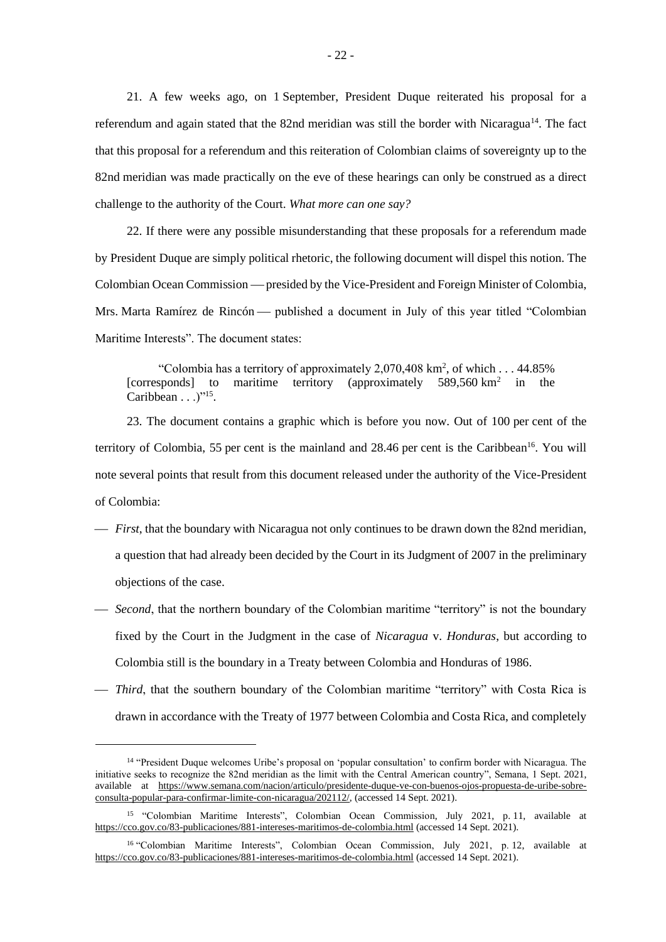21. A few weeks ago, on 1 September, President Duque reiterated his proposal for a referendum and again stated that the 82nd meridian was still the border with Nicaragua<sup>14</sup>. The fact that this proposal for a referendum and this reiteration of Colombian claims of sovereignty up to the 82nd meridian was made practically on the eve of these hearings can only be construed as a direct challenge to the authority of the Court. *What more can one say?*

22. If there were any possible misunderstanding that these proposals for a referendum made by President Duque are simply political rhetoric, the following document will dispel this notion. The Colombian Ocean Commission — presided by the Vice-President and Foreign Minister of Colombia, Mrs. Marta Ramírez de Rincón — published a document in July of this year titled "Colombian Maritime Interests". The document states:

"Colombia has a territory of approximately  $2,070,408$  km<sup>2</sup>, of which . . . 44.85% [corresponds] to maritime territory (approximately 589,560 km<sup>2</sup> in the Caribbean  $\ldots$ )"<sup>15</sup>.

23. The document contains a graphic which is before you now. Out of 100 per cent of the territory of Colombia, 55 per cent is the mainland and 28.46 per cent is the Caribbean<sup>16</sup>. You will note several points that result from this document released under the authority of the Vice-President of Colombia:

- ⎯ *First*, that the boundary with Nicaragua not only continues to be drawn down the 82nd meridian, a question that had already been decided by the Court in its Judgment of 2007 in the preliminary objections of the case.
- ⎯ *Second*, that the northern boundary of the Colombian maritime "territory" is not the boundary fixed by the Court in the Judgment in the case of *Nicaragua* v. *Honduras*, but according to Colombia still is the boundary in a Treaty between Colombia and Honduras of 1986.
- ⎯ *Third*, that the southern boundary of the Colombian maritime "territory" with Costa Rica is drawn in accordance with the Treaty of 1977 between Colombia and Costa Rica, and completely

<sup>14</sup> "President Duque welcomes Uribe's proposal on 'popular consultation' to confirm border with Nicaragua. The initiative seeks to recognize the 82nd meridian as the limit with the Central American country", Semana, 1 Sept. 2021, available at https://www.semana.com/nacion/articulo/presidente-duque-ve-con-buenos-ojos-propuesta-de-uribe-sobreconsulta-popular-para-confirmar-limite-con-nicaragua/202112/, (accessed 14 Sept. 2021).

<sup>15</sup> "Colombian Maritime Interests", Colombian Ocean Commission, July 2021, p. 11, available at https://cco.gov.co/83-publicaciones/881-intereses-maritimos-de-colombia.html (accessed 14 Sept. 2021).

<sup>&</sup>lt;sup>16</sup> "Colombian Maritime Interests", Colombian Ocean Commission, July 2021, p. 12, available at https://cco.gov.co/83-publicaciones/881-intereses-maritimos-de-colombia.html (accessed 14 Sept. 2021).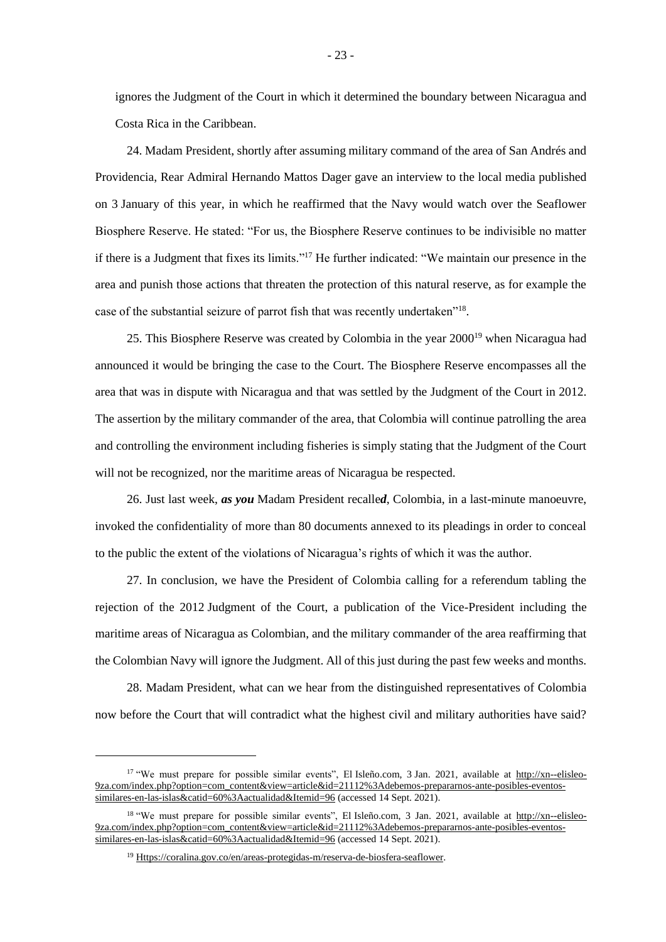ignores the Judgment of the Court in which it determined the boundary between Nicaragua and Costa Rica in the Caribbean.

24. Madam President, shortly after assuming military command of the area of San Andrés and Providencia, Rear Admiral Hernando Mattos Dager gave an interview to the local media published on 3 January of this year, in which he reaffirmed that the Navy would watch over the Seaflower Biosphere Reserve. He stated: "For us, the Biosphere Reserve continues to be indivisible no matter if there is a Judgment that fixes its limits."<sup>17</sup> He further indicated: "We maintain our presence in the area and punish those actions that threaten the protection of this natural reserve, as for example the case of the substantial seizure of parrot fish that was recently undertaken"<sup>18</sup>.

25. This Biosphere Reserve was created by Colombia in the year 2000<sup>19</sup> when Nicaragua had announced it would be bringing the case to the Court. The Biosphere Reserve encompasses all the area that was in dispute with Nicaragua and that was settled by the Judgment of the Court in 2012. The assertion by the military commander of the area, that Colombia will continue patrolling the area and controlling the environment including fisheries is simply stating that the Judgment of the Court will not be recognized, nor the maritime areas of Nicaragua be respected.

26. Just last week, *as you* Madam President recalle*d*, Colombia, in a last-minute manoeuvre, invoked the confidentiality of more than 80 documents annexed to its pleadings in order to conceal to the public the extent of the violations of Nicaragua's rights of which it was the author.

27. In conclusion, we have the President of Colombia calling for a referendum tabling the rejection of the 2012 Judgment of the Court, a publication of the Vice-President including the maritime areas of Nicaragua as Colombian, and the military commander of the area reaffirming that the Colombian Navy will ignore the Judgment. All of this just during the past few weeks and months.

28. Madam President, what can we hear from the distinguished representatives of Colombia now before the Court that will contradict what the highest civil and military authorities have said?

<sup>&</sup>lt;sup>17</sup> "We must prepare for possible similar events", El Isleño.com, 3 Jan. 2021, available at http://xn--elisleo-9za.com/index.php?option=com\_content&view=article&id=21112%3Adebemos-prepararnos-ante-posibles-eventossimilares-en-las-islas&catid=60%3Aactualidad&Itemid=96 (accessed 14 Sept. 2021).

<sup>&</sup>lt;sup>18</sup> "We must prepare for possible similar events", El Isleño.com, 3 Jan. 2021, available at http://xn--elisleo-9za.com/index.php?option=com\_content&view=article&id=21112%3Adebemos-prepararnos-ante-posibles-eventossimilares-en-las-islas&catid=60%3Aactualidad&Itemid=96 (accessed 14 Sept. 2021).

<sup>19</sup> Https://coralina.gov.co/en/areas-protegidas-m/reserva-de-biosfera-seaflower.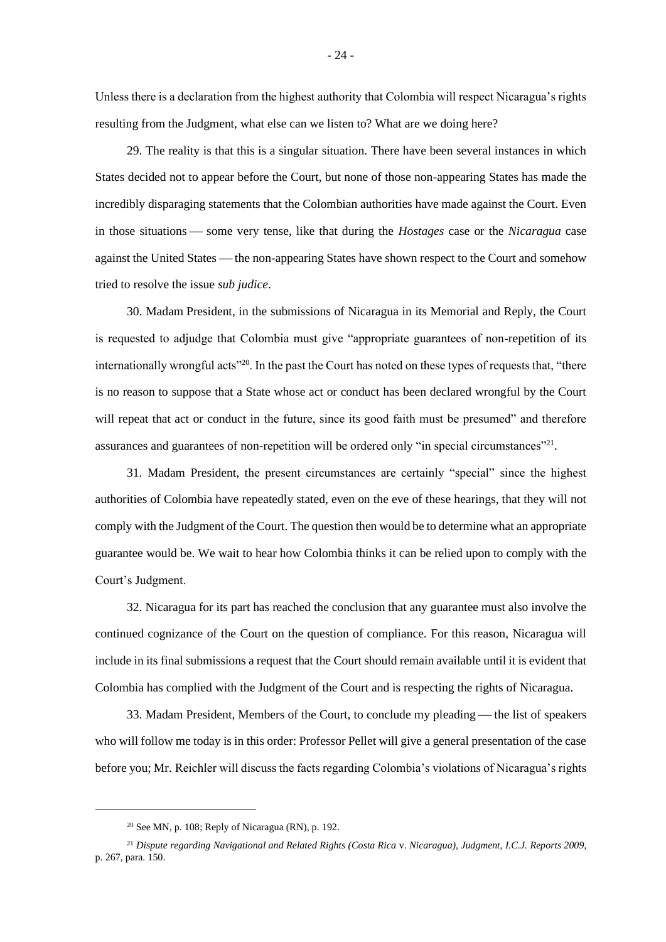Unless there is a declaration from the highest authority that Colombia will respect Nicaragua's rights resulting from the Judgment, what else can we listen to? What are we doing here?

29. The reality is that this is a singular situation. There have been several instances in which States decided not to appear before the Court, but none of those non-appearing States has made the incredibly disparaging statements that the Colombian authorities have made against the Court. Even in those situations — some very tense, like that during the *Hostages* case or the *Nicaragua* case against the United States — the non-appearing States have shown respect to the Court and somehow tried to resolve the issue *sub judice*.

30. Madam President, in the submissions of Nicaragua in its Memorial and Reply, the Court is requested to adjudge that Colombia must give "appropriate guarantees of non-repetition of its internationally wrongful acts<sup>"20</sup>. In the past the Court has noted on these types of requests that, "there is no reason to suppose that a State whose act or conduct has been declared wrongful by the Court will repeat that act or conduct in the future, since its good faith must be presumed" and therefore assurances and guarantees of non-repetition will be ordered only "in special circumstances"<sup>21</sup>.

31. Madam President, the present circumstances are certainly "special" since the highest authorities of Colombia have repeatedly stated, even on the eve of these hearings, that they will not comply with the Judgment of the Court. The question then would be to determine what an appropriate guarantee would be. We wait to hear how Colombia thinks it can be relied upon to comply with the Court's Judgment.

32. Nicaragua for its part has reached the conclusion that any guarantee must also involve the continued cognizance of the Court on the question of compliance. For this reason, Nicaragua will include in its final submissions a request that the Court should remain available until it is evident that Colombia has complied with the Judgment of the Court and is respecting the rights of Nicaragua.

33. Madam President, Members of the Court, to conclude my pleading — the list of speakers who will follow me today is in this order: Professor Pellet will give a general presentation of the case before you; Mr. Reichler will discuss the facts regarding Colombia's violations of Nicaragua's rights

 $20$  See MN, p. 108; Reply of Nicaragua (RN), p. 192.

<sup>21</sup> *Dispute regarding Navigational and Related Rights (Costa Rica* v. *Nicaragua), Judgment, I.C.J. Reports 2009*, p. 267, para. 150.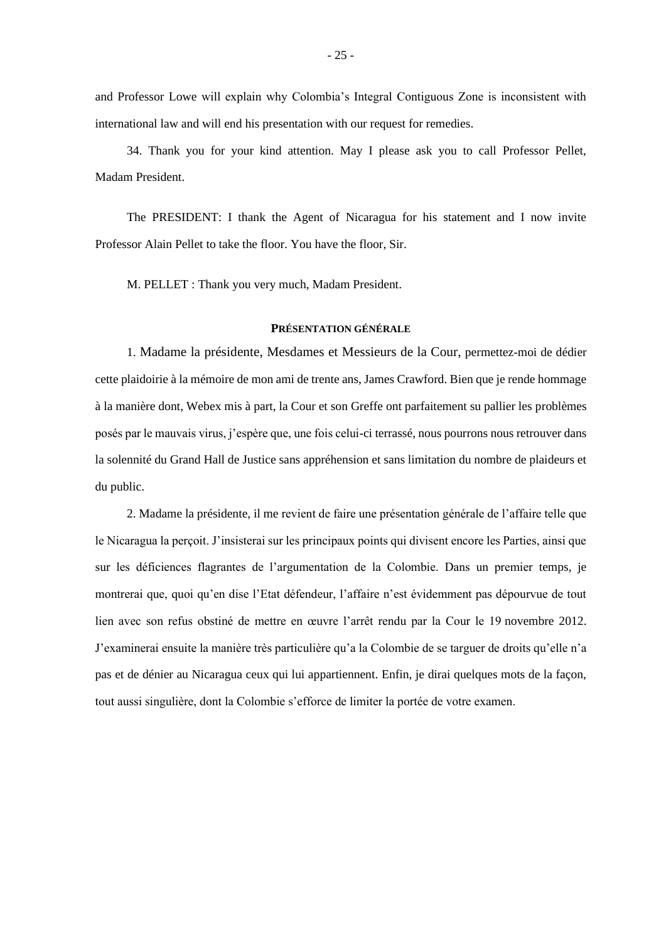and Professor Lowe will explain why Colombia's Integral Contiguous Zone is inconsistent with international law and will end his presentation with our request for remedies.

34. Thank you for your kind attention. May I please ask you to call Professor Pellet, Madam President.

The PRESIDENT: I thank the Agent of Nicaragua for his statement and I now invite Professor Alain Pellet to take the floor. You have the floor, Sir.

M. PELLET : Thank you very much, Madam President.

# **PRÉSENTATION GÉNÉRALE**

1. Madame la présidente, Mesdames et Messieurs de la Cour, permettez-moi de dédier cette plaidoirie à la mémoire de mon ami de trente ans, James Crawford. Bien que je rende hommage à la manière dont, Webex mis à part, la Cour et son Greffe ont parfaitement su pallier les problèmes posés par le mauvais virus, j'espère que, une fois celui-ci terrassé, nous pourrons nous retrouver dans la solennité du Grand Hall de Justice sans appréhension et sans limitation du nombre de plaideurs et du public.

2. Madame la présidente, il me revient de faire une présentation générale de l'affaire telle que le Nicaragua la perçoit. J'insisterai sur les principaux points qui divisent encore les Parties, ainsi que sur les déficiences flagrantes de l'argumentation de la Colombie. Dans un premier temps, je montrerai que, quoi qu'en dise l'Etat défendeur, l'affaire n'est évidemment pas dépourvue de tout lien avec son refus obstiné de mettre en œuvre l'arrêt rendu par la Cour le 19 novembre 2012. J'examinerai ensuite la manière très particulière qu'a la Colombie de se targuer de droits qu'elle n'a pas et de dénier au Nicaragua ceux qui lui appartiennent. Enfin, je dirai quelques mots de la façon, tout aussi singulière, dont la Colombie s'efforce de limiter la portée de votre examen.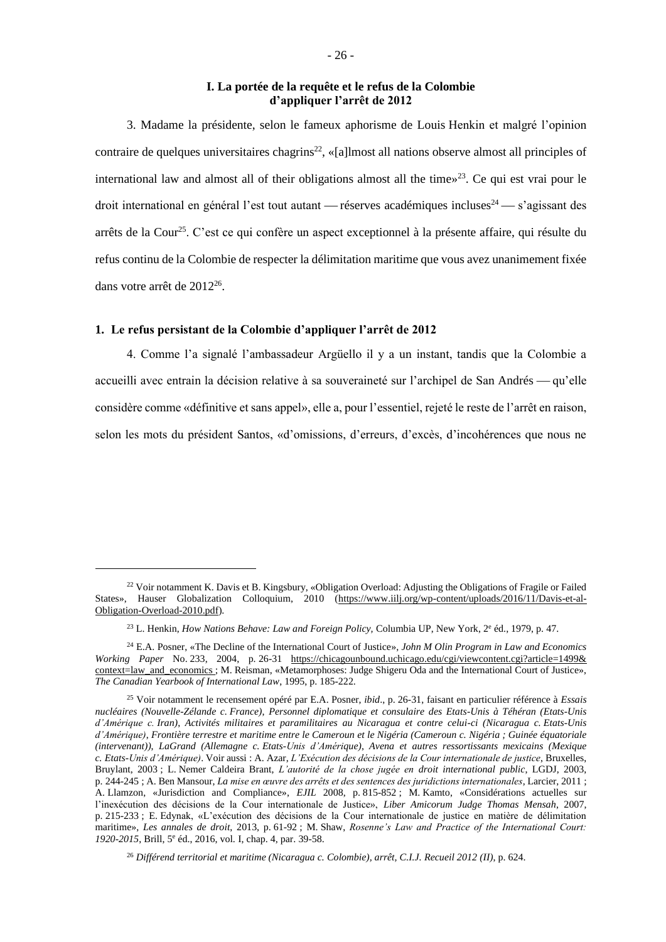## **I. La portée de la requête et le refus de la Colombie d'appliquer l'arrêt de 2012**

3. Madame la présidente, selon le fameux aphorisme de Louis Henkin et malgré l'opinion contraire de quelques universitaires chagrins<sup>22</sup>, «[a]lmost all nations observe almost all principles of international law and almost all of their obligations almost all the time $\frac{1}{2}$ . Ce qui est vrai pour le droit international en général l'est tout autant — réserves académiques incluses<sup>24</sup> — s'agissant des arrêts de la Cour<sup>25</sup>. C'est ce qui confère un aspect exceptionnel à la présente affaire, qui résulte du refus continu de la Colombie de respecter la délimitation maritime que vous avez unanimement fixée dans votre arrêt de 2012<sup>26</sup>.

### **1. Le refus persistant de la Colombie d'appliquer l'arrêt de 2012**

4. Comme l'a signalé l'ambassadeur Argüello il y a un instant, tandis que la Colombie a accueilli avec entrain la décision relative à sa souveraineté sur l'archipel de San Andrés — qu'elle considère comme «définitive et sans appel», elle a, pour l'essentiel, rejeté le reste de l'arrêt en raison, selon les mots du président Santos, «d'omissions, d'erreurs, d'excès, d'incohérences que nous ne

<sup>26</sup> *Différend territorial et maritime (Nicaragua c. Colombie), arrêt, C.I.J. Recueil 2012 (II)*, p. 624.

<sup>&</sup>lt;sup>22</sup> Voir notamment K. Davis et B. Kingsbury, «Obligation Overload: Adjusting the Obligations of Fragile or Failed States», Hauser Globalization Colloquium, 2010 (https://www.iilj.org/wp-content/uploads/2016/11/Davis-et-al-Obligation-Overload-2010.pdf).

<sup>&</sup>lt;sup>23</sup> L. Henkin, *How Nations Behave: Law and Foreign Policy*, Columbia UP, New York, 2<sup>e</sup> éd., 1979, p. 47.

<sup>24</sup> E.A. Posner, «The Decline of the International Court of Justice», *John M Olin Program in Law and Economics Working Paper* No. 233, 2004, p. 26-31 https://chicagounbound.uchicago.edu/cgi/viewcontent.cgi?article=1499& context=law\_and\_economics ; M. Reisman, «Metamorphoses: Judge Shigeru Oda and the International Court of Justice», *The Canadian Yearbook of International Law*, 1995, p. 185-222.

<sup>25</sup> Voir notamment le recensement opéré par E.A. Posner, *ibid*., p. 26-31, faisant en particulier référence à *Essais nucléaires (Nouvelle-Zélande c. France)*, *Personnel diplomatique et consulaire des Etats-Unis à Téhéran (Etats-Unis d'Amérique c. Iran)*, *Activités militaires et paramilitaires au Nicaragua et contre celui-ci (Nicaragua c. Etats-Unis d'Amérique)*, *Frontière terrestre et maritime entre le Cameroun et le Nigéria (Cameroun c. Nigéria ; Guinée équatoriale (intervenant))*, *LaGrand (Allemagne c. Etats-Unis d'Amérique)*, *Avena et autres ressortissants mexicains (Mexique c. Etats-Unis d'Amérique)*. Voir aussi : A. Azar, *L'Exécution des décisions de la Cour internationale de justice*, Bruxelles, Bruylant, 2003 ; L. Nemer Caldeira Brant, *L'autorité de la chose jugée en droit international public*, LGDJ, 2003, p. 244-245 ; A. Ben Mansour, *La mise en œuvre des arrêts et des sentences des juridictions internationales*, Larcier, 2011 ; A. Llamzon, «Jurisdiction and Compliance», *EJIL* 2008, p. 815-852 ; M. Kamto, «Considérations actuelles sur l'inexécution des décisions de la Cour internationale de Justice», *Liber Amicorum Judge Thomas Mensah*, 2007, p. 215-233 ; E. Edynak, «L'exécution des décisions de la Cour internationale de justice en matière de délimitation maritime», *Les annales de droit*, 2013, p. 61-92 ; M. Shaw, *Rosenne's Law and Practice of the International Court:*  1920-2015, Brill, 5<sup>e</sup> éd., 2016, vol. I, chap. 4, par. 39-58.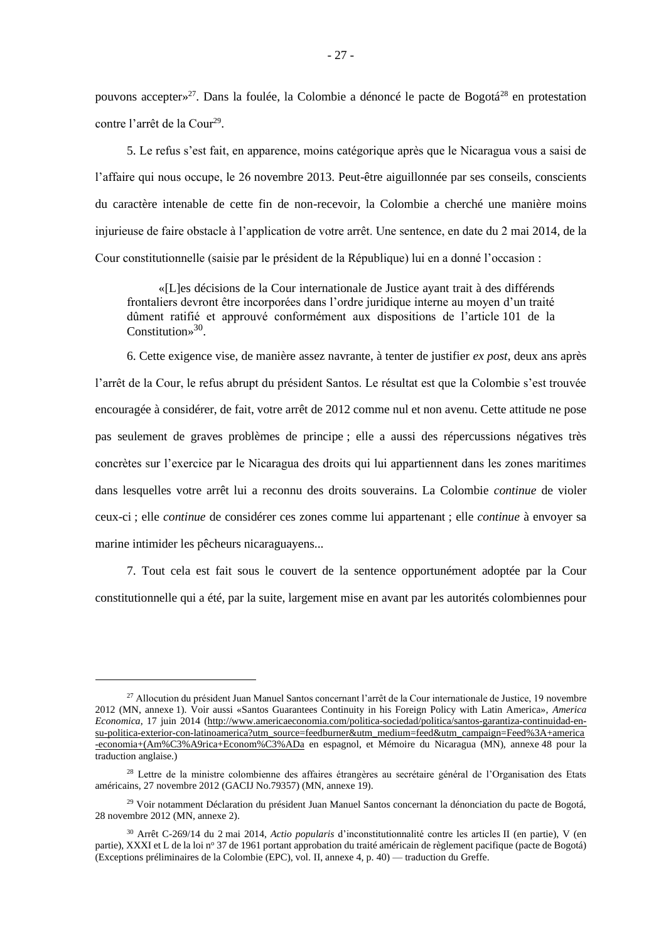pouvons accepter»<sup>27</sup>. Dans la foulée, la Colombie a dénoncé le pacte de Bogotá<sup>28</sup> en protestation contre l'arrêt de la Cour<sup>29</sup>.

5. Le refus s'est fait, en apparence, moins catégorique après que le Nicaragua vous a saisi de l'affaire qui nous occupe, le 26 novembre 2013. Peut-être aiguillonnée par ses conseils, conscients du caractère intenable de cette fin de non-recevoir, la Colombie a cherché une manière moins injurieuse de faire obstacle à l'application de votre arrêt. Une sentence, en date du 2 mai 2014, de la Cour constitutionnelle (saisie par le président de la République) lui en a donné l'occasion :

«[L]es décisions de la Cour internationale de Justice ayant trait à des différends frontaliers devront être incorporées dans l'ordre juridique interne au moyen d'un traité dûment ratifié et approuvé conformément aux dispositions de l'article 101 de la Constitution»<sup>30</sup>.

6. Cette exigence vise, de manière assez navrante, à tenter de justifier *ex post*, deux ans après l'arrêt de la Cour, le refus abrupt du président Santos. Le résultat est que la Colombie s'est trouvée encouragée à considérer, de fait, votre arrêt de 2012 comme nul et non avenu. Cette attitude ne pose pas seulement de graves problèmes de principe ; elle a aussi des répercussions négatives très concrètes sur l'exercice par le Nicaragua des droits qui lui appartiennent dans les zones maritimes dans lesquelles votre arrêt lui a reconnu des droits souverains. La Colombie *continue* de violer ceux-ci ; elle *continue* de considérer ces zones comme lui appartenant ; elle *continue* à envoyer sa marine intimider les pêcheurs nicaraguayens...

7. Tout cela est fait sous le couvert de la sentence opportunément adoptée par la Cour constitutionnelle qui a été, par la suite, largement mise en avant par les autorités colombiennes pour

<sup>27</sup> Allocution du président Juan Manuel Santos concernant l'arrêt de la Cour internationale de Justice, 19 novembre 2012 (MN, annexe 1). Voir aussi «Santos Guarantees Continuity in his Foreign Policy with Latin America», *America Economica*, 17 juin 2014 (http://www.americaeconomia.com/politica-sociedad/politica/santos-garantiza-continuidad-ensu-politica-exterior-con-latinoamerica?utm\_source=feedburner&utm\_medium=feed&utm\_campaign=Feed%3A+america -economia+(Am%C3%A9rica+Econom%C3%ADa en espagnol, et Mémoire du Nicaragua (MN), annexe 48 pour la traduction anglaise.)

<sup>&</sup>lt;sup>28</sup> Lettre de la ministre colombienne des affaires étrangères au secrétaire général de l'Organisation des Etats américains, 27 novembre 2012 (GACIJ No.79357) (MN, annexe 19).

<sup>29</sup> Voir notamment Déclaration du président Juan Manuel Santos concernant la dénonciation du pacte de Bogotá, 28 novembre 2012 (MN, annexe 2).

<sup>30</sup> Arrêt C-269/14 du 2 mai 2014, *Actio popularis* d'inconstitutionnalité contre les articles II (en partie), V (en partie), XXXI et L de la loi nº 37 de 1961 portant approbation du traité américain de règlement pacifique (pacte de Bogotá) (Exceptions préliminaires de la Colombie (EPC), vol. II, annexe 4, p. 40) — traduction du Greffe.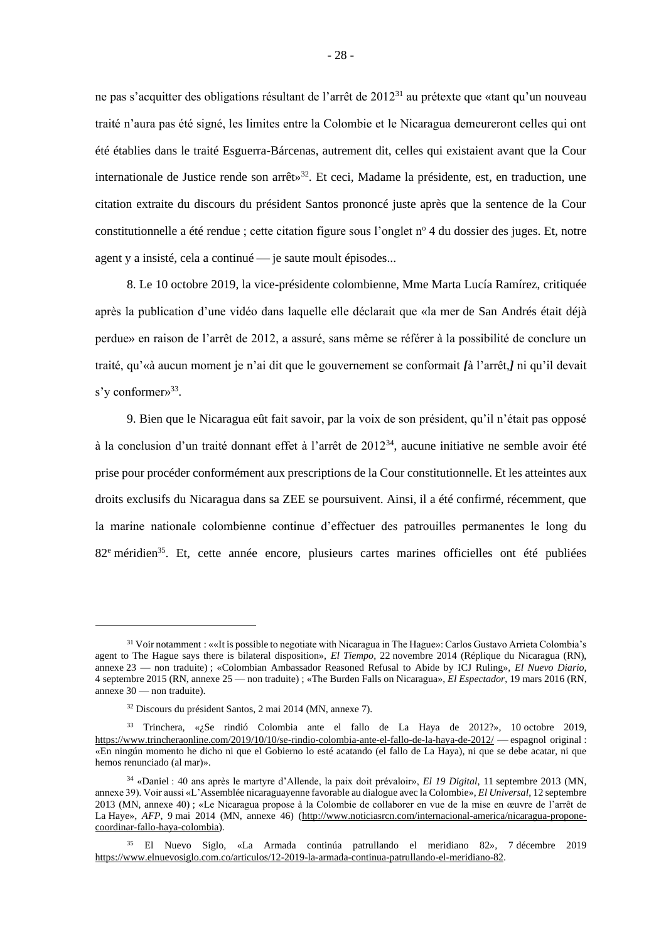ne pas s'acquitter des obligations résultant de l'arrêt de 2012<sup>31</sup> au prétexte que «tant qu'un nouveau traité n'aura pas été signé, les limites entre la Colombie et le Nicaragua demeureront celles qui ont été établies dans le traité Esguerra-Bárcenas, autrement dit, celles qui existaient avant que la Cour internationale de Justice rende son arrêt»<sup>32</sup>. Et ceci, Madame la présidente, est, en traduction, une citation extraite du discours du président Santos prononcé juste après que la sentence de la Cour constitutionnelle a été rendue ; cette citation figure sous l'onglet n° 4 du dossier des juges. Et, notre agent y a insisté, cela a continué — je saute moult épisodes...

8. Le 10 octobre 2019, la vice-présidente colombienne, Mme Marta Lucía Ramírez, critiquée après la publication d'une vidéo dans laquelle elle déclarait que «la mer de San Andrés était déjà perdue» en raison de l'arrêt de 2012, a assuré, sans même se référer à la possibilité de conclure un traité, qu'«à aucun moment je n'ai dit que le gouvernement se conformait *[*à l'arrêt,*]* ni qu'il devait s'y conformer»<sup>33</sup>.

9. Bien que le Nicaragua eût fait savoir, par la voix de son président, qu'il n'était pas opposé à la conclusion d'un traité donnant effet à l'arrêt de 2012<sup>34</sup>, aucune initiative ne semble avoir été prise pour procéder conformément aux prescriptions de la Cour constitutionnelle. Et les atteintes aux droits exclusifs du Nicaragua dans sa ZEE se poursuivent. Ainsi, il a été confirmé, récemment, que la marine nationale colombienne continue d'effectuer des patrouilles permanentes le long du  $82<sup>e</sup>$  méridien<sup>35</sup>. Et, cette année encore, plusieurs cartes marines officielles ont été publiées

<sup>31</sup> Voir notamment : ««It is possible to negotiate with Nicaragua in The Hague»: Carlos Gustavo Arrieta Colombia's agent to The Hague says there is bilateral disposition», *El Tiempo*, 22 novembre 2014 (Réplique du Nicaragua (RN), annexe 23 — non traduite) ; «Colombian Ambassador Reasoned Refusal to Abide by ICJ Ruling», *El Nuevo Diario,* 4 septembre 2015 (RN, annexe 25 — non traduite) ; «The Burden Falls on Nicaragua», *El Espectador*, 19 mars 2016 (RN, annexe 30 — non traduite).

<sup>32</sup> Discours du président Santos, 2 mai 2014 (MN, annexe 7).

<sup>33</sup> Trinchera, «¿Se rindió Colombia ante el fallo de La Haya de 2012?», 10 octobre 2019, https://www.trincheraonline.com/2019/10/10/se-rindio-colombia-ante-el-fallo-de-la-haya-de-2012/ — espagnol original : «En ningún momento he dicho ni que el Gobierno lo esté acatando (el fallo de La Haya), ni que se debe acatar, ni que hemos renunciado (al mar)».

<sup>34</sup> «Daniel : 40 ans après le martyre d'Allende, la paix doit prévaloir», *El 19 Digital*, 11 septembre 2013 (MN, annexe 39). Voir aussi «L'Assemblée nicaraguayenne favorable au dialogue avec la Colombie», *El Universal*, 12 septembre 2013 (MN, annexe 40) ; «Le Nicaragua propose à la Colombie de collaborer en vue de la mise en œuvre de l'arrêt de La Haye», *AFP*, 9 mai 2014 (MN, annexe 46) (http://www.noticiasrcn.com/internacional-america/nicaragua-proponecoordinar-fallo-haya-colombia).

<sup>35</sup> El Nuevo Siglo, «La Armada continúa patrullando el meridiano 82», 7 décembre 2019 https://www.elnuevosiglo.com.co/articulos/12-2019-la-armada-continua-patrullando-el-meridiano-82.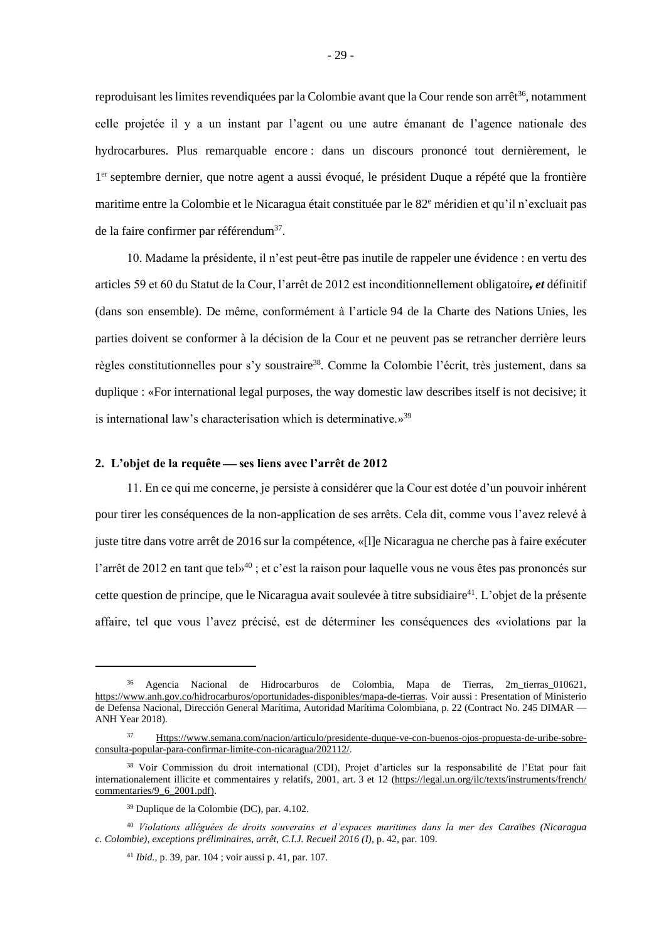reproduisant les limites revendiquées par la Colombie avant que la Cour rende son arrêt<sup>36</sup>, notamment celle projetée il y a un instant par l'agent ou une autre émanant de l'agence nationale des hydrocarbures. Plus remarquable encore : dans un discours prononcé tout dernièrement, le 1 er septembre dernier, que notre agent a aussi évoqué, le président Duque a répété que la frontière maritime entre la Colombie et le Nicaragua était constituée par le 82<sup>e</sup> méridien et qu'il n'excluait pas de la faire confirmer par référendum<sup>37</sup>.

10. Madame la présidente, il n'est peut-être pas inutile de rappeler une évidence : en vertu des articles 59 et 60 du Statut de la Cour, l'arrêt de 2012 est inconditionnellement obligatoire*, et* définitif (dans son ensemble). De même, conformément à l'article 94 de la Charte des Nations Unies, les parties doivent se conformer à la décision de la Cour et ne peuvent pas se retrancher derrière leurs règles constitutionnelles pour s'y soustraire<sup>38</sup>. Comme la Colombie l'écrit, très justement, dans sa duplique : «For international legal purposes, the way domestic law describes itself is not decisive; it is international law's characterisation which is determinative.»<sup>39</sup>

# 2. L'objet de la requête — ses liens avec l'arrêt de 2012

11. En ce qui me concerne, je persiste à considérer que la Cour est dotée d'un pouvoir inhérent pour tirer les conséquences de la non-application de ses arrêts. Cela dit, comme vous l'avez relevé à juste titre dans votre arrêt de 2016 sur la compétence, «[l]e Nicaragua ne cherche pas à faire exécuter l'arrêt de 2012 en tant que tel»<sup>40</sup>; et c'est la raison pour laquelle vous ne vous êtes pas prononcés sur cette question de principe, que le Nicaragua avait soulevée à titre subsidiaire<sup>41</sup>. L'objet de la présente affaire, tel que vous l'avez précisé, est de déterminer les conséquences des «violations par la

<sup>36</sup> Agencia Nacional de Hidrocarburos de Colombia, Mapa de Tierras, 2m\_tierras\_010621, https://www.anh.gov.co/hidrocarburos/oportunidades-disponibles/mapa-de-tierras. Voir aussi : Presentation of Ministerio de Defensa Nacional, Dirección General Marítima, Autoridad Marítima Colombiana, p. 22 (Contract No. 245 DIMAR — ANH Year 2018).

<sup>37</sup> Https://www.semana.com/nacion/articulo/presidente-duque-ve-con-buenos-ojos-propuesta-de-uribe-sobreconsulta-popular-para-confirmar-limite-con-nicaragua/202112/.

<sup>38</sup> Voir Commission du droit international (CDI), Projet d'articles sur la responsabilité de l'Etat pour fait internationalement illicite et commentaires y relatifs, 2001, art. 3 et 12 (https://legal.un.org/ilc/texts/instruments/french/ commentaries/9\_6\_2001.pdf).

<sup>39</sup> Duplique de la Colombie (DC), par. 4.102.

<sup>40</sup> *Violations alléguées de droits souverains et d'espaces maritimes dans la mer des Caraïbes (Nicaragua c. Colombie), exceptions préliminaires, arrêt, C.I.J. Recueil 2016 (I)*, p. 42, par. 109.

<sup>41</sup> *Ibid.*, p. 39, par. 104 ; voir aussi p. 41, par. 107.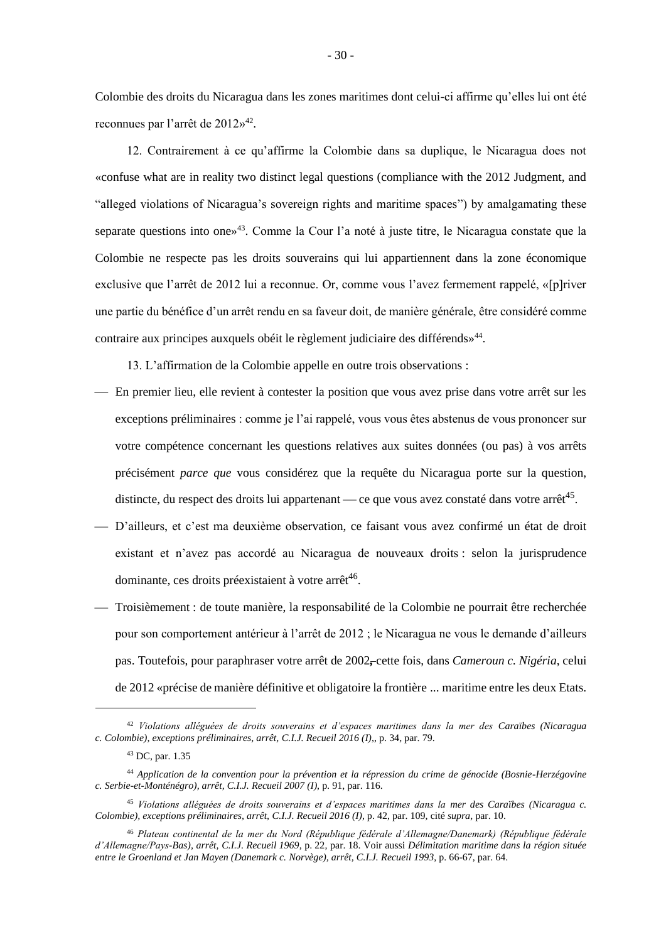Colombie des droits du Nicaragua dans les zones maritimes dont celui-ci affirme qu'elles lui ont été reconnues par l'arrêt de 2012»<sup>42</sup>.

12. Contrairement à ce qu'affirme la Colombie dans sa duplique, le Nicaragua does not «confuse what are in reality two distinct legal questions (compliance with the 2012 Judgment, and "alleged violations of Nicaragua's sovereign rights and maritime spaces") by amalgamating these separate questions into one»<sup>43</sup>. Comme la Cour l'a noté à juste titre, le Nicaragua constate que la Colombie ne respecte pas les droits souverains qui lui appartiennent dans la zone économique exclusive que l'arrêt de 2012 lui a reconnue. Or, comme vous l'avez fermement rappelé, «[p]river une partie du bénéfice d'un arrêt rendu en sa faveur doit, de manière générale, être considéré comme contraire aux principes auxquels obéit le règlement judiciaire des différends»<sup>44</sup>.

13. L'affirmation de la Colombie appelle en outre trois observations :

- ⎯ En premier lieu, elle revient à contester la position que vous avez prise dans votre arrêt sur les exceptions préliminaires : comme je l'ai rappelé, vous vous êtes abstenus de vous prononcer sur votre compétence concernant les questions relatives aux suites données (ou pas) à vos arrêts précisément *parce que* vous considérez que la requête du Nicaragua porte sur la question, distincte, du respect des droits lui appartenant — ce que vous avez constaté dans votre arrêt<sup>45</sup>.
- D'ailleurs, et c'est ma deuxième observation, ce faisant vous avez confirmé un état de droit existant et n'avez pas accordé au Nicaragua de nouveaux droits : selon la jurisprudence dominante, ces droits préexistaient à votre arrêt<sup>46</sup>.
- ⎯ Troisièmement : de toute manière, la responsabilité de la Colombie ne pourrait être recherchée pour son comportement antérieur à l'arrêt de 2012 ; le Nicaragua ne vous le demande d'ailleurs pas. Toutefois, pour paraphraser votre arrêt de 2002*,* cette fois, dans *Cameroun c. Nigéria*, celui de 2012 «précise de manière définitive et obligatoire la frontière ... maritime entre les deux Etats.

<sup>42</sup> *Violations alléguées de droits souverains et d'espaces maritimes dans la mer des Caraïbes (Nicaragua c. Colombie), exceptions préliminaires, arrêt, C.I.J. Recueil 2016 (I)*,, p. 34, par. 79.

<sup>43</sup> DC, par. 1.35

<sup>44</sup> *Application de la convention pour la prévention et la répression du crime de génocide (Bosnie-Herzégovine c. Serbie-et-Monténégro), arrêt, C.I.J. Recueil 2007 (I)*, p. 91, par. 116.

<sup>45</sup> *Violations alléguées de droits souverains et d'espaces maritimes dans la mer des Caraïbes (Nicaragua c. Colombie), exceptions préliminaires, arrêt, C.I.J. Recueil 2016 (I)*, p. 42, par. 109, cité *supra*, par. 10.

<sup>46</sup> *Plateau continental de la mer du Nord (République fédérale d'Allemagne/Danemark) (République fédérale d'Allemagne/Pays-Bas), arrêt, C.I.J. Recueil 1969*, p. 22, par. 18. Voir aussi *Délimitation maritime dans la région située entre le Groenland et Jan Mayen (Danemark c. Norvège), arrêt, C.I.J. Recueil 1993*, p. 66-67, par. 64.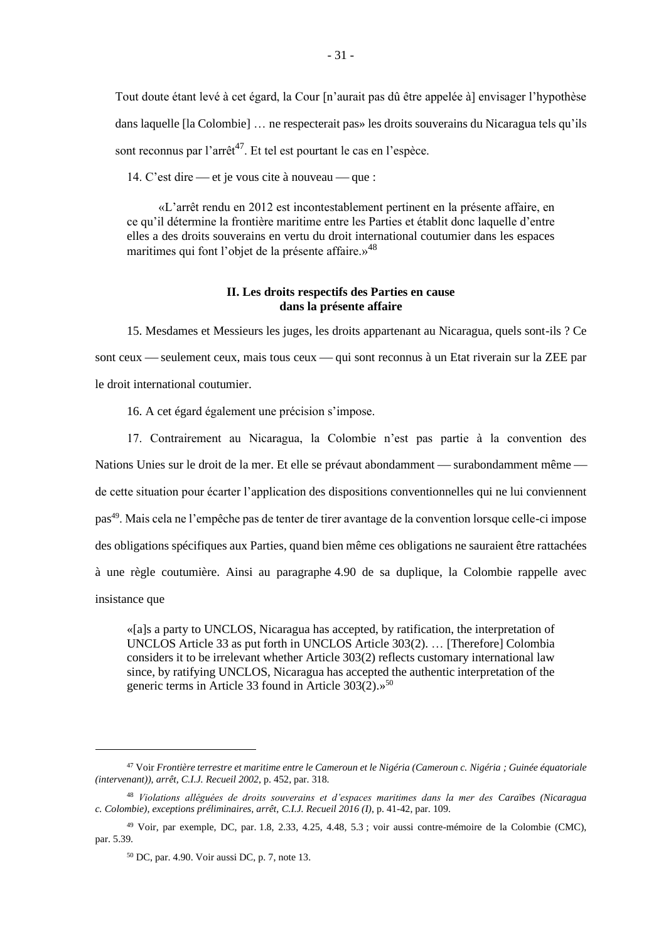Tout doute étant levé à cet égard, la Cour [n'aurait pas dû être appelée à] envisager l'hypothèse dans laquelle [la Colombie] … ne respecterait pas» les droits souverains du Nicaragua tels qu'ils sont reconnus par l'arrêt<sup>47</sup>. Et tel est pourtant le cas en l'espèce.

14. C'est dire — et je vous cite à nouveau — que :

«L'arrêt rendu en 2012 est incontestablement pertinent en la présente affaire, en ce qu'il détermine la frontière maritime entre les Parties et établit donc laquelle d'entre elles a des droits souverains en vertu du droit international coutumier dans les espaces maritimes qui font l'objet de la présente affaire.»<sup>48</sup>

# **II. Les droits respectifs des Parties en cause dans la présente affaire**

15. Mesdames et Messieurs les juges, les droits appartenant au Nicaragua, quels sont-ils ? Ce sont ceux — seulement ceux, mais tous ceux — qui sont reconnus à un Etat riverain sur la ZEE par le droit international coutumier.

16. A cet égard également une précision s'impose.

17. Contrairement au Nicaragua, la Colombie n'est pas partie à la convention des Nations Unies sur le droit de la mer. Et elle se prévaut abondamment — surabondamment même de cette situation pour écarter l'application des dispositions conventionnelles qui ne lui conviennent pas<sup>49</sup>. Mais cela ne l'empêche pas de tenter de tirer avantage de la convention lorsque celle-ci impose des obligations spécifiques aux Parties, quand bien même ces obligations ne sauraient être rattachées à une règle coutumière. Ainsi au paragraphe 4.90 de sa duplique, la Colombie rappelle avec insistance que

«[a]s a party to UNCLOS, Nicaragua has accepted, by ratification, the interpretation of UNCLOS Article 33 as put forth in UNCLOS Article 303(2). … [Therefore] Colombia considers it to be irrelevant whether Article 303(2) reflects customary international law since, by ratifying UNCLOS, Nicaragua has accepted the authentic interpretation of the generic terms in Article 33 found in Article 303(2).»<sup>50</sup>

<sup>47</sup> Voir *Frontière terrestre et maritime entre le Cameroun et le Nigéria (Cameroun c. Nigéria ; Guinée équatoriale (intervenant)), arrêt, C.I.J. Recueil 2002*, p. 452, par. 318.

<sup>48</sup> *Violations alléguées de droits souverains et d'espaces maritimes dans la mer des Caraïbes (Nicaragua c. Colombie), exceptions préliminaires, arrêt, C.I.J. Recueil 2016 (I)*, p. 41-42, par. 109.

<sup>49</sup> Voir, par exemple, DC, par. 1.8, 2.33, 4.25, 4.48, 5.3 ; voir aussi contre-mémoire de la Colombie (CMC), par. 5.39.

<sup>50</sup> DC, par. 4.90. Voir aussi DC, p. 7, note 13.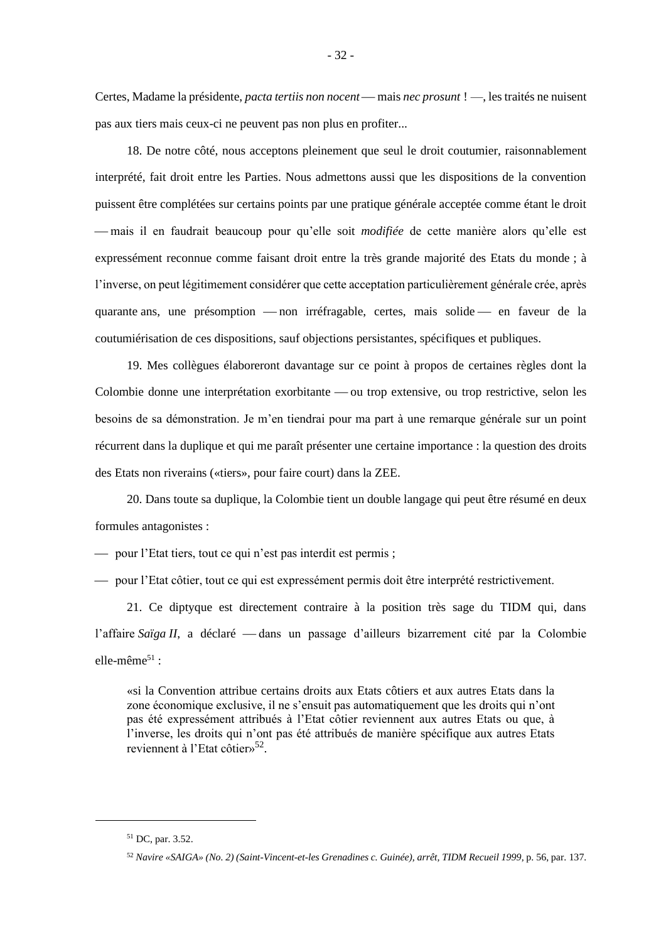Certes, Madame la présidente, *pacta tertiis non nocent* — mais *nec prosunt* ! —, les traités ne nuisent pas aux tiers mais ceux-ci ne peuvent pas non plus en profiter...

18. De notre côté, nous acceptons pleinement que seul le droit coutumier, raisonnablement interprété, fait droit entre les Parties. Nous admettons aussi que les dispositions de la convention puissent être complétées sur certains points par une pratique générale acceptée comme étant le droit ⎯ mais il en faudrait beaucoup pour qu'elle soit *modifiée* de cette manière alors qu'elle est expressément reconnue comme faisant droit entre la très grande majorité des Etats du monde ; à l'inverse, on peut légitimement considérer que cette acceptation particulièrement générale crée, après quarante ans, une présomption — non irréfragable, certes, mais solide — en faveur de la coutumiérisation de ces dispositions, sauf objections persistantes, spécifiques et publiques.

19. Mes collègues élaboreront davantage sur ce point à propos de certaines règles dont la Colombie donne une interprétation exorbitante — ou trop extensive, ou trop restrictive, selon les besoins de sa démonstration. Je m'en tiendrai pour ma part à une remarque générale sur un point récurrent dans la duplique et qui me paraît présenter une certaine importance : la question des droits des Etats non riverains («tiers», pour faire court) dans la ZEE.

20. Dans toute sa duplique, la Colombie tient un double langage qui peut être résumé en deux formules antagonistes :

⎯ pour l'Etat tiers, tout ce qui n'est pas interdit est permis ;

⎯ pour l'Etat côtier, tout ce qui est expressément permis doit être interprété restrictivement.

21. Ce diptyque est directement contraire à la position très sage du TIDM qui, dans l'affaire *Saïga II*, a déclaré — dans un passage d'ailleurs bizarrement cité par la Colombie elle-même $51$   $\cdot$ 

«si la Convention attribue certains droits aux Etats côtiers et aux autres Etats dans la zone économique exclusive, il ne s'ensuit pas automatiquement que les droits qui n'ont pas été expressément attribués à l'Etat côtier reviennent aux autres Etats ou que, à l'inverse, les droits qui n'ont pas été attribués de manière spécifique aux autres Etats reviennent à l'Etat côtier»<sup>52</sup>.

<sup>51</sup> DC, par. 3.52.

<sup>52</sup> *Navire «SAIGA» (No. 2) (Saint-Vincent-et-les Grenadines c. Guinée), arrêt, TIDM Recueil 1999*, p. 56, par. 137.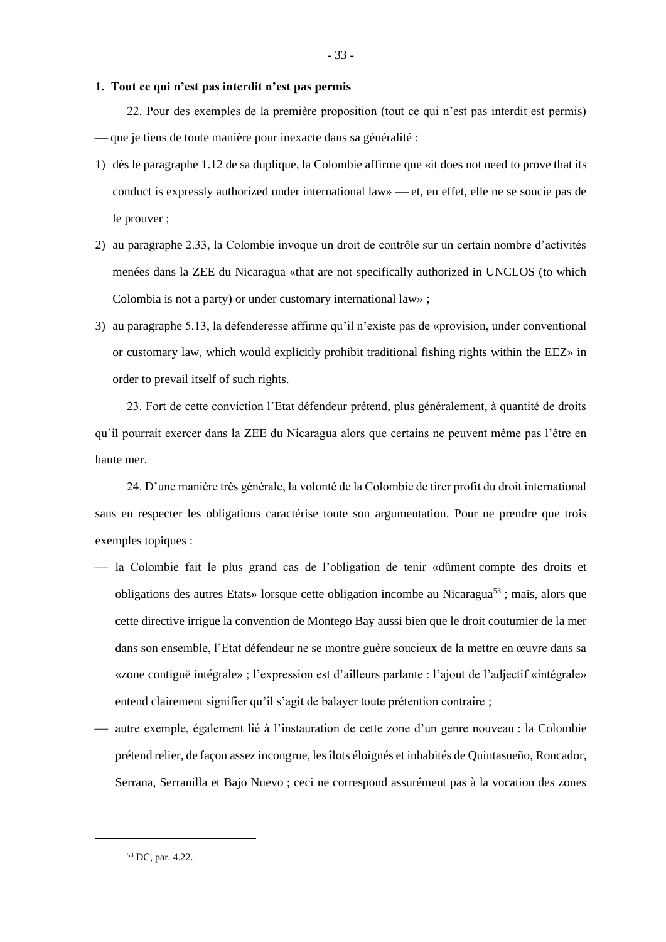#### **1. Tout ce qui n'est pas interdit n'est pas permis**

22. Pour des exemples de la première proposition (tout ce qui n'est pas interdit est permis) — que je tiens de toute manière pour inexacte dans sa généralité :

- 1) dès le paragraphe 1.12 de sa duplique, la Colombie affirme que «it does not need to prove that its conduct is expressly authorized under international law  $\rightarrow$  et, en effet, elle ne se soucie pas de le prouver ;
- 2) au paragraphe 2.33, la Colombie invoque un droit de contrôle sur un certain nombre d'activités menées dans la ZEE du Nicaragua «that are not specifically authorized in UNCLOS (to which Colombia is not a party) or under customary international law» ;
- 3) au paragraphe 5.13, la défenderesse affirme qu'il n'existe pas de «provision, under conventional or customary law, which would explicitly prohibit traditional fishing rights within the EEZ» in order to prevail itself of such rights.

23. Fort de cette conviction l'Etat défendeur prétend, plus généralement, à quantité de droits qu'il pourrait exercer dans la ZEE du Nicaragua alors que certains ne peuvent même pas l'être en haute mer.

24. D'une manière très générale, la volonté de la Colombie de tirer profit du droit international sans en respecter les obligations caractérise toute son argumentation. Pour ne prendre que trois exemples topiques :

- la Colombie fait le plus grand cas de l'obligation de tenir «dûment compte des droits et obligations des autres Etats» lorsque cette obligation incombe au Nicaragua<sup>53</sup>; mais, alors que cette directive irrigue la convention de Montego Bay aussi bien que le droit coutumier de la mer dans son ensemble, l'Etat défendeur ne se montre guère soucieux de la mettre en œuvre dans sa «zone contiguë intégrale» ; l'expression est d'ailleurs parlante : l'ajout de l'adjectif «intégrale» entend clairement signifier qu'il s'agit de balayer toute prétention contraire ;
- ⎯ autre exemple, également lié à l'instauration de cette zone d'un genre nouveau : la Colombie prétend relier, de façon assez incongrue, les îlots éloignés et inhabités de Quintasueño, Roncador, Serrana, Serranilla et Bajo Nuevo ; ceci ne correspond assurément pas à la vocation des zones

<sup>53</sup> DC, par. 4.22.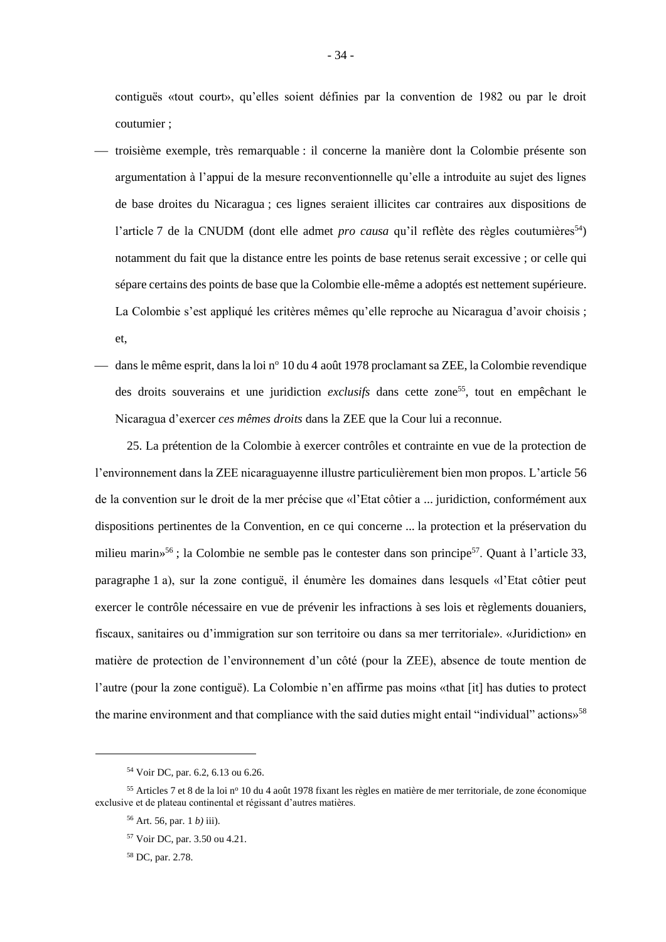contiguës «tout court», qu'elles soient définies par la convention de 1982 ou par le droit coutumier ;

- ⎯ troisième exemple, très remarquable : il concerne la manière dont la Colombie présente son argumentation à l'appui de la mesure reconventionnelle qu'elle a introduite au sujet des lignes de base droites du Nicaragua ; ces lignes seraient illicites car contraires aux dispositions de l'article 7 de la CNUDM (dont elle admet *pro causa* qu'il reflète des règles coutumières<sup>54</sup>) notamment du fait que la distance entre les points de base retenus serait excessive ; or celle qui sépare certains des points de base que la Colombie elle-même a adoptés est nettement supérieure. La Colombie s'est appliqué les critères mêmes qu'elle reproche au Nicaragua d'avoir choisis ; et,
- dans le même esprit, dans la loi n<sup>o</sup> 10 du 4 août 1978 proclamant sa ZEE, la Colombie revendique des droits souverains et une juridiction *exclusifs* dans cette zone<sup>55</sup>, tout en empêchant le Nicaragua d'exercer *ces mêmes droits* dans la ZEE que la Cour lui a reconnue.

25. La prétention de la Colombie à exercer contrôles et contrainte en vue de la protection de l'environnement dans la ZEE nicaraguayenne illustre particulièrement bien mon propos. L'article 56 de la convention sur le droit de la mer précise que «l'Etat côtier a ... juridiction, conformément aux dispositions pertinentes de la Convention, en ce qui concerne ... la protection et la préservation du milieu marin»<sup>56</sup>; la Colombie ne semble pas le contester dans son principe<sup>57</sup>. Quant à l'article 33, paragraphe 1 a), sur la zone contiguë, il énumère les domaines dans lesquels «l'Etat côtier peut exercer le contrôle nécessaire en vue de prévenir les infractions à ses lois et règlements douaniers, fiscaux, sanitaires ou d'immigration sur son territoire ou dans sa mer territoriale». «Juridiction» en matière de protection de l'environnement d'un côté (pour la ZEE), absence de toute mention de l'autre (pour la zone contiguë). La Colombie n'en affirme pas moins «that [it] has duties to protect the marine environment and that compliance with the said duties might entail "individual" actions»<sup>58</sup>

<sup>54</sup> Voir DC, par. 6.2, 6.13 ou 6.26.

 $55$  Articles 7 et 8 de la loi n° 10 du 4 août 1978 fixant les règles en matière de mer territoriale, de zone économique exclusive et de plateau continental et régissant d'autres matières.

<sup>56</sup> Art. 56, par. 1 *b)* iii).

<sup>57</sup> Voir DC, par. 3.50 ou 4.21.

<sup>58</sup> DC, par. 2.78.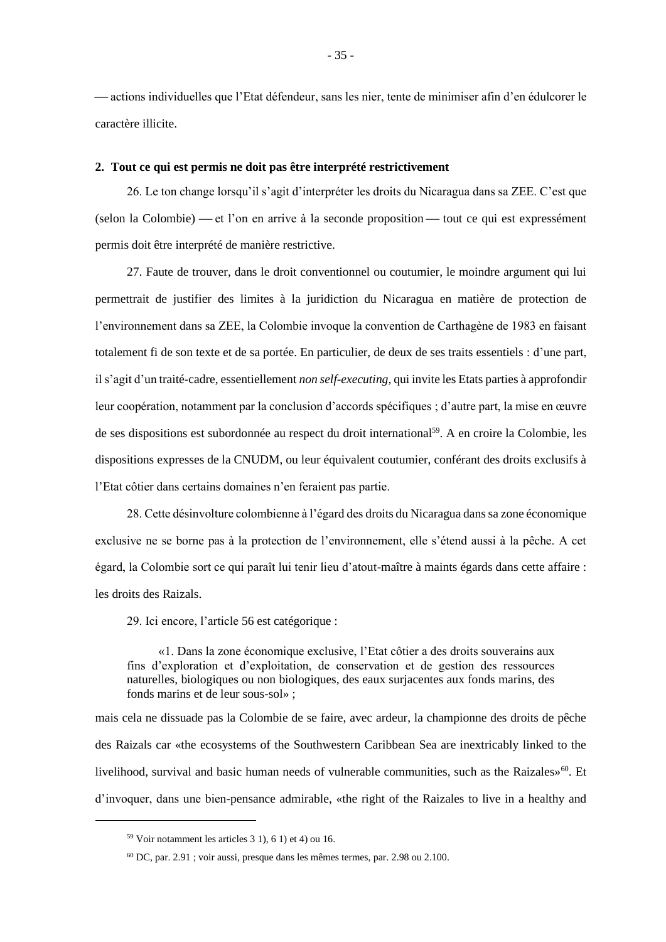⎯ actions individuelles que l'Etat défendeur, sans les nier, tente de minimiser afin d'en édulcorer le caractère illicite.

## **2. Tout ce qui est permis ne doit pas être interprété restrictivement**

26. Le ton change lorsqu'il s'agit d'interpréter les droits du Nicaragua dans sa ZEE. C'est que (selon la Colombie) — et l'on en arrive à la seconde proposition — tout ce qui est expressément permis doit être interprété de manière restrictive.

27. Faute de trouver, dans le droit conventionnel ou coutumier, le moindre argument qui lui permettrait de justifier des limites à la juridiction du Nicaragua en matière de protection de l'environnement dans sa ZEE, la Colombie invoque la convention de Carthagène de 1983 en faisant totalement fi de son texte et de sa portée. En particulier, de deux de ses traits essentiels : d'une part, il s'agit d'un traité-cadre, essentiellement *non self-executing*, qui invite les Etats parties à approfondir leur coopération, notamment par la conclusion d'accords spécifiques ; d'autre part, la mise en œuvre de ses dispositions est subordonnée au respect du droit international<sup>59</sup>. A en croire la Colombie, les dispositions expresses de la CNUDM, ou leur équivalent coutumier, conférant des droits exclusifs à l'Etat côtier dans certains domaines n'en feraient pas partie.

28. Cette désinvolture colombienne à l'égard des droits du Nicaragua dans sa zone économique exclusive ne se borne pas à la protection de l'environnement, elle s'étend aussi à la pêche. A cet égard, la Colombie sort ce qui paraît lui tenir lieu d'atout-maître à maints égards dans cette affaire : les droits des Raizals.

29. Ici encore, l'article 56 est catégorique :

«1. Dans la zone économique exclusive, l'Etat côtier a des droits souverains aux fins d'exploration et d'exploitation, de conservation et de gestion des ressources naturelles, biologiques ou non biologiques, des eaux surjacentes aux fonds marins, des fonds marins et de leur sous-sol» ;

mais cela ne dissuade pas la Colombie de se faire, avec ardeur, la championne des droits de pêche des Raizals car «the ecosystems of the Southwestern Caribbean Sea are inextricably linked to the livelihood, survival and basic human needs of vulnerable communities, such as the Raizales»<sup>60</sup>. Et d'invoquer, dans une bien-pensance admirable, «the right of the Raizales to live in a healthy and

 $59$  Voir notamment les articles 3 1), 6 1) et 4) ou 16.

 $60$  DC, par. 2.91; voir aussi, presque dans les mêmes termes, par. 2.98 ou 2.100.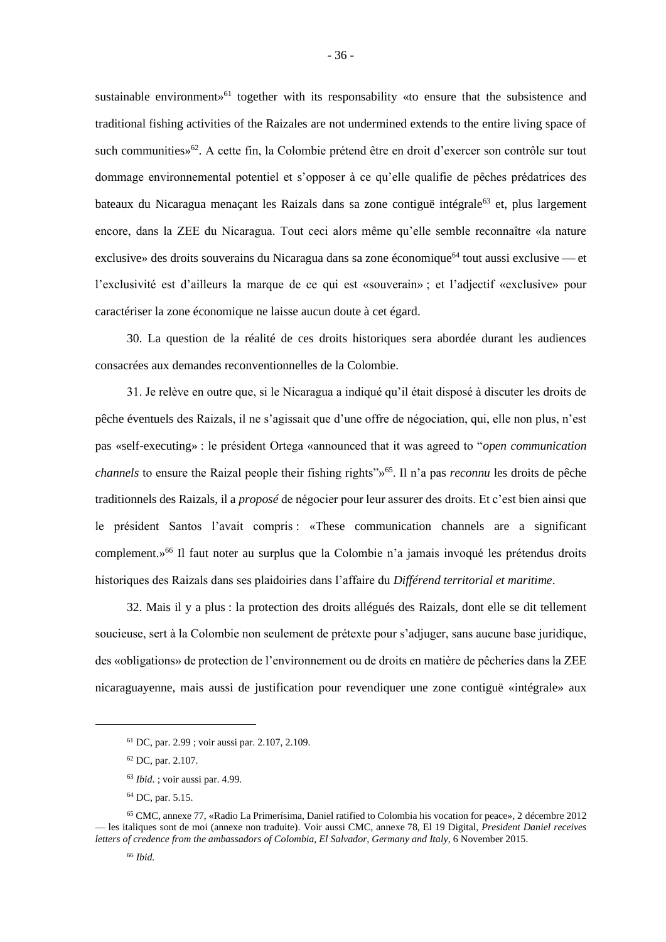sustainable environment»<sup>61</sup> together with its responsability «to ensure that the subsistence and traditional fishing activities of the Raizales are not undermined extends to the entire living space of such communities»<sup>62</sup> . A cette fin, la Colombie prétend être en droit d'exercer son contrôle sur tout dommage environnemental potentiel et s'opposer à ce qu'elle qualifie de pêches prédatrices des bateaux du Nicaragua menaçant les Raizals dans sa zone contiguë intégrale<sup>63</sup> et, plus largement encore, dans la ZEE du Nicaragua. Tout ceci alors même qu'elle semble reconnaître «la nature exclusive» des droits souverains du Nicaragua dans sa zone économique<sup>64</sup> tout aussi exclusive — et l'exclusivité est d'ailleurs la marque de ce qui est «souverain» ; et l'adjectif «exclusive» pour caractériser la zone économique ne laisse aucun doute à cet égard.

30. La question de la réalité de ces droits historiques sera abordée durant les audiences consacrées aux demandes reconventionnelles de la Colombie.

31. Je relève en outre que, si le Nicaragua a indiqué qu'il était disposé à discuter les droits de pêche éventuels des Raizals, il ne s'agissait que d'une offre de négociation, qui, elle non plus, n'est pas «self-executing» : le président Ortega «announced that it was agreed to "*open communication channels* to ensure the Raizal people their fishing rights"<sup>365</sup>. Il n'a pas *reconnu* les droits de pêche traditionnels des Raizals, il a *proposé* de négocier pour leur assurer des droits. Et c'est bien ainsi que le président Santos l'avait compris : «These communication channels are a significant complement.»<sup>66</sup> Il faut noter au surplus que la Colombie n'a jamais invoqué les prétendus droits historiques des Raizals dans ses plaidoiries dans l'affaire du *Différend territorial et maritime*.

32. Mais il y a plus : la protection des droits allégués des Raizals, dont elle se dit tellement soucieuse, sert à la Colombie non seulement de prétexte pour s'adjuger, sans aucune base juridique, des «obligations» de protection de l'environnement ou de droits en matière de pêcheries dans la ZEE nicaraguayenne, mais aussi de justification pour revendiquer une zone contiguë «intégrale» aux

<sup>61</sup> DC, par. 2.99 ; voir aussi par. 2.107, 2.109.

<sup>62</sup> DC, par. 2.107.

<sup>63</sup> *Ibid*. ; voir aussi par. 4.99.

<sup>64</sup> DC, par. 5.15.

<sup>65</sup> CMC, annexe 77, «Radio La Primerísima, Daniel ratified to Colombia his vocation for peace», 2 décembre 2012 — les italiques sont de moi (annexe non traduite). Voir aussi CMC, annexe 78, El 19 Digital, *President Daniel receives letters of credence from the ambassadors of Colombia, El Salvador, Germany and Italy*, 6 November 2015.

<sup>66</sup> *Ibid.*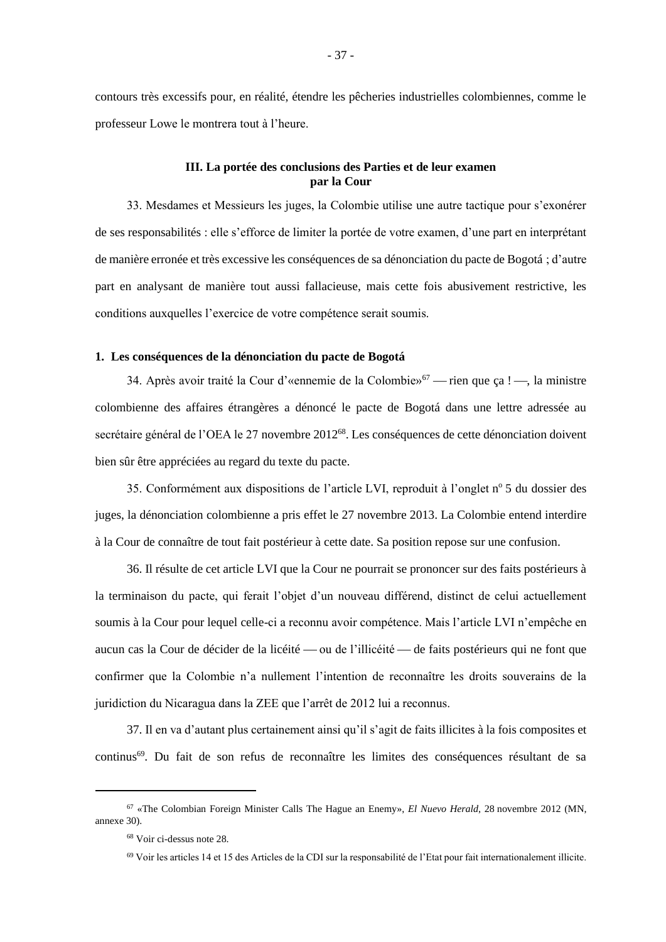contours très excessifs pour, en réalité, étendre les pêcheries industrielles colombiennes, comme le professeur Lowe le montrera tout à l'heure.

# **III. La portée des conclusions des Parties et de leur examen par la Cour**

33. Mesdames et Messieurs les juges, la Colombie utilise une autre tactique pour s'exonérer de ses responsabilités : elle s'efforce de limiter la portée de votre examen, d'une part en interprétant de manière erronée et très excessive les conséquences de sa dénonciation du pacte de Bogotá ; d'autre part en analysant de manière tout aussi fallacieuse, mais cette fois abusivement restrictive, les conditions auxquelles l'exercice de votre compétence serait soumis.

#### **1. Les conséquences de la dénonciation du pacte de Bogotá**

34. Après avoir traité la Cour d'«ennemie de la Colombie»<sup>67</sup> — rien que ça ! —, la ministre colombienne des affaires étrangères a dénoncé le pacte de Bogotá dans une lettre adressée au secrétaire général de l'OEA le 27 novembre 2012<sup>68</sup>. Les conséquences de cette dénonciation doivent bien sûr être appréciées au regard du texte du pacte.

35. Conformément aux dispositions de l'article LVI, reproduit à l'onglet nº 5 du dossier des juges, la dénonciation colombienne a pris effet le 27 novembre 2013. La Colombie entend interdire à la Cour de connaître de tout fait postérieur à cette date. Sa position repose sur une confusion.

36. Il résulte de cet article LVI que la Cour ne pourrait se prononcer sur des faits postérieurs à la terminaison du pacte, qui ferait l'objet d'un nouveau différend, distinct de celui actuellement soumis à la Cour pour lequel celle-ci a reconnu avoir compétence. Mais l'article LVI n'empêche en aucun cas la Cour de décider de la licéité — ou de l'illicéité — de faits postérieurs qui ne font que confirmer que la Colombie n'a nullement l'intention de reconnaître les droits souverains de la juridiction du Nicaragua dans la ZEE que l'arrêt de 2012 lui a reconnus.

37. Il en va d'autant plus certainement ainsi qu'il s'agit de faits illicites à la fois composites et continus<sup>69</sup>. Du fait de son refus de reconnaître les limites des conséquences résultant de sa

<sup>67</sup> «The Colombian Foreign Minister Calls The Hague an Enemy», *El Nuevo Herald*, 28 novembre 2012 (MN, annexe 30).

<sup>68</sup> Voir ci-dessus not[e 28.](#page-26-0)

 $69$  Voir les articles 14 et 15 des Articles de la CDI sur la responsabilité de l'Etat pour fait internationalement illicite.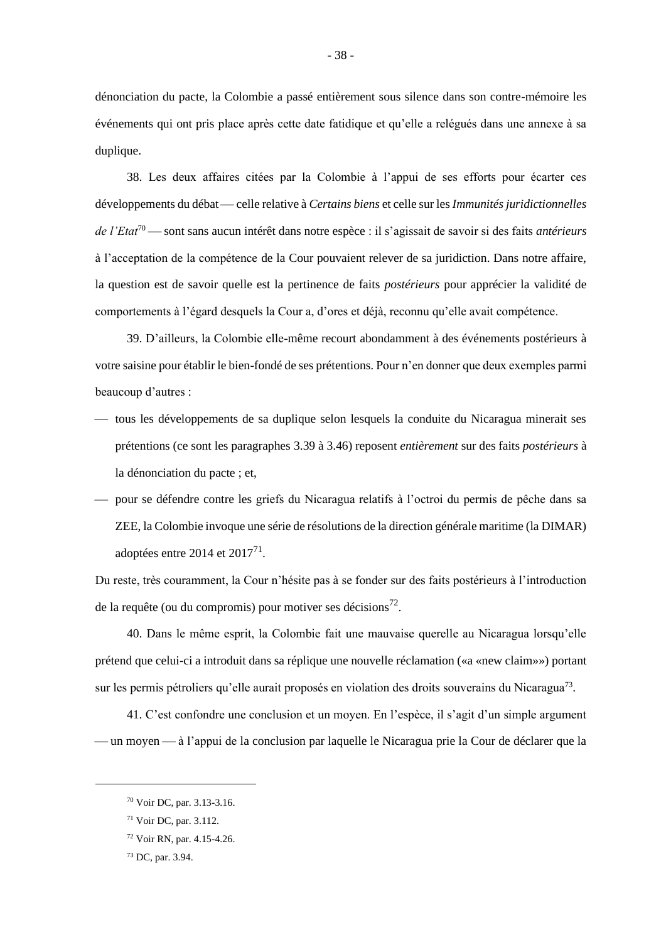dénonciation du pacte, la Colombie a passé entièrement sous silence dans son contre-mémoire les événements qui ont pris place après cette date fatidique et qu'elle a relégués dans une annexe à sa duplique.

38. Les deux affaires citées par la Colombie à l'appui de ses efforts pour écarter ces développements du débat ⎯ celle relative à *Certains biens* et celle sur les *Immunités juridictionnelles de l'Etat*<sup>70</sup> ⎯ sont sans aucun intérêt dans notre espèce : il s'agissait de savoir si des faits *antérieurs*  à l'acceptation de la compétence de la Cour pouvaient relever de sa juridiction. Dans notre affaire, la question est de savoir quelle est la pertinence de faits *postérieurs* pour apprécier la validité de comportements à l'égard desquels la Cour a, d'ores et déjà, reconnu qu'elle avait compétence.

39. D'ailleurs, la Colombie elle-même recourt abondamment à des événements postérieurs à votre saisine pour établir le bien-fondé de ses prétentions. Pour n'en donner que deux exemples parmi beaucoup d'autres :

- ⎯ tous les développements de sa duplique selon lesquels la conduite du Nicaragua minerait ses prétentions (ce sont les paragraphes 3.39 à 3.46) reposent *entièrement* sur des faits *postérieurs* à la dénonciation du pacte ; et,
- ⎯ pour se défendre contre les griefs du Nicaragua relatifs à l'octroi du permis de pêche dans sa ZEE, la Colombie invoque une série de résolutions de la direction générale maritime (la DIMAR) adoptées entre 2014 et  $2017^{71}$ .

Du reste, très couramment, la Cour n'hésite pas à se fonder sur des faits postérieurs à l'introduction de la requête (ou du compromis) pour motiver ses décisions<sup>72</sup>.

40. Dans le même esprit, la Colombie fait une mauvaise querelle au Nicaragua lorsqu'elle prétend que celui-ci a introduit dans sa réplique une nouvelle réclamation («a «new claim»») portant sur les permis pétroliers qu'elle aurait proposés en violation des droits souverains du Nicaragua<sup>73</sup>.

41. C'est confondre une conclusion et un moyen. En l'espèce, il s'agit d'un simple argument — un moyen — à l'appui de la conclusion par laquelle le Nicaragua prie la Cour de déclarer que la

<sup>70</sup> Voir DC, par. 3.13-3.16.

<sup>71</sup> Voir DC, par. 3.112.

<sup>72</sup> Voir RN, par. 4.15-4.26.

<sup>73</sup> DC, par. 3.94.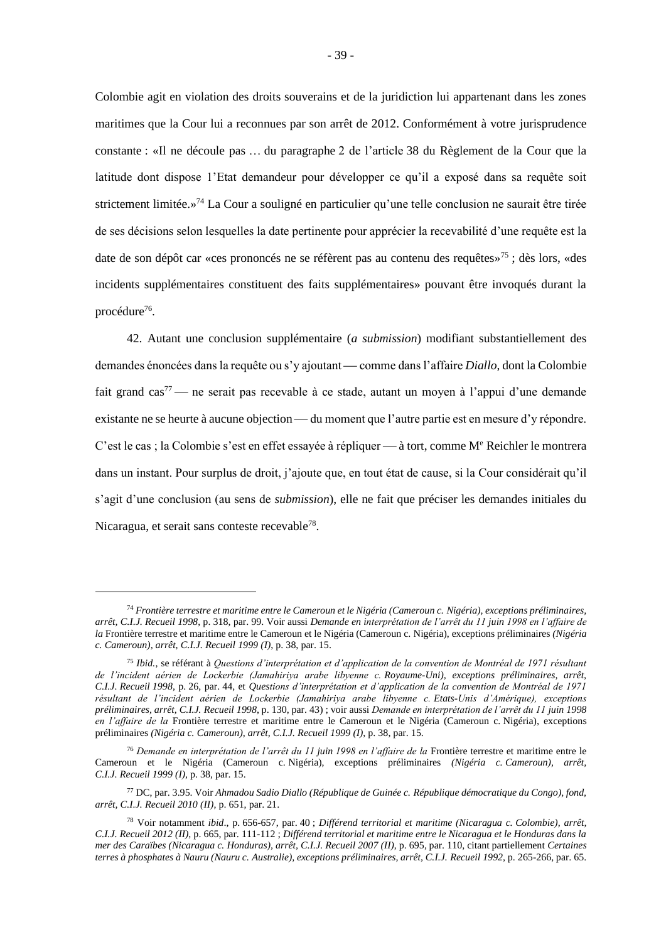Colombie agit en violation des droits souverains et de la juridiction lui appartenant dans les zones maritimes que la Cour lui a reconnues par son arrêt de 2012. Conformément à votre jurisprudence constante : «Il ne découle pas … du paragraphe 2 de l'article 38 du Règlement de la Cour que la latitude dont dispose 1'Etat demandeur pour développer ce qu'il a exposé dans sa requête soit strictement limitée.»<sup>74</sup> La Cour a souligné en particulier qu'une telle conclusion ne saurait être tirée de ses décisions selon lesquelles la date pertinente pour apprécier la recevabilité d'une requête est la date de son dépôt car «ces prononcés ne se réfèrent pas au contenu des requêtes»<sup>75</sup> ; dès lors, «des incidents supplémentaires constituent des faits supplémentaires» pouvant être invoqués durant la procédure<sup>76</sup>.

42. Autant une conclusion supplémentaire (*a submission*) modifiant substantiellement des demandes énoncées dans la requête ou s'y ajoutant — comme dans l'affaire *Diallo*, dont la Colombie fait grand cas<sup>77</sup> — ne serait pas recevable à ce stade, autant un moyen à l'appui d'une demande existante ne se heurte à aucune objection — du moment que l'autre partie est en mesure d'y répondre. C'est le cas ; la Colombie s'est en effet essayée à répliquer — à tort, comme  $M<sup>e</sup>$  Reichler le montrera dans un instant. Pour surplus de droit, j'ajoute que, en tout état de cause, si la Cour considérait qu'il s'agit d'une conclusion (au sens de *submission*), elle ne fait que préciser les demandes initiales du Nicaragua, et serait sans conteste recevable<sup>78</sup>.

<sup>74</sup> *Frontière terrestre et maritime entre le Cameroun et le Nigéria (Cameroun c. Nigéria), exceptions préliminaires, arrêt, C.I.J. Recueil 1998*, p. 318, par. 99. Voir aussi *Demande en interprétation de l'arrêt du 11 juin 1998 en l'affaire de la* Frontière terrestre et maritime entre le Cameroun et le Nigéria (Cameroun c. Nigéria), exceptions préliminaires *(Nigéria c. Cameroun), arrêt, C.I.J. Recueil 1999 (I)*, p. 38, par. 15.

<sup>75</sup> *Ibid.*, se référant à *Questions d'interprétation et d'application de la convention de Montréal de 1971 résultant de l'incident aérien de Lockerbie (Jamahiriya arabe libyenne c. Royaume-Uni), exceptions préliminaires, arrêt, C.I.J. Recueil 1998*, p. 26, par. 44, et *Questions d'interprétation et d'application de la convention de Montréal de 1971 résultant de l'incident aérien de Lockerbie (Jamahiriya arabe libyenne c. Etats-Unis d'Amérique), exceptions préliminaires, arrêt, C.I.J. Recueil 1998*, p. 130, par. 43) ; voir aussi *Demande en interprétation de l'arrêt du 11 juin 1998 en l'affaire de la* Frontière terrestre et maritime entre le Cameroun et le Nigéria (Cameroun c. Nigéria), exceptions préliminaires *(Nigéria c. Cameroun), arrêt, C.I.J. Recueil 1999 (I)*, p. 38, par. 15.

<sup>76</sup> *Demande en interprétation de l'arrêt du 11 juin 1998 en l'affaire de la* Frontière terrestre et maritime entre le Cameroun et le Nigéria (Cameroun c. Nigéria), exceptions préliminaires *(Nigéria c. Cameroun), arrêt, C.I.J. Recueil 1999 (I)*, p. 38, par. 15.

<sup>77</sup> DC, par. 3.95. Voir *Ahmadou Sadio Diallo (République de Guinée c. République démocratique du Congo), fond, arrêt, C.I.J. Recueil 2010 (II)*, p. 651, par. 21.

<sup>78</sup> Voir notamment *ibid*., p. 656-657, par. 40 ; *Différend territorial et maritime (Nicaragua c. Colombie), arrêt, C.I.J. Recueil 2012 (II)*, p. 665, par. 111-112 ; *Différend territorial et maritime entre le Nicaragua et le Honduras dans la mer des Caraïbes (Nicaragua c. Honduras), arrêt, C.I.J. Recueil 2007 (II)*, p. 695, par. 110, citant partiellement *Certaines terres à phosphates à Nauru (Nauru c. Australie), exceptions préliminaires, arrêt, C.I.J. Recueil 1992*, p. 265-266, par. 65.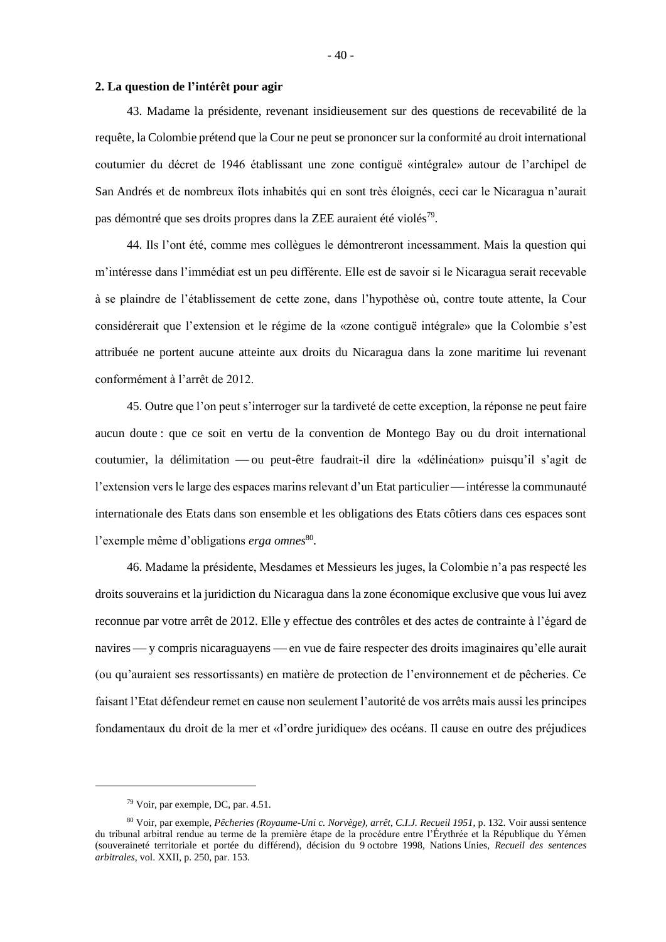#### **2. La question de l'intérêt pour agir**

43. Madame la présidente, revenant insidieusement sur des questions de recevabilité de la requête, la Colombie prétend que la Cour ne peut se prononcer sur la conformité au droit international coutumier du décret de 1946 établissant une zone contiguë «intégrale» autour de l'archipel de San Andrés et de nombreux îlots inhabités qui en sont très éloignés, ceci car le Nicaragua n'aurait pas démontré que ses droits propres dans la ZEE auraient été violés<sup>79</sup>.

44. Ils l'ont été, comme mes collègues le démontreront incessamment. Mais la question qui m'intéresse dans l'immédiat est un peu différente. Elle est de savoir si le Nicaragua serait recevable à se plaindre de l'établissement de cette zone, dans l'hypothèse où, contre toute attente, la Cour considérerait que l'extension et le régime de la «zone contiguë intégrale» que la Colombie s'est attribuée ne portent aucune atteinte aux droits du Nicaragua dans la zone maritime lui revenant conformément à l'arrêt de 2012.

45. Outre que l'on peut s'interroger sur la tardiveté de cette exception, la réponse ne peut faire aucun doute : que ce soit en vertu de la convention de Montego Bay ou du droit international coutumier, la délimitation — ou peut-être faudrait-il dire la «délinéation» puisqu'il s'agit de l'extension vers le large des espaces marins relevant d'un Etat particulier — intéresse la communauté internationale des Etats dans son ensemble et les obligations des Etats côtiers dans ces espaces sont l'exemple même d'obligations erga omnes<sup>80</sup>.

46. Madame la présidente, Mesdames et Messieurs les juges, la Colombie n'a pas respecté les droits souverains et la juridiction du Nicaragua dans la zone économique exclusive que vous lui avez reconnue par votre arrêt de 2012. Elle y effectue des contrôles et des actes de contrainte à l'égard de navires — y compris nicaraguayens — en vue de faire respecter des droits imaginaires qu'elle aurait (ou qu'auraient ses ressortissants) en matière de protection de l'environnement et de pêcheries. Ce faisant l'Etat défendeur remet en cause non seulement l'autorité de vos arrêts mais aussi les principes fondamentaux du droit de la mer et «l'ordre juridique» des océans. Il cause en outre des préjudices

<sup>79</sup> Voir, par exemple, DC, par. 4.51.

<sup>80</sup> Voir, par exemple, *Pêcheries (Royaume-Uni c. Norvège), arrêt, C.I.J. Recueil 1951*, p. 132. Voir aussi sentence du tribunal arbitral rendue au terme de la première étape de la procédure entre l'Érythrée et la République du Yémen (souveraineté territoriale et portée du différend), décision du 9 octobre 1998, Nations Unies, *Recueil des sentences arbitrales*, vol. XXII, p. 250, par. 153.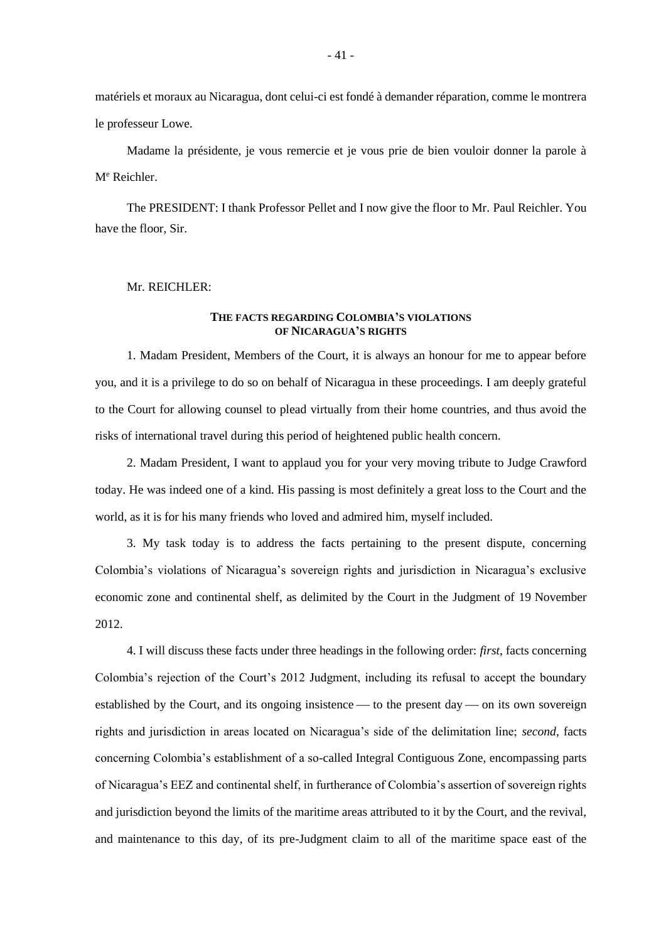matériels et moraux au Nicaragua, dont celui-ci est fondé à demander réparation, comme le montrera le professeur Lowe.

Madame la présidente, je vous remercie et je vous prie de bien vouloir donner la parole à M<sup>e</sup> Reichler.

The PRESIDENT: I thank Professor Pellet and I now give the floor to Mr. Paul Reichler. You have the floor, Sir.

#### Mr. REICHLER:

### **THE FACTS REGARDING COLOMBIA'S VIOLATIONS OF NICARAGUA'S RIGHTS**

1. Madam President, Members of the Court, it is always an honour for me to appear before you, and it is a privilege to do so on behalf of Nicaragua in these proceedings. I am deeply grateful to the Court for allowing counsel to plead virtually from their home countries, and thus avoid the risks of international travel during this period of heightened public health concern.

2. Madam President, I want to applaud you for your very moving tribute to Judge Crawford today. He was indeed one of a kind. His passing is most definitely a great loss to the Court and the world, as it is for his many friends who loved and admired him, myself included.

3. My task today is to address the facts pertaining to the present dispute, concerning Colombia's violations of Nicaragua's sovereign rights and jurisdiction in Nicaragua's exclusive economic zone and continental shelf, as delimited by the Court in the Judgment of 19 November 2012.

4. I will discuss these facts under three headings in the following order: *first*, facts concerning Colombia's rejection of the Court's 2012 Judgment, including its refusal to accept the boundary established by the Court, and its ongoing insistence  $-$  to the present day  $-$  on its own sovereign rights and jurisdiction in areas located on Nicaragua's side of the delimitation line; *second*, facts concerning Colombia's establishment of a so-called Integral Contiguous Zone, encompassing parts of Nicaragua's EEZ and continental shelf, in furtherance of Colombia's assertion of sovereign rights and jurisdiction beyond the limits of the maritime areas attributed to it by the Court, and the revival, and maintenance to this day, of its pre-Judgment claim to all of the maritime space east of the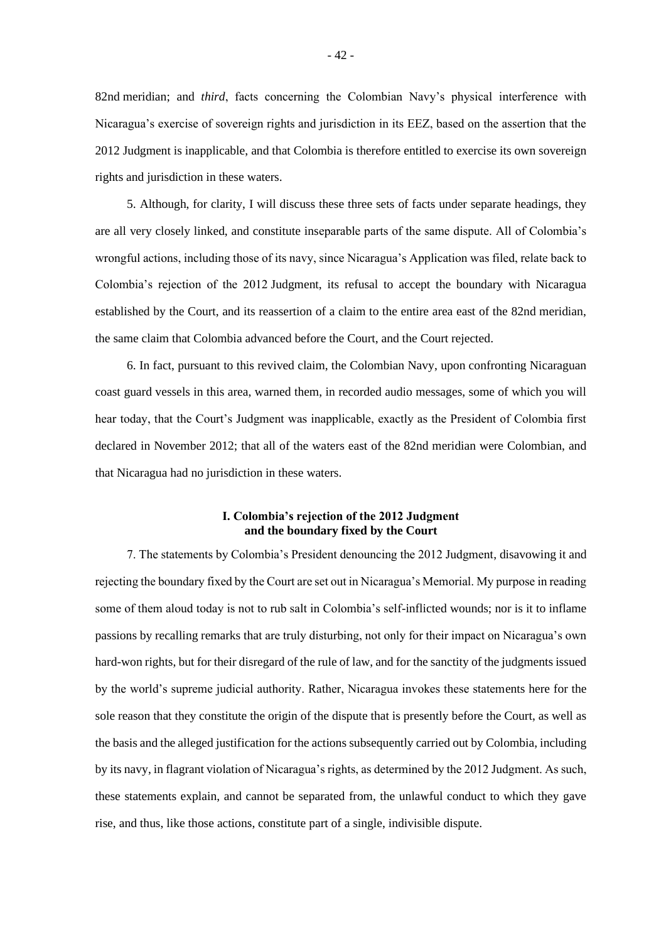82nd meridian; and *third*, facts concerning the Colombian Navy's physical interference with Nicaragua's exercise of sovereign rights and jurisdiction in its EEZ, based on the assertion that the 2012 Judgment is inapplicable, and that Colombia is therefore entitled to exercise its own sovereign rights and jurisdiction in these waters.

5. Although, for clarity, I will discuss these three sets of facts under separate headings, they are all very closely linked, and constitute inseparable parts of the same dispute. All of Colombia's wrongful actions, including those of its navy, since Nicaragua's Application was filed, relate back to Colombia's rejection of the 2012 Judgment, its refusal to accept the boundary with Nicaragua established by the Court, and its reassertion of a claim to the entire area east of the 82nd meridian, the same claim that Colombia advanced before the Court, and the Court rejected.

6. In fact, pursuant to this revived claim, the Colombian Navy, upon confronting Nicaraguan coast guard vessels in this area, warned them, in recorded audio messages, some of which you will hear today, that the Court's Judgment was inapplicable, exactly as the President of Colombia first declared in November 2012; that all of the waters east of the 82nd meridian were Colombian, and that Nicaragua had no jurisdiction in these waters.

# **I. Colombia's rejection of the 2012 Judgment and the boundary fixed by the Court**

7. The statements by Colombia's President denouncing the 2012 Judgment, disavowing it and rejecting the boundary fixed by the Court are set out in Nicaragua's Memorial. My purpose in reading some of them aloud today is not to rub salt in Colombia's self-inflicted wounds; nor is it to inflame passions by recalling remarks that are truly disturbing, not only for their impact on Nicaragua's own hard-won rights, but for their disregard of the rule of law, and for the sanctity of the judgments issued by the world's supreme judicial authority. Rather, Nicaragua invokes these statements here for the sole reason that they constitute the origin of the dispute that is presently before the Court, as well as the basis and the alleged justification for the actions subsequently carried out by Colombia, including by its navy, in flagrant violation of Nicaragua's rights, as determined by the 2012 Judgment. As such, these statements explain, and cannot be separated from, the unlawful conduct to which they gave rise, and thus, like those actions, constitute part of a single, indivisible dispute.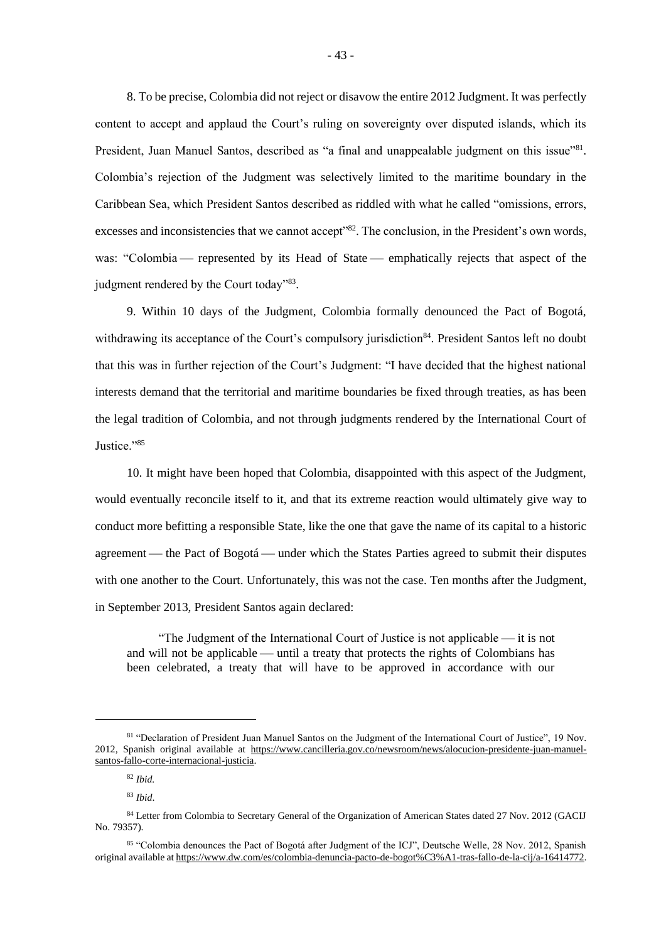8. To be precise, Colombia did not reject or disavow the entire 2012 Judgment. It was perfectly content to accept and applaud the Court's ruling on sovereignty over disputed islands, which its President, Juan Manuel Santos, described as "a final and unappealable judgment on this issue"<sup>81</sup>. Colombia's rejection of the Judgment was selectively limited to the maritime boundary in the Caribbean Sea, which President Santos described as riddled with what he called "omissions, errors, excesses and inconsistencies that we cannot accept<sup>1982</sup>. The conclusion, in the President's own words, was: "Colombia — represented by its Head of State — emphatically rejects that aspect of the judgment rendered by the Court today"<sup>83</sup>.

9. Within 10 days of the Judgment, Colombia formally denounced the Pact of Bogotá, withdrawing its acceptance of the Court's compulsory jurisdiction<sup>84</sup>. President Santos left no doubt that this was in further rejection of the Court's Judgment: "I have decided that the highest national interests demand that the territorial and maritime boundaries be fixed through treaties, as has been the legal tradition of Colombia, and not through judgments rendered by the International Court of Justice."85

10. It might have been hoped that Colombia, disappointed with this aspect of the Judgment, would eventually reconcile itself to it, and that its extreme reaction would ultimately give way to conduct more befitting a responsible State, like the one that gave the name of its capital to a historic agreement — the Pact of Bogotá — under which the States Parties agreed to submit their disputes with one another to the Court. Unfortunately, this was not the case. Ten months after the Judgment, in September 2013, President Santos again declared:

"The Judgment of the International Court of Justice is not applicable — it is not and will not be applicable — until a treaty that protects the rights of Colombians has been celebrated, a treaty that will have to be approved in accordance with our

<sup>81</sup> "Declaration of President Juan Manuel Santos on the Judgment of the International Court of Justice", 19 Nov. 2012, Spanish original available at https://www.cancilleria.gov.co/newsroom/news/alocucion-presidente-juan-manuelsantos-fallo-corte-internacional-justicia.

<sup>82</sup> *Ibid.*

<sup>83</sup> *Ibid*.

<sup>84</sup> Letter from Colombia to Secretary General of the Organization of American States dated 27 Nov. 2012 (GACIJ No. 79357).

<sup>85</sup> "Colombia denounces the Pact of Bogotá after Judgment of the ICJ", Deutsche Welle, 28 Nov. 2012, Spanish original available at https://www.dw.com/es/colombia-denuncia-pacto-de-bogot%C3%A1-tras-fallo-de-la-cij/a-16414772.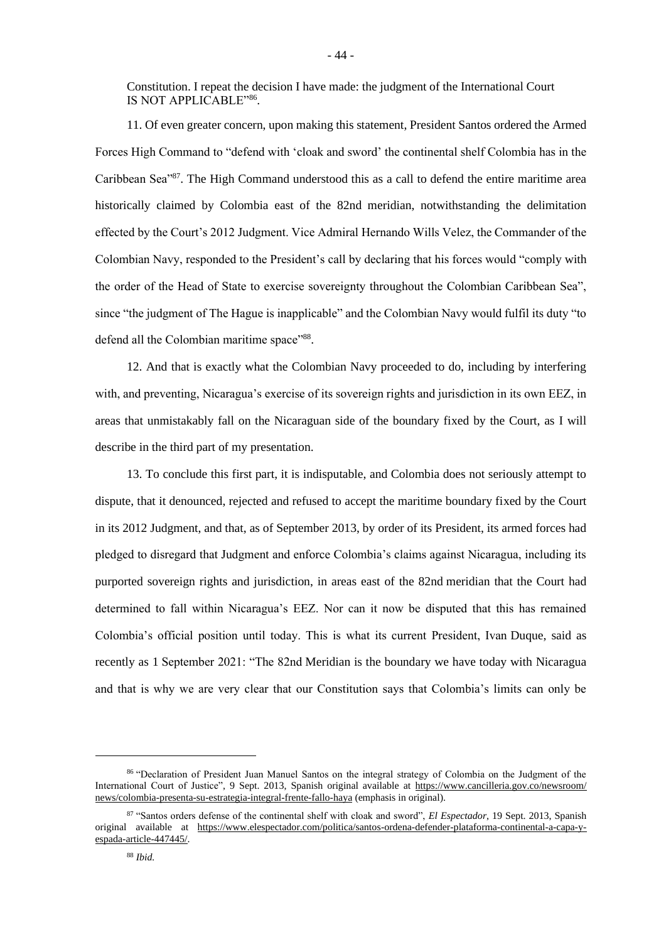Constitution. I repeat the decision I have made: the judgment of the International Court IS NOT APPLICABLE"<sup>86</sup>.

11. Of even greater concern, upon making this statement, President Santos ordered the Armed Forces High Command to "defend with 'cloak and sword' the continental shelf Colombia has in the Caribbean Sea"<sup>87</sup>. The High Command understood this as a call to defend the entire maritime area historically claimed by Colombia east of the 82nd meridian, notwithstanding the delimitation effected by the Court's 2012 Judgment. Vice Admiral Hernando Wills Velez, the Commander of the Colombian Navy, responded to the President's call by declaring that his forces would "comply with the order of the Head of State to exercise sovereignty throughout the Colombian Caribbean Sea", since "the judgment of The Hague is inapplicable" and the Colombian Navy would fulfil its duty "to defend all the Colombian maritime space"88.

12. And that is exactly what the Colombian Navy proceeded to do, including by interfering with, and preventing, Nicaragua's exercise of its sovereign rights and jurisdiction in its own EEZ, in areas that unmistakably fall on the Nicaraguan side of the boundary fixed by the Court, as I will describe in the third part of my presentation.

13. To conclude this first part, it is indisputable, and Colombia does not seriously attempt to dispute, that it denounced, rejected and refused to accept the maritime boundary fixed by the Court in its 2012 Judgment, and that, as of September 2013, by order of its President, its armed forces had pledged to disregard that Judgment and enforce Colombia's claims against Nicaragua, including its purported sovereign rights and jurisdiction, in areas east of the 82nd meridian that the Court had determined to fall within Nicaragua's EEZ. Nor can it now be disputed that this has remained Colombia's official position until today. This is what its current President, Ivan Duque, said as recently as 1 September 2021: "The 82nd Meridian is the boundary we have today with Nicaragua and that is why we are very clear that our Constitution says that Colombia's limits can only be

<sup>86 &</sup>quot;Declaration of President Juan Manuel Santos on the integral strategy of Colombia on the Judgment of the International Court of Justice", 9 Sept. 2013, Spanish original available at https://www.cancilleria.gov.co/newsroom/ news/colombia-presenta-su-estrategia-integral-frente-fallo-haya (emphasis in original).

<sup>87</sup> "Santos orders defense of the continental shelf with cloak and sword", *El Espectador*, 19 Sept. 2013, Spanish original available at https://www.elespectador.com/politica/santos-ordena-defender-plataforma-continental-a-capa-yespada-article-447445/.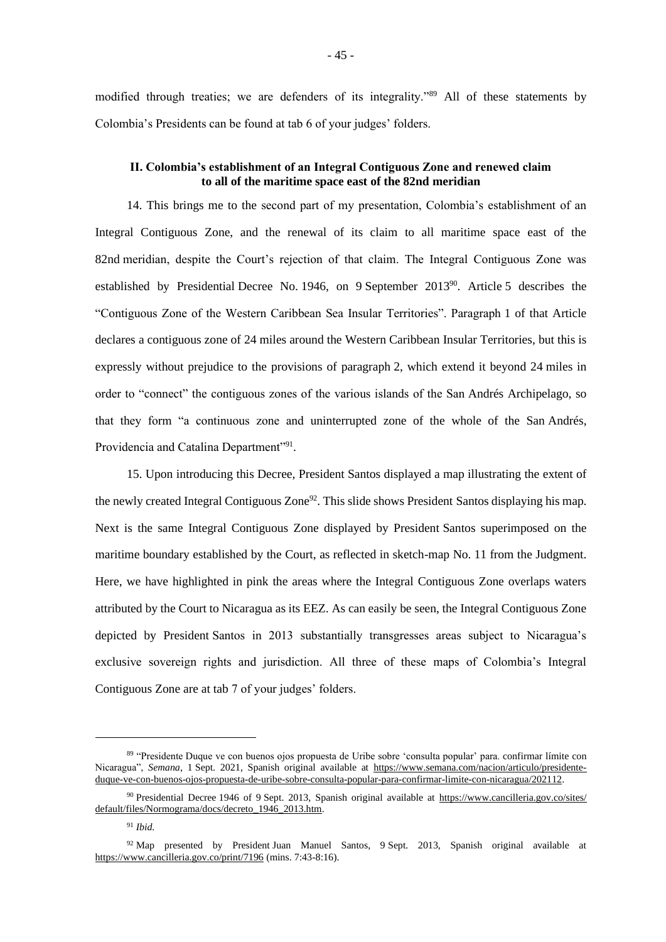modified through treaties; we are defenders of its integrality."<sup>89</sup> All of these statements by Colombia's Presidents can be found at tab 6 of your judges' folders.

## **II. Colombia's establishment of an Integral Contiguous Zone and renewed claim to all of the maritime space east of the 82nd meridian**

14. This brings me to the second part of my presentation, Colombia's establishment of an Integral Contiguous Zone, and the renewal of its claim to all maritime space east of the 82nd meridian, despite the Court's rejection of that claim. The Integral Contiguous Zone was established by Presidential Decree No. 1946, on 9 September 2013<sup>90</sup>. Article 5 describes the "Contiguous Zone of the Western Caribbean Sea Insular Territories". Paragraph 1 of that Article declares a contiguous zone of 24 miles around the Western Caribbean Insular Territories, but this is expressly without prejudice to the provisions of paragraph 2, which extend it beyond 24 miles in order to "connect" the contiguous zones of the various islands of the San Andrés Archipelago, so that they form "a continuous zone and uninterrupted zone of the whole of the San Andrés, Providencia and Catalina Department"<sup>91</sup>.

15. Upon introducing this Decree, President Santos displayed a map illustrating the extent of the newly created Integral Contiguous Zone<sup>92</sup>. This slide shows President Santos displaying his map. Next is the same Integral Contiguous Zone displayed by President Santos superimposed on the maritime boundary established by the Court, as reflected in sketch-map No. 11 from the Judgment. Here, we have highlighted in pink the areas where the Integral Contiguous Zone overlaps waters attributed by the Court to Nicaragua as its EEZ. As can easily be seen, the Integral Contiguous Zone depicted by President Santos in 2013 substantially transgresses areas subject to Nicaragua's exclusive sovereign rights and jurisdiction. All three of these maps of Colombia's Integral Contiguous Zone are at tab 7 of your judges' folders.

<sup>89</sup> "Presidente Duque ve con buenos ojos propuesta de Uribe sobre 'consulta popular' para. confirmar límite con Nicaragua", *Semana*, 1 Sept. 2021, Spanish original available at https://www.semana.com/nacion/articulo/presidenteduque-ve-con-buenos-ojos-propuesta-de-uribe-sobre-consulta-popular-para-confirmar-limite-con-nicaragua/202112.

<sup>90</sup> Presidential Decree 1946 of 9 Sept. 2013, Spanish original available at https://www.cancilleria.gov.co/sites/ default/files/Normograma/docs/decreto\_1946\_2013.htm.

<sup>91</sup> *Ibid.*

<sup>&</sup>lt;sup>92</sup> Map presented by President Juan Manuel Santos, 9 Sept. 2013, Spanish original available at https://www.cancilleria.gov.co/print/7196 (mins. 7:43-8:16).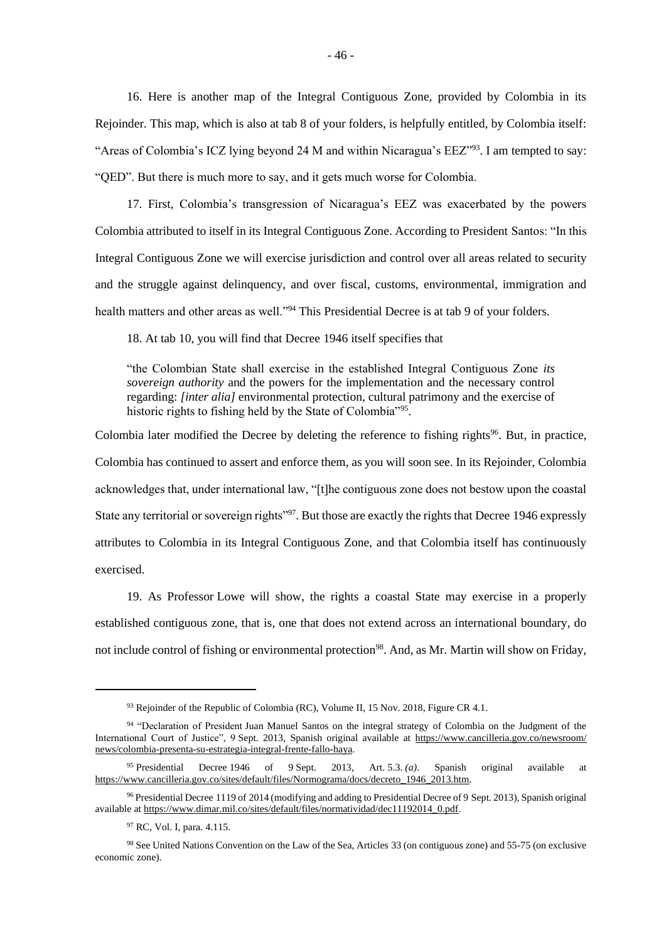16. Here is another map of the Integral Contiguous Zone, provided by Colombia in its Rejoinder. This map, which is also at tab 8 of your folders, is helpfully entitled, by Colombia itself: "Areas of Colombia's ICZ lying beyond 24 M and within Nicaragua's EEZ"<sup>93</sup>. I am tempted to say: "QED". But there is much more to say, and it gets much worse for Colombia.

17. First, Colombia's transgression of Nicaragua's EEZ was exacerbated by the powers Colombia attributed to itself in its Integral Contiguous Zone. According to President Santos: "In this Integral Contiguous Zone we will exercise jurisdiction and control over all areas related to security and the struggle against delinquency, and over fiscal, customs, environmental, immigration and health matters and other areas as well."<sup>94</sup> This Presidential Decree is at tab 9 of your folders.

18. At tab 10, you will find that Decree 1946 itself specifies that

"the Colombian State shall exercise in the established Integral Contiguous Zone *its sovereign authority* and the powers for the implementation and the necessary control regarding: *[inter alia]* environmental protection, cultural patrimony and the exercise of historic rights to fishing held by the State of Colombia"<sup>95</sup>.

Colombia later modified the Decree by deleting the reference to fishing rights<sup>96</sup>. But, in practice, Colombia has continued to assert and enforce them, as you will soon see. In its Rejoinder, Colombia acknowledges that, under international law, "[t]he contiguous zone does not bestow upon the coastal State any territorial or sovereign rights"<sup>97</sup>. But those are exactly the rights that Decree 1946 expressly attributes to Colombia in its Integral Contiguous Zone, and that Colombia itself has continuously exercised.

19. As Professor Lowe will show, the rights a coastal State may exercise in a properly established contiguous zone, that is, one that does not extend across an international boundary, do not include control of fishing or environmental protection<sup>98</sup>. And, as Mr. Martin will show on Friday,

<sup>&</sup>lt;sup>93</sup> Rejoinder of the Republic of Colombia (RC), Volume II, 15 Nov. 2018, Figure CR 4.1.

<sup>94 &</sup>quot;Declaration of President Juan Manuel Santos on the integral strategy of Colombia on the Judgment of the International Court of Justice", 9 Sept. 2013, Spanish original available at https://www.cancilleria.gov.co/newsroom/ news/colombia-presenta-su-estrategia-integral-frente-fallo-haya.

<sup>95</sup> Presidential Decree 1946 of 9 Sept. 2013, Art. 5.3. *(a)*. Spanish original available at https://www.cancilleria.gov.co/sites/default/files/Normograma/docs/decreto\_1946\_2013.htm.

<sup>96</sup> Presidential Decree 1119 of 2014 (modifying and adding to Presidential Decree of 9 Sept. 2013), Spanish original available at https://www.dimar.mil.co/sites/default/files/normatividad/dec11192014\_0.pdf.

<sup>97</sup> RC, Vol. I, para. 4.115.

<sup>98</sup> See United Nations Convention on the Law of the Sea, Articles 33 (on contiguous zone) and 55-75 (on exclusive economic zone).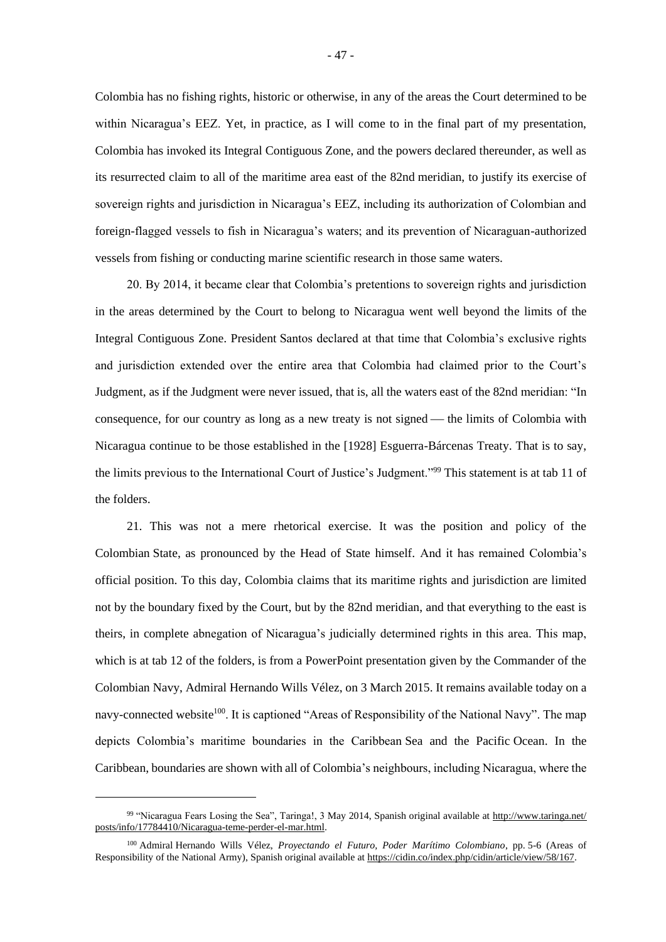Colombia has no fishing rights, historic or otherwise, in any of the areas the Court determined to be within Nicaragua's EEZ. Yet, in practice, as I will come to in the final part of my presentation, Colombia has invoked its Integral Contiguous Zone, and the powers declared thereunder, as well as its resurrected claim to all of the maritime area east of the 82nd meridian, to justify its exercise of sovereign rights and jurisdiction in Nicaragua's EEZ, including its authorization of Colombian and foreign-flagged vessels to fish in Nicaragua's waters; and its prevention of Nicaraguan-authorized vessels from fishing or conducting marine scientific research in those same waters.

20. By 2014, it became clear that Colombia's pretentions to sovereign rights and jurisdiction in the areas determined by the Court to belong to Nicaragua went well beyond the limits of the Integral Contiguous Zone. President Santos declared at that time that Colombia's exclusive rights and jurisdiction extended over the entire area that Colombia had claimed prior to the Court's Judgment, as if the Judgment were never issued, that is, all the waters east of the 82nd meridian: "In consequence, for our country as long as a new treaty is not signed — the limits of Colombia with Nicaragua continue to be those established in the [1928] Esguerra-Bárcenas Treaty. That is to say, the limits previous to the International Court of Justice's Judgment."<sup>99</sup> This statement is at tab 11 of the folders.

21. This was not a mere rhetorical exercise. It was the position and policy of the Colombian State, as pronounced by the Head of State himself. And it has remained Colombia's official position. To this day, Colombia claims that its maritime rights and jurisdiction are limited not by the boundary fixed by the Court, but by the 82nd meridian, and that everything to the east is theirs, in complete abnegation of Nicaragua's judicially determined rights in this area. This map, which is at tab 12 of the folders, is from a PowerPoint presentation given by the Commander of the Colombian Navy, Admiral Hernando Wills Vélez, on 3 March 2015. It remains available today on a navy-connected website<sup>100</sup>. It is captioned "Areas of Responsibility of the National Navy". The map depicts Colombia's maritime boundaries in the Caribbean Sea and the Pacific Ocean. In the Caribbean, boundaries are shown with all of Colombia's neighbours, including Nicaragua, where the

<sup>99</sup> "Nicaragua Fears Losing the Sea", Taringa!, 3 May 2014, Spanish original available at http://www.taringa.net/ posts/info/17784410/Nicaragua-teme-perder-el-mar.html.

<sup>100</sup> Admiral Hernando Wills Vélez, *Proyectando el Futuro, Poder Marítimo Colombiano*, pp. 5-6 (Areas of Responsibility of the National Army), Spanish original available at https://cidin.co/index.php/cidin/article/view/58/167.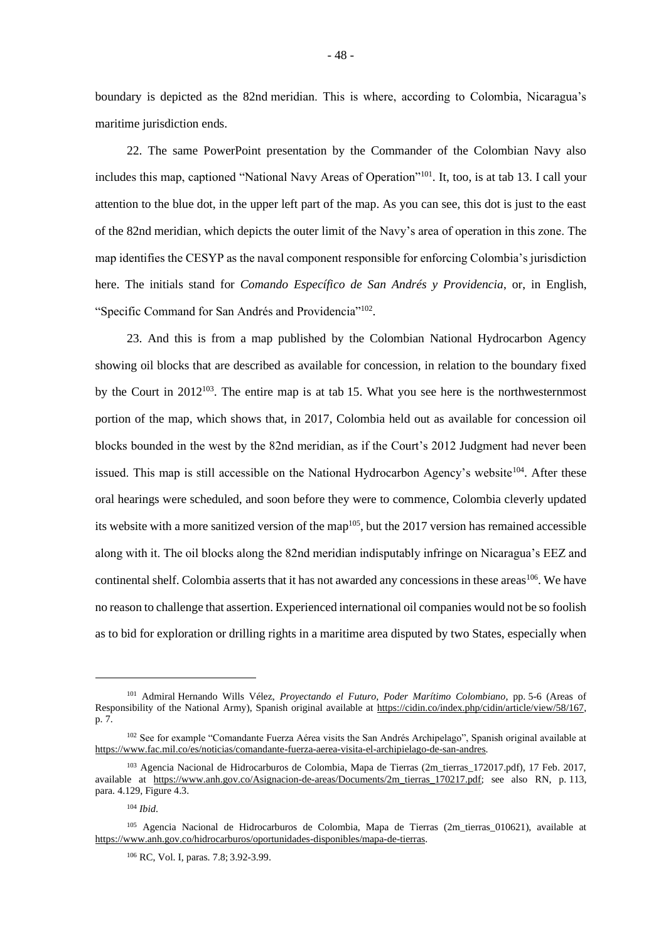boundary is depicted as the 82nd meridian. This is where, according to Colombia, Nicaragua's maritime jurisdiction ends.

22. The same PowerPoint presentation by the Commander of the Colombian Navy also includes this map, captioned "National Navy Areas of Operation"<sup>101</sup>. It, too, is at tab 13. I call your attention to the blue dot, in the upper left part of the map. As you can see, this dot is just to the east of the 82nd meridian, which depicts the outer limit of the Navy's area of operation in this zone. The map identifies the CESYP as the naval component responsible for enforcing Colombia's jurisdiction here. The initials stand for *Comando Específico de San Andrés y Providencia*, or, in English, "Specific Command for San Andrés and Providencia"<sup>102</sup>.

23. And this is from a map published by the Colombian National Hydrocarbon Agency showing oil blocks that are described as available for concession, in relation to the boundary fixed by the Court in  $2012^{103}$ . The entire map is at tab 15. What you see here is the northwesternmost portion of the map, which shows that, in 2017, Colombia held out as available for concession oil blocks bounded in the west by the 82nd meridian, as if the Court's 2012 Judgment had never been issued. This map is still accessible on the National Hydrocarbon Agency's website<sup>104</sup>. After these oral hearings were scheduled, and soon before they were to commence, Colombia cleverly updated its website with a more sanitized version of the map<sup>105</sup>, but the 2017 version has remained accessible along with it. The oil blocks along the 82nd meridian indisputably infringe on Nicaragua's EEZ and continental shelf. Colombia asserts that it has not awarded any concessions in these areas<sup>106</sup>. We have no reason to challenge that assertion. Experienced international oil companies would not be so foolish as to bid for exploration or drilling rights in a maritime area disputed by two States, especially when

<sup>101</sup> Admiral Hernando Wills Vélez, *Proyectando el Futuro, Poder Marítimo Colombiano*, pp. 5-6 (Areas of Responsibility of the National Army), Spanish original available at https://cidin.co/index.php/cidin/article/view/58/167, p. 7.

<sup>&</sup>lt;sup>102</sup> See for example "Comandante Fuerza Aérea visits the San Andrés Archipelago", Spanish original available at https://www.fac.mil.co/es/noticias/comandante-fuerza-aerea-visita-el-archipielago-de-san-andres.

<sup>103</sup> Agencia Nacional de Hidrocarburos de Colombia, Mapa de Tierras (2m\_tierras\_172017.pdf), 17 Feb. 2017, available at https://www.anh.gov.co/Asignacion-de-areas/Documents/2m\_tierras\_170217.pdf; see also RN, p. 113, para. 4.129, Figure 4.3.

<sup>104</sup> *Ibid*.

<sup>&</sup>lt;sup>105</sup> Agencia Nacional de Hidrocarburos de Colombia, Mapa de Tierras (2m tierras 010621), available at https://www.anh.gov.co/hidrocarburos/oportunidades-disponibles/mapa-de-tierras.

<sup>106</sup> RC, Vol. I, paras. 7.8; 3.92-3.99.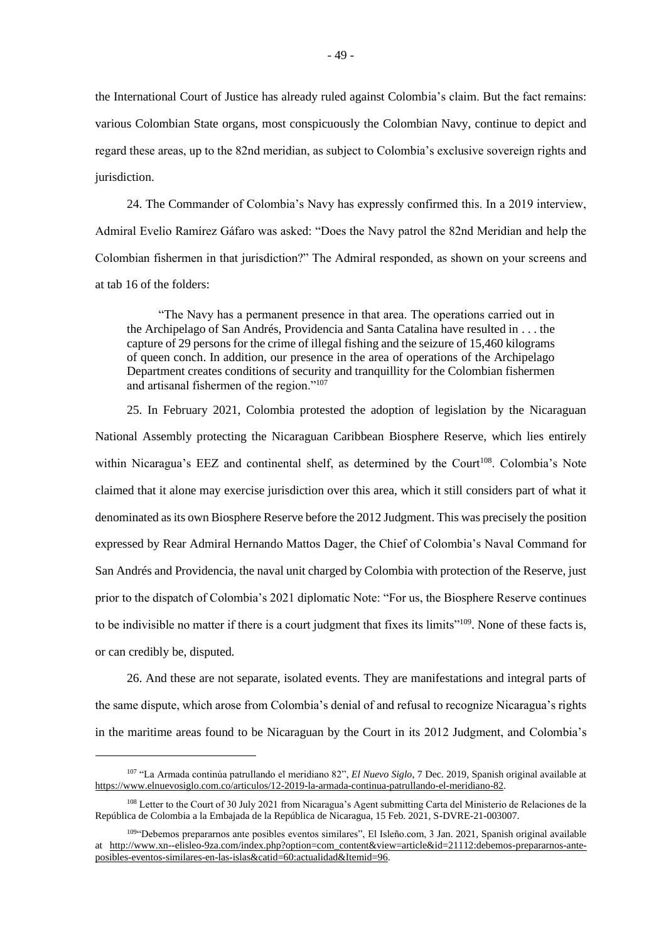the International Court of Justice has already ruled against Colombia's claim. But the fact remains: various Colombian State organs, most conspicuously the Colombian Navy, continue to depict and regard these areas, up to the 82nd meridian, as subject to Colombia's exclusive sovereign rights and jurisdiction.

24. The Commander of Colombia's Navy has expressly confirmed this. In a 2019 interview, Admiral Evelio Ramírez Gáfaro was asked: "Does the Navy patrol the 82nd Meridian and help the Colombian fishermen in that jurisdiction?" The Admiral responded, as shown on your screens and at tab 16 of the folders:

"The Navy has a permanent presence in that area. The operations carried out in the Archipelago of San Andrés, Providencia and Santa Catalina have resulted in . . . the capture of 29 persons for the crime of illegal fishing and the seizure of 15,460 kilograms of queen conch. In addition, our presence in the area of operations of the Archipelago Department creates conditions of security and tranquillity for the Colombian fishermen and artisanal fishermen of the region."<sup>107</sup>

25. In February 2021, Colombia protested the adoption of legislation by the Nicaraguan National Assembly protecting the Nicaraguan Caribbean Biosphere Reserve, which lies entirely within Nicaragua's EEZ and continental shelf, as determined by the Court<sup>108</sup>. Colombia's Note claimed that it alone may exercise jurisdiction over this area, which it still considers part of what it denominated as its own Biosphere Reserve before the 2012 Judgment. This was precisely the position expressed by Rear Admiral Hernando Mattos Dager, the Chief of Colombia's Naval Command for San Andrés and Providencia, the naval unit charged by Colombia with protection of the Reserve, just prior to the dispatch of Colombia's 2021 diplomatic Note: "For us, the Biosphere Reserve continues to be indivisible no matter if there is a court judgment that fixes its limits"<sup>109</sup>. None of these facts is, or can credibly be, disputed.

26. And these are not separate, isolated events. They are manifestations and integral parts of the same dispute, which arose from Colombia's denial of and refusal to recognize Nicaragua's rights in the maritime areas found to be Nicaraguan by the Court in its 2012 Judgment, and Colombia's

<sup>107</sup> "La Armada continúa patrullando el meridiano 82", *El Nuevo Siglo*, 7 Dec. 2019, Spanish original available at https://www.elnuevosiglo.com.co/articulos/12-2019-la-armada-continua-patrullando-el-meridiano-82.

<sup>108</sup> Letter to the Court of 30 July 2021 from Nicaragua's Agent submitting Carta del Ministerio de Relaciones de la República de Colombia a la Embajada de la República de Nicaragua, 15 Feb. 2021, S-DVRE-21-003007.

<sup>109</sup>"Debemos prepararnos ante posibles eventos similares", El Isleño.com, 3 Jan. 2021, Spanish original available at http://www.xn--elisleo-9za.com/index.php?option=com\_content&view=article&id=21112:debemos-prepararnos-anteposibles-eventos-similares-en-las-islas&catid=60:actualidad&Itemid=96.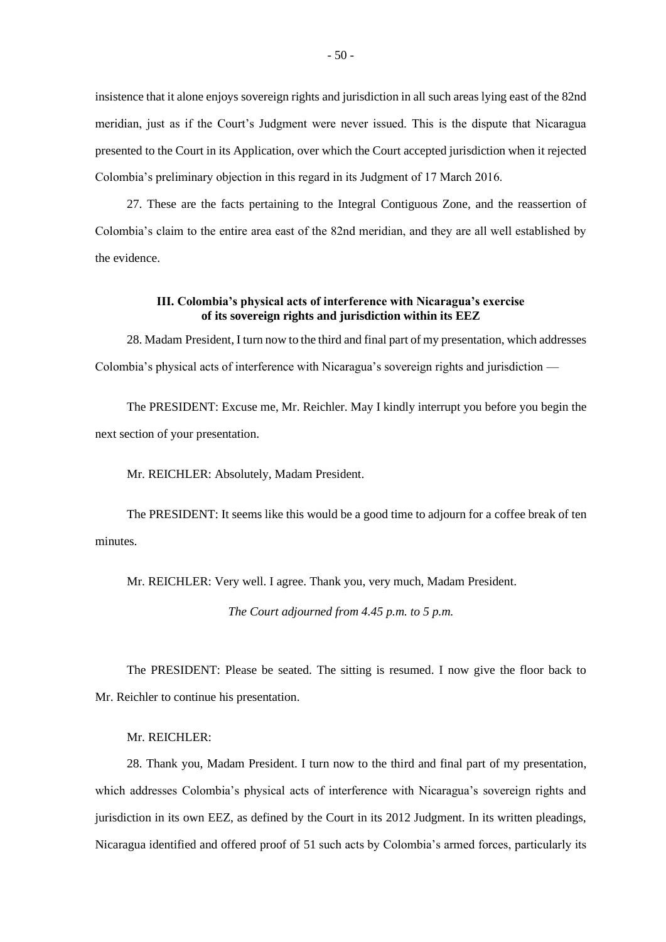insistence that it alone enjoys sovereign rights and jurisdiction in all such areas lying east of the 82nd meridian, just as if the Court's Judgment were never issued. This is the dispute that Nicaragua presented to the Court in its Application, over which the Court accepted jurisdiction when it rejected Colombia's preliminary objection in this regard in its Judgment of 17 March 2016.

27. These are the facts pertaining to the Integral Contiguous Zone, and the reassertion of Colombia's claim to the entire area east of the 82nd meridian, and they are all well established by the evidence.

# **III. Colombia's physical acts of interference with Nicaragua's exercise of its sovereign rights and jurisdiction within its EEZ**

28. Madam President, I turn now to the third and final part of my presentation, which addresses Colombia's physical acts of interference with Nicaragua's sovereign rights and jurisdiction —

The PRESIDENT: Excuse me, Mr. Reichler. May I kindly interrupt you before you begin the next section of your presentation.

Mr. REICHLER: Absolutely, Madam President.

The PRESIDENT: It seems like this would be a good time to adjourn for a coffee break of ten minutes.

Mr. REICHLER: Very well. I agree. Thank you, very much, Madam President.

*The Court adjourned from 4.45 p.m. to 5 p.m.*

The PRESIDENT: Please be seated. The sitting is resumed. I now give the floor back to Mr. Reichler to continue his presentation.

Mr. REICHLER:

28. Thank you, Madam President. I turn now to the third and final part of my presentation, which addresses Colombia's physical acts of interference with Nicaragua's sovereign rights and jurisdiction in its own EEZ, as defined by the Court in its 2012 Judgment. In its written pleadings, Nicaragua identified and offered proof of 51 such acts by Colombia's armed forces, particularly its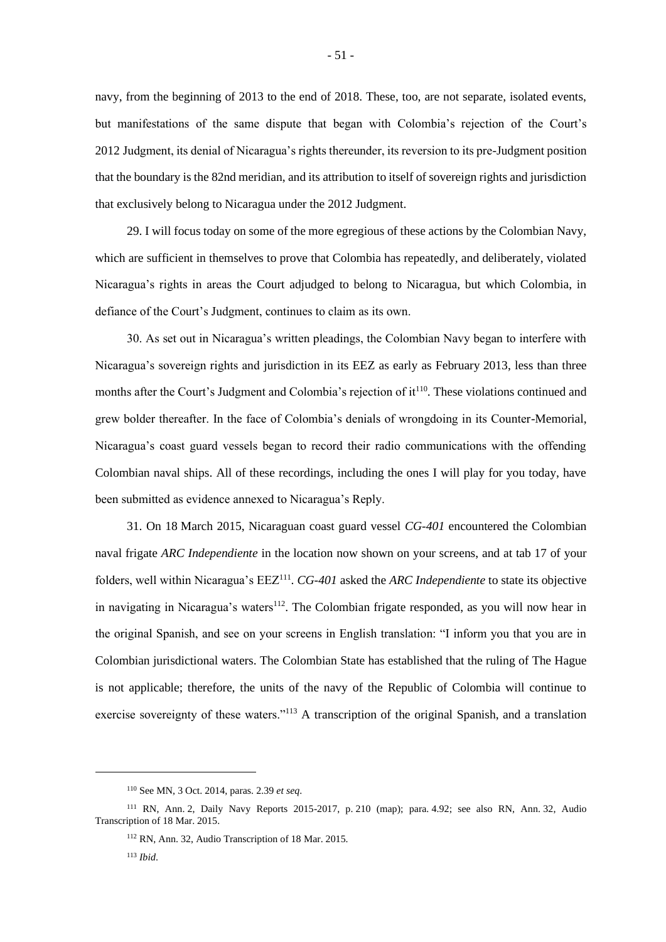navy, from the beginning of 2013 to the end of 2018. These, too, are not separate, isolated events, but manifestations of the same dispute that began with Colombia's rejection of the Court's 2012 Judgment, its denial of Nicaragua's rights thereunder, its reversion to its pre-Judgment position that the boundary is the 82nd meridian, and its attribution to itself of sovereign rights and jurisdiction that exclusively belong to Nicaragua under the 2012 Judgment.

29. I will focus today on some of the more egregious of these actions by the Colombian Navy, which are sufficient in themselves to prove that Colombia has repeatedly, and deliberately, violated Nicaragua's rights in areas the Court adjudged to belong to Nicaragua, but which Colombia, in defiance of the Court's Judgment, continues to claim as its own.

30. As set out in Nicaragua's written pleadings, the Colombian Navy began to interfere with Nicaragua's sovereign rights and jurisdiction in its EEZ as early as February 2013, less than three months after the Court's Judgment and Colombia's rejection of it<sup>110</sup>. These violations continued and grew bolder thereafter. In the face of Colombia's denials of wrongdoing in its Counter-Memorial, Nicaragua's coast guard vessels began to record their radio communications with the offending Colombian naval ships. All of these recordings, including the ones I will play for you today, have been submitted as evidence annexed to Nicaragua's Reply.

31. On 18 March 2015, Nicaraguan coast guard vessel *CG-401* encountered the Colombian naval frigate *ARC Independiente* in the location now shown on your screens, and at tab 17 of your folders, well within Nicaragua's EEZ<sup>111</sup> . *CG-401* asked the *ARC Independiente* to state its objective in navigating in Nicaragua's waters<sup>112</sup>. The Colombian frigate responded, as you will now hear in the original Spanish, and see on your screens in English translation: "I inform you that you are in Colombian jurisdictional waters. The Colombian State has established that the ruling of The Hague is not applicable; therefore, the units of the navy of the Republic of Colombia will continue to exercise sovereignty of these waters."<sup>113</sup> A transcription of the original Spanish, and a translation

<sup>110</sup> See MN, 3 Oct. 2014, paras. 2.39 *et seq*.

<sup>111</sup> RN, Ann. 2, Daily Navy Reports 2015-2017, p. 210 (map); para. 4.92; see also RN, Ann. 32, Audio Transcription of 18 Mar. 2015.

<sup>112</sup> RN, Ann. 32, Audio Transcription of 18 Mar. 2015.

<sup>113</sup> *Ibid*.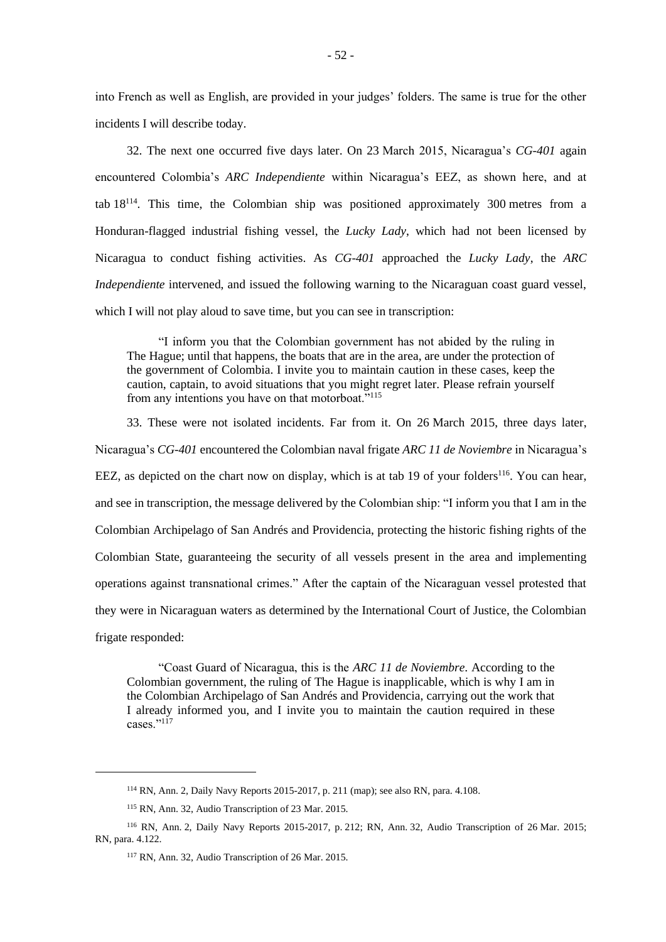into French as well as English, are provided in your judges' folders. The same is true for the other incidents I will describe today.

32. The next one occurred five days later. On 23 March 2015, Nicaragua's *CG-401* again encountered Colombia's *ARC Independiente* within Nicaragua's EEZ, as shown here, and at tab  $18^{114}$ . This time, the Colombian ship was positioned approximately 300 metres from a Honduran-flagged industrial fishing vessel, the *Lucky Lady*, which had not been licensed by Nicaragua to conduct fishing activities. As *CG-401* approached the *Lucky Lady*, the *ARC Independiente* intervened, and issued the following warning to the Nicaraguan coast guard vessel, which I will not play aloud to save time, but you can see in transcription:

"I inform you that the Colombian government has not abided by the ruling in The Hague; until that happens, the boats that are in the area, are under the protection of the government of Colombia. I invite you to maintain caution in these cases, keep the caution, captain, to avoid situations that you might regret later. Please refrain yourself from any intentions you have on that motorboat."<sup>115</sup>

33. These were not isolated incidents. Far from it. On 26 March 2015, three days later, Nicaragua's *CG-401* encountered the Colombian naval frigate *ARC 11 de Noviembre* in Nicaragua's EEZ, as depicted on the chart now on display, which is at tab 19 of your folders<sup>116</sup>. You can hear, and see in transcription, the message delivered by the Colombian ship: "I inform you that I am in the Colombian Archipelago of San Andrés and Providencia, protecting the historic fishing rights of the Colombian State, guaranteeing the security of all vessels present in the area and implementing operations against transnational crimes." After the captain of the Nicaraguan vessel protested that they were in Nicaraguan waters as determined by the International Court of Justice, the Colombian frigate responded:

"Coast Guard of Nicaragua, this is the *ARC 11 de Noviembre*. According to the Colombian government, the ruling of The Hague is inapplicable, which is why I am in the Colombian Archipelago of San Andrés and Providencia, carrying out the work that I already informed you, and I invite you to maintain the caution required in these cases."<sup>117</sup>

<sup>114</sup> RN, Ann. 2, Daily Navy Reports 2015-2017, p. 211 (map); see also RN, para. 4.108.

<sup>115</sup> RN, Ann. 32, Audio Transcription of 23 Mar. 2015.

<sup>116</sup> RN, Ann. 2, Daily Navy Reports 2015-2017, p. 212; RN, Ann. 32, Audio Transcription of 26 Mar. 2015; RN, para. 4.122.

<sup>117</sup> RN, Ann. 32, Audio Transcription of 26 Mar. 2015.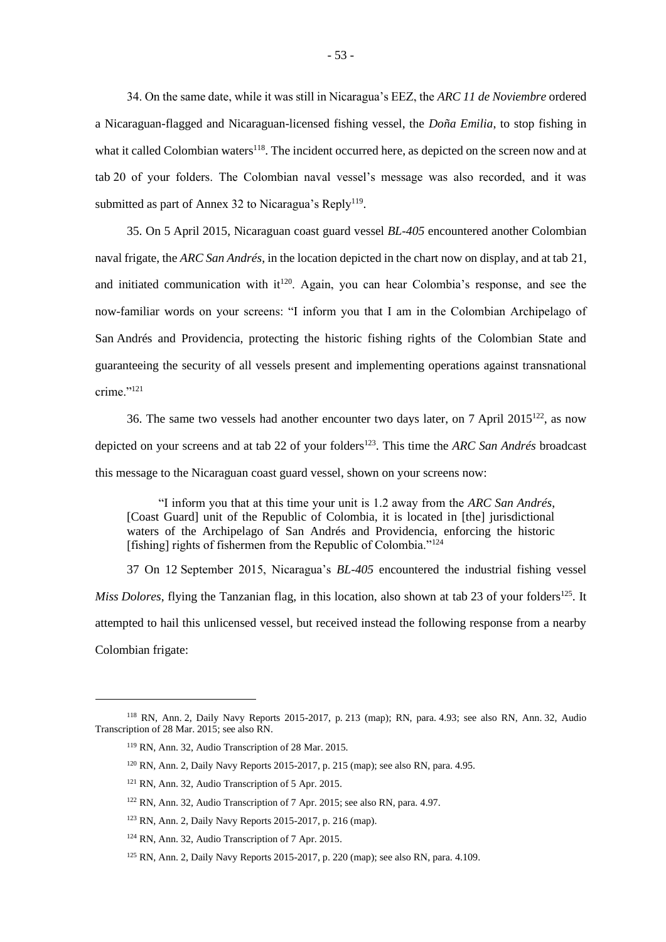34. On the same date, while it was still in Nicaragua's EEZ, the *ARC 11 de Noviembre* ordered a Nicaraguan-flagged and Nicaraguan-licensed fishing vessel, the *Doña Emilia*, to stop fishing in what it called Colombian waters<sup>118</sup>. The incident occurred here, as depicted on the screen now and at tab 20 of your folders. The Colombian naval vessel's message was also recorded, and it was submitted as part of Annex 32 to Nicaragua's Reply<sup>119</sup>.

35. On 5 April 2015, Nicaraguan coast guard vessel *BL-405* encountered another Colombian naval frigate, the *ARC San Andrés*, in the location depicted in the chart now on display, and at tab 21, and initiated communication with  $it^{120}$ . Again, you can hear Colombia's response, and see the now-familiar words on your screens: "I inform you that I am in the Colombian Archipelago of San Andrés and Providencia, protecting the historic fishing rights of the Colombian State and guaranteeing the security of all vessels present and implementing operations against transnational crime."<sup>121</sup>

36. The same two vessels had another encounter two days later, on 7 April 2015<sup>122</sup>, as now depicted on your screens and at tab 22 of your folders<sup>123</sup>. This time the *ARC San Andrés* broadcast this message to the Nicaraguan coast guard vessel, shown on your screens now:

"I inform you that at this time your unit is 1.2 away from the *ARC San Andrés*, [Coast Guard] unit of the Republic of Colombia, it is located in [the] jurisdictional waters of the Archipelago of San Andrés and Providencia, enforcing the historic [fishing] rights of fishermen from the Republic of Colombia."<sup>124</sup>

37 On 12 September 2015, Nicaragua's *BL-405* encountered the industrial fishing vessel *Miss Dolores*, flying the Tanzanian flag, in this location, also shown at tab 23 of your folders<sup>125</sup>. It attempted to hail this unlicensed vessel, but received instead the following response from a nearby Colombian frigate:

<sup>118</sup> RN, Ann. 2, Daily Navy Reports 2015-2017, p. 213 (map); RN, para. 4.93; see also RN, Ann. 32, Audio Transcription of 28 Mar. 2015; see also RN.

<sup>119</sup> RN, Ann. 32, Audio Transcription of 28 Mar. 2015.

<sup>120</sup> RN, Ann. 2, Daily Navy Reports 2015-2017, p. 215 (map); see also RN, para. 4.95.

<sup>121</sup> RN, Ann. 32, Audio Transcription of 5 Apr. 2015.

<sup>122</sup> RN, Ann. 32, Audio Transcription of 7 Apr. 2015; see also RN, para. 4.97.

<sup>123</sup> RN, Ann. 2, Daily Navy Reports 2015-2017, p. 216 (map).

<sup>124</sup> RN, Ann. 32, Audio Transcription of 7 Apr. 2015.

<sup>125</sup> RN, Ann. 2, Daily Navy Reports 2015-2017, p. 220 (map); see also RN, para. 4.109.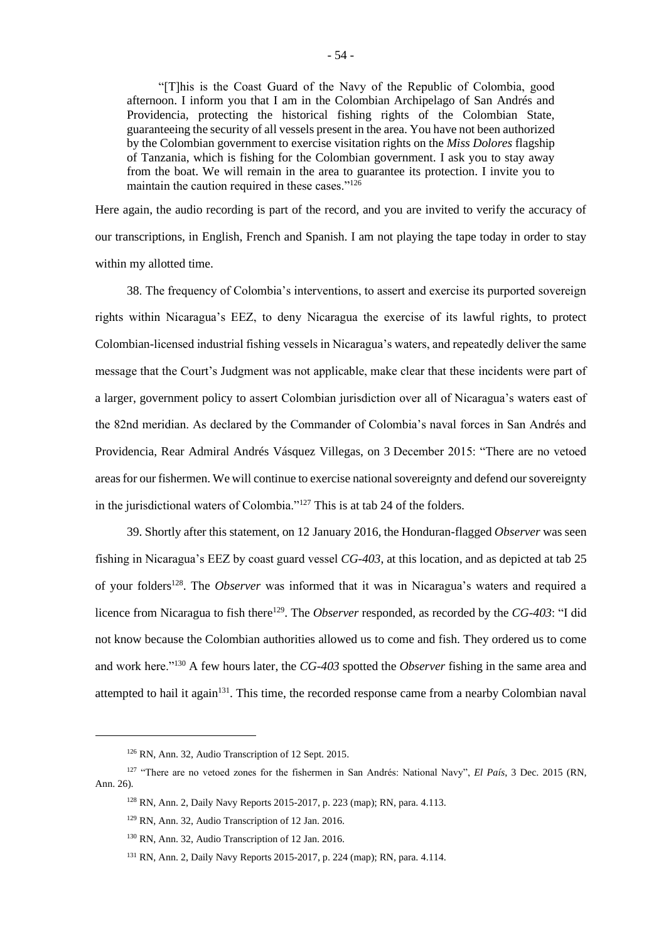"[T]his is the Coast Guard of the Navy of the Republic of Colombia, good afternoon. I inform you that I am in the Colombian Archipelago of San Andrés and Providencia, protecting the historical fishing rights of the Colombian State, guaranteeing the security of all vessels present in the area. You have not been authorized by the Colombian government to exercise visitation rights on the *Miss Dolores* flagship of Tanzania, which is fishing for the Colombian government. I ask you to stay away from the boat. We will remain in the area to guarantee its protection. I invite you to maintain the caution required in these cases."<sup>126</sup>

Here again, the audio recording is part of the record, and you are invited to verify the accuracy of our transcriptions, in English, French and Spanish. I am not playing the tape today in order to stay within my allotted time.

38. The frequency of Colombia's interventions, to assert and exercise its purported sovereign rights within Nicaragua's EEZ, to deny Nicaragua the exercise of its lawful rights, to protect Colombian-licensed industrial fishing vessels in Nicaragua's waters, and repeatedly deliver the same message that the Court's Judgment was not applicable, make clear that these incidents were part of a larger, government policy to assert Colombian jurisdiction over all of Nicaragua's waters east of the 82nd meridian. As declared by the Commander of Colombia's naval forces in San Andrés and Providencia, Rear Admiral Andrés Vásquez Villegas, on 3 December 2015: "There are no vetoed areas for our fishermen. We will continue to exercise national sovereignty and defend our sovereignty in the jurisdictional waters of Colombia."<sup>127</sup> This is at tab 24 of the folders.

39. Shortly after this statement, on 12 January 2016, the Honduran-flagged *Observer* was seen fishing in Nicaragua's EEZ by coast guard vessel *CG-403*, at this location, and as depicted at tab 25 of your folders<sup>128</sup>. The *Observer* was informed that it was in Nicaragua's waters and required a licence from Nicaragua to fish there<sup>129</sup>. The *Observer* responded, as recorded by the *CG-403*: "I did not know because the Colombian authorities allowed us to come and fish. They ordered us to come and work here."<sup>130</sup> A few hours later, the *CG-403* spotted the *Observer* fishing in the same area and attempted to hail it again<sup>131</sup>. This time, the recorded response came from a nearby Colombian naval

<sup>126</sup> RN, Ann. 32, Audio Transcription of 12 Sept. 2015.

<sup>127</sup> "There are no vetoed zones for the fishermen in San Andrés: National Navy", *El País*, 3 Dec. 2015 (RN, Ann. 26).

<sup>128</sup> RN, Ann. 2, Daily Navy Reports 2015-2017, p. 223 (map); RN, para. 4.113.

<sup>129</sup> RN, Ann. 32, Audio Transcription of 12 Jan. 2016.

<sup>130</sup> RN, Ann. 32, Audio Transcription of 12 Jan. 2016.

<sup>131</sup> RN, Ann. 2, Daily Navy Reports 2015-2017, p. 224 (map); RN, para. 4.114.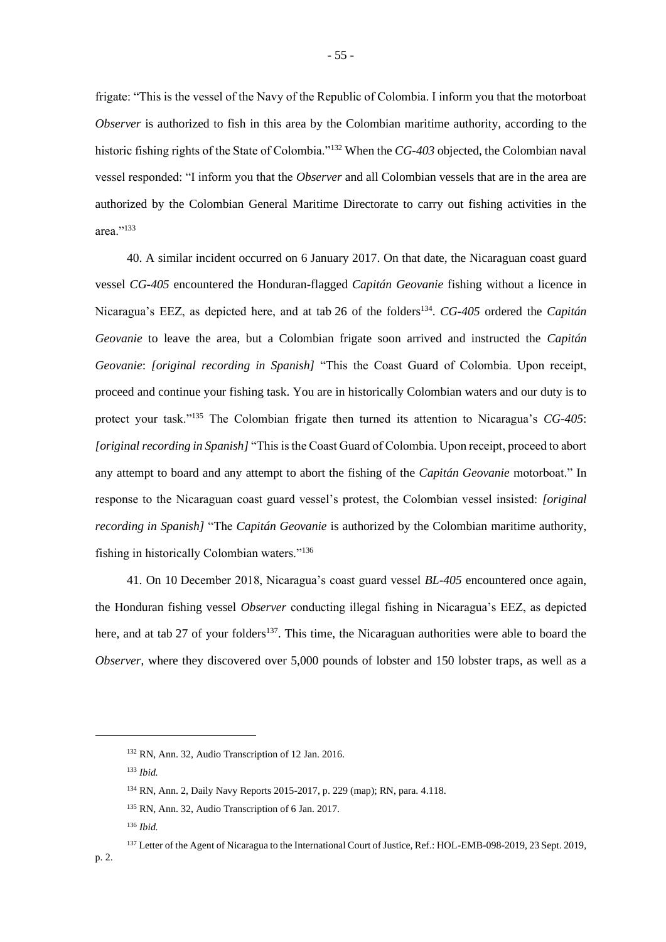frigate: "This is the vessel of the Navy of the Republic of Colombia. I inform you that the motorboat *Observer* is authorized to fish in this area by the Colombian maritime authority, according to the historic fishing rights of the State of Colombia."<sup>132</sup> When the *CG-403* objected, the Colombian naval vessel responded: "I inform you that the *Observer* and all Colombian vessels that are in the area are authorized by the Colombian General Maritime Directorate to carry out fishing activities in the area."<sup>133</sup>

40. A similar incident occurred on 6 January 2017. On that date, the Nicaraguan coast guard vessel *CG-405* encountered the Honduran-flagged *Capitán Geovanie* fishing without a licence in Nicaragua's EEZ, as depicted here, and at tab 26 of the folders<sup>134</sup>. CG-405 ordered the *Capitán Geovanie* to leave the area, but a Colombian frigate soon arrived and instructed the *Capitán Geovanie*: *[original recording in Spanish]* "This the Coast Guard of Colombia. Upon receipt, proceed and continue your fishing task. You are in historically Colombian waters and our duty is to protect your task."<sup>135</sup> The Colombian frigate then turned its attention to Nicaragua's *CG-405*: *[original recording in Spanish]* "This is the Coast Guard of Colombia. Upon receipt, proceed to abort any attempt to board and any attempt to abort the fishing of the *Capitán Geovanie* motorboat." In response to the Nicaraguan coast guard vessel's protest, the Colombian vessel insisted: *[original recording in Spanish]* "The *Capitán Geovanie* is authorized by the Colombian maritime authority, fishing in historically Colombian waters."<sup>136</sup>

41. On 10 December 2018, Nicaragua's coast guard vessel *BL-405* encountered once again, the Honduran fishing vessel *Observer* conducting illegal fishing in Nicaragua's EEZ, as depicted here, and at tab 27 of your folders<sup>137</sup>. This time, the Nicaraguan authorities were able to board the *Observer*, where they discovered over 5,000 pounds of lobster and 150 lobster traps, as well as a

<sup>132</sup> RN, Ann. 32, Audio Transcription of 12 Jan. 2016.

<sup>133</sup> *Ibid.*

<sup>134</sup> RN, Ann. 2, Daily Navy Reports 2015-2017, p. 229 (map); RN, para. 4.118.

<sup>135</sup> RN, Ann. 32, Audio Transcription of 6 Jan. 2017.

<sup>136</sup> *Ibid.*

<sup>137</sup> Letter of the Agent of Nicaragua to the International Court of Justice, Ref.: HOL-EMB-098-2019, 23 Sept. 2019,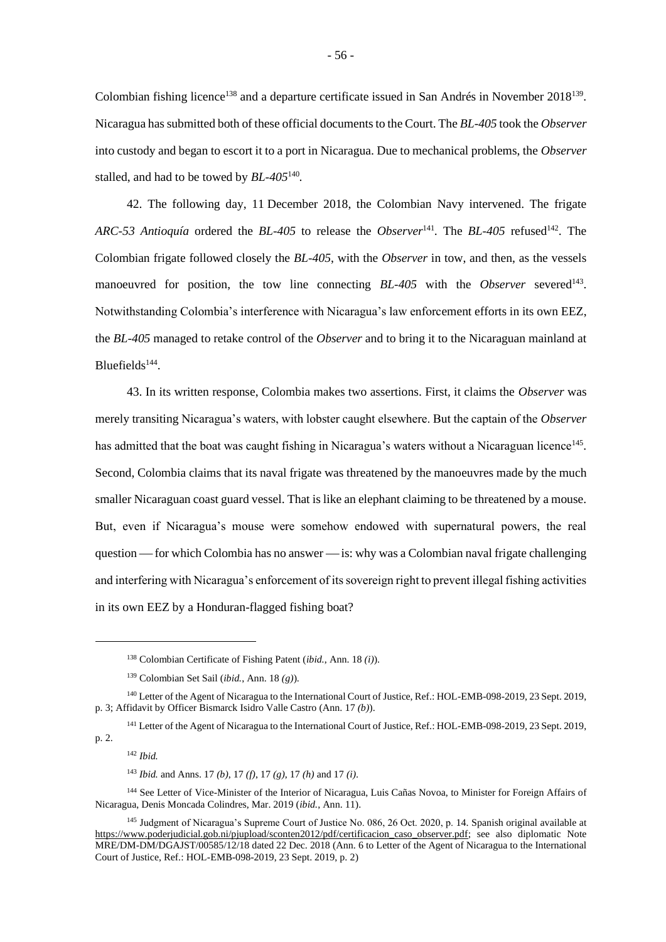Colombian fishing licence<sup>138</sup> and a departure certificate issued in San Andrés in November 2018<sup>139</sup>. Nicaragua has submitted both of these official documents to the Court. The *BL-405* took the *Observer* into custody and began to escort it to a port in Nicaragua. Due to mechanical problems, the *Observer* stalled, and had to be towed by *BL-405*<sup>140</sup> *.*

42. The following day, 11 December 2018, the Colombian Navy intervened. The frigate *ARC-53 Antioquía* ordered the *BL-405* to release the *Observer*<sup>141</sup>. The *BL-405* refused<sup>142</sup>. The Colombian frigate followed closely the *BL-405*, with the *Observer* in tow, and then, as the vessels manoeuvred for position, the tow line connecting *BL-405* with the *Observer* severed<sup>143</sup>. Notwithstanding Colombia's interference with Nicaragua's law enforcement efforts in its own EEZ, the *BL-405* managed to retake control of the *Observer* and to bring it to the Nicaraguan mainland at Bluefields<sup>144</sup>.

43. In its written response, Colombia makes two assertions. First, it claims the *Observer* was merely transiting Nicaragua's waters, with lobster caught elsewhere. But the captain of the *Observer* has admitted that the boat was caught fishing in Nicaragua's waters without a Nicaraguan licence<sup>145</sup>. Second, Colombia claims that its naval frigate was threatened by the manoeuvres made by the much smaller Nicaraguan coast guard vessel. That is like an elephant claiming to be threatened by a mouse. But, even if Nicaragua's mouse were somehow endowed with supernatural powers, the real question  $\rho$  for which Colombia has no answer  $\rho$  is: why was a Colombian naval frigate challenging and interfering with Nicaragua's enforcement of its sovereign right to prevent illegal fishing activities in its own EEZ by a Honduran-flagged fishing boat?

p. 2.

<sup>143</sup> *Ibid.* and Anns. 17 *(b)*, 17 *(f)*, 17 *(g)*, 17 *(h)* and 17 *(i)*.

<sup>144</sup> See Letter of Vice-Minister of the Interior of Nicaragua, Luis Cañas Novoa, to Minister for Foreign Affairs of Nicaragua, Denis Moncada Colindres, Mar. 2019 (*ibid.*, Ann. 11).

<sup>138</sup> Colombian Certificate of Fishing Patent (*ibid.*, Ann. 18 *(i)*).

<sup>139</sup> Colombian Set Sail (*ibid.*, Ann. 18 *(g)*).

<sup>140</sup> Letter of the Agent of Nicaragua to the International Court of Justice, Ref.: HOL-EMB-098-2019, 23 Sept. 2019, p. 3; Affidavit by Officer Bismarck Isidro Valle Castro (Ann. 17 *(b)*).

<sup>141</sup> Letter of the Agent of Nicaragua to the International Court of Justice, Ref.: HOL-EMB-098-2019, 23 Sept. 2019,

<sup>142</sup> *Ibid.*

<sup>&</sup>lt;sup>145</sup> Judgment of Nicaragua's Supreme Court of Justice No. 086, 26 Oct. 2020, p. 14. Spanish original available at https://www.poderjudicial.gob.ni/pjupload/sconten2012/pdf/certificacion\_caso\_observer.pdf; see also diplomatic Note MRE/DM-DM/DGAJST/00585/12/18 dated 22 Dec. 2018 (Ann. 6 to Letter of the Agent of Nicaragua to the International Court of Justice, Ref.: HOL-EMB-098-2019, 23 Sept. 2019, p. 2)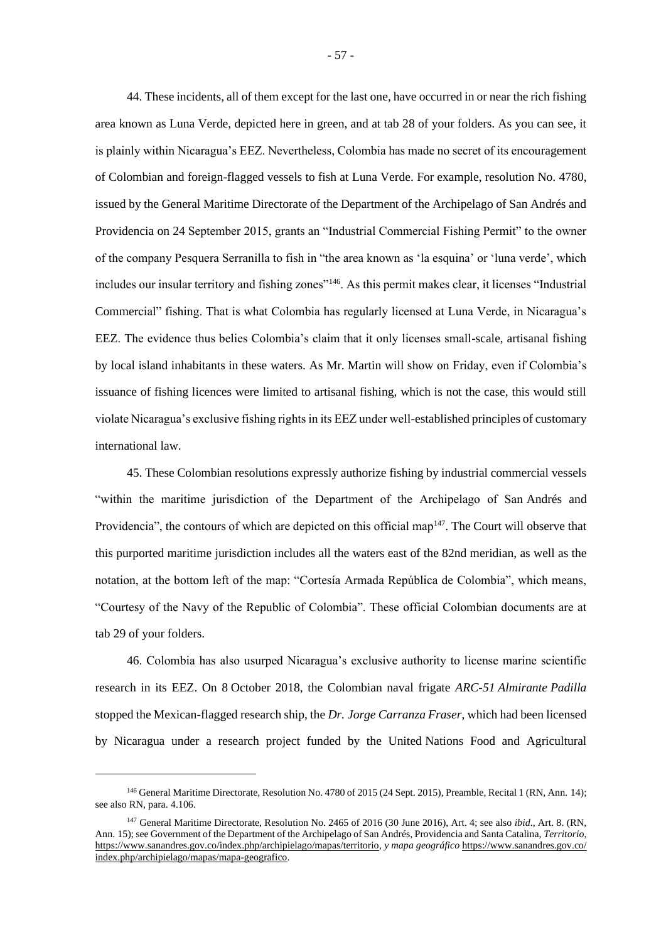44. These incidents, all of them except for the last one, have occurred in or near the rich fishing area known as Luna Verde, depicted here in green, and at tab 28 of your folders. As you can see, it is plainly within Nicaragua's EEZ. Nevertheless, Colombia has made no secret of its encouragement of Colombian and foreign-flagged vessels to fish at Luna Verde. For example, resolution No. 4780, issued by the General Maritime Directorate of the Department of the Archipelago of San Andrés and Providencia on 24 September 2015, grants an "Industrial Commercial Fishing Permit" to the owner of the company Pesquera Serranilla to fish in "the area known as 'la esquina' or 'luna verde', which includes our insular territory and fishing zones"<sup>146</sup>. As this permit makes clear, it licenses "Industrial Commercial" fishing. That is what Colombia has regularly licensed at Luna Verde, in Nicaragua's EEZ. The evidence thus belies Colombia's claim that it only licenses small-scale, artisanal fishing by local island inhabitants in these waters. As Mr. Martin will show on Friday, even if Colombia's issuance of fishing licences were limited to artisanal fishing, which is not the case, this would still violate Nicaragua's exclusive fishing rights in its EEZ under well-established principles of customary international law.

45. These Colombian resolutions expressly authorize fishing by industrial commercial vessels "within the maritime jurisdiction of the Department of the Archipelago of San Andrés and Providencia", the contours of which are depicted on this official map<sup>147</sup>. The Court will observe that this purported maritime jurisdiction includes all the waters east of the 82nd meridian, as well as the notation, at the bottom left of the map: "Cortesía Armada República de Colombia", which means, "Courtesy of the Navy of the Republic of Colombia". These official Colombian documents are at tab 29 of your folders.

46. Colombia has also usurped Nicaragua's exclusive authority to license marine scientific research in its EEZ. On 8 October 2018, the Colombian naval frigate *ARC-51 Almirante Padilla* stopped the Mexican-flagged research ship, the *Dr. Jorge Carranza Fraser*, which had been licensed by Nicaragua under a research project funded by the United Nations Food and Agricultural

<sup>146</sup> General Maritime Directorate, Resolution No. 4780 of 2015 (24 Sept. 2015), Preamble, Recital 1 (RN, Ann. 14); see also RN, para. 4.106.

<sup>147</sup> General Maritime Directorate, Resolution No. 2465 of 2016 (30 June 2016), Art. 4; see also *ibid*., Art. 8. (RN, Ann. 15); see Government of the Department of the Archipelago of San Andrés, Providencia and Santa Catalina, *Territorio*, https://www.sanandres.gov.co/index.php/archipielago/mapas/territorio, *y mapa geográfico* https://www.sanandres.gov.co/ index.php/archipielago/mapas/mapa-geografico.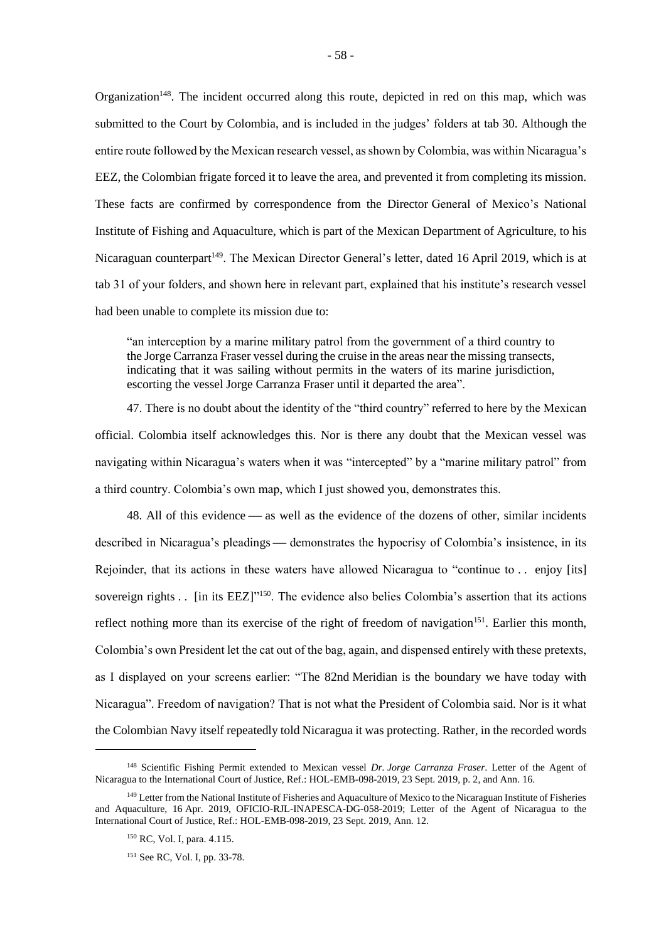Organization<sup>148</sup>. The incident occurred along this route, depicted in red on this map, which was submitted to the Court by Colombia, and is included in the judges' folders at tab 30. Although the entire route followed by the Mexican research vessel, as shown by Colombia, was within Nicaragua's EEZ, the Colombian frigate forced it to leave the area, and prevented it from completing its mission. These facts are confirmed by correspondence from the Director General of Mexico's National Institute of Fishing and Aquaculture, which is part of the Mexican Department of Agriculture, to his Nicaraguan counterpart<sup>149</sup>. The Mexican Director General's letter, dated 16 April 2019, which is at tab 31 of your folders, and shown here in relevant part, explained that his institute's research vessel had been unable to complete its mission due to:

"an interception by a marine military patrol from the government of a third country to the Jorge Carranza Fraser vessel during the cruise in the areas near the missing transects, indicating that it was sailing without permits in the waters of its marine jurisdiction, escorting the vessel Jorge Carranza Fraser until it departed the area".

47. There is no doubt about the identity of the "third country" referred to here by the Mexican official. Colombia itself acknowledges this. Nor is there any doubt that the Mexican vessel was navigating within Nicaragua's waters when it was "intercepted" by a "marine military patrol" from a third country. Colombia's own map, which I just showed you, demonstrates this.

48. All of this evidence — as well as the evidence of the dozens of other, similar incidents described in Nicaragua's pleadings — demonstrates the hypocrisy of Colombia's insistence, in its Rejoinder, that its actions in these waters have allowed Nicaragua to "continue to . . enjoy [its] sovereign rights . . [in its EEZ]"<sup>150</sup>. The evidence also belies Colombia's assertion that its actions reflect nothing more than its exercise of the right of freedom of navigation<sup>151</sup>. Earlier this month, Colombia's own President let the cat out of the bag, again, and dispensed entirely with these pretexts, as I displayed on your screens earlier: "The 82nd Meridian is the boundary we have today with Nicaragua". Freedom of navigation? That is not what the President of Colombia said. Nor is it what the Colombian Navy itself repeatedly told Nicaragua it was protecting. Rather, in the recorded words

<sup>148</sup> Scientific Fishing Permit extended to Mexican vessel *Dr. Jorge Carranza Fraser*. Letter of the Agent of Nicaragua to the International Court of Justice, Ref.: HOL-EMB-098-2019, 23 Sept. 2019, p. 2, and Ann. 16.

<sup>&</sup>lt;sup>149</sup> Letter from the National Institute of Fisheries and Aquaculture of Mexico to the Nicaraguan Institute of Fisheries and Aquaculture, 16 Apr. 2019, OFICIO-RJL-INAPESCA-DG-058-2019; Letter of the Agent of Nicaragua to the International Court of Justice, Ref.: HOL-EMB-098-2019, 23 Sept. 2019, Ann. 12.

<sup>150</sup> RC, Vol. I, para. 4.115.

<sup>151</sup> See RC, Vol. I, pp. 33-78.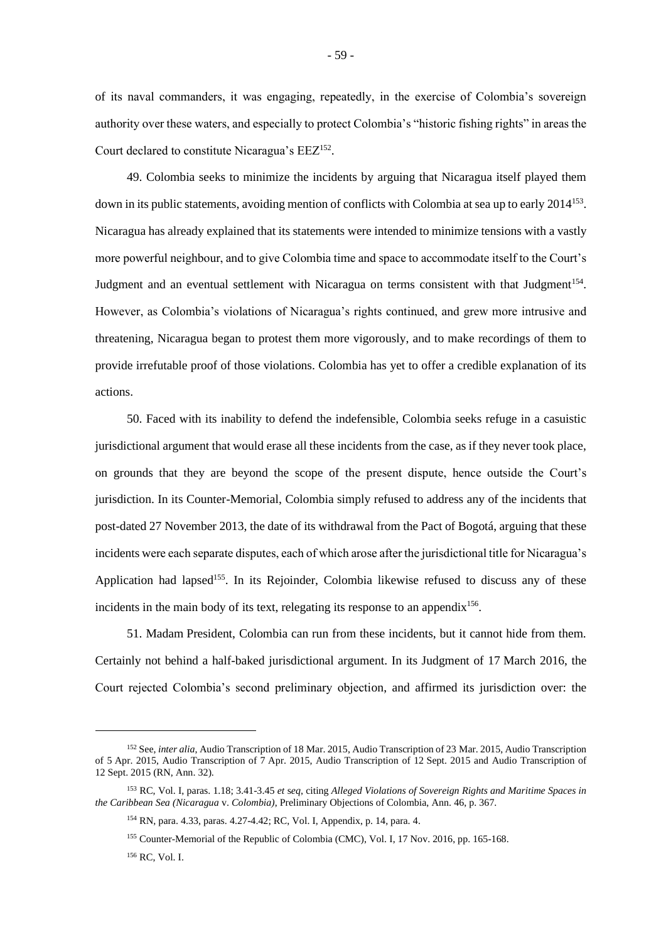of its naval commanders, it was engaging, repeatedly, in the exercise of Colombia's sovereign authority over these waters, and especially to protect Colombia's "historic fishing rights" in areas the Court declared to constitute Nicaragua's EEZ<sup>152</sup>.

49. Colombia seeks to minimize the incidents by arguing that Nicaragua itself played them down in its public statements, avoiding mention of conflicts with Colombia at sea up to early 2014<sup>153</sup>. Nicaragua has already explained that its statements were intended to minimize tensions with a vastly more powerful neighbour, and to give Colombia time and space to accommodate itself to the Court's Judgment and an eventual settlement with Nicaragua on terms consistent with that Judgment<sup>154</sup>. However, as Colombia's violations of Nicaragua's rights continued, and grew more intrusive and threatening, Nicaragua began to protest them more vigorously, and to make recordings of them to provide irrefutable proof of those violations. Colombia has yet to offer a credible explanation of its actions.

50. Faced with its inability to defend the indefensible, Colombia seeks refuge in a casuistic jurisdictional argument that would erase all these incidents from the case, as if they never took place, on grounds that they are beyond the scope of the present dispute, hence outside the Court's jurisdiction. In its Counter-Memorial, Colombia simply refused to address any of the incidents that post-dated 27 November 2013, the date of its withdrawal from the Pact of Bogotá, arguing that these incidents were each separate disputes, each of which arose after the jurisdictional title for Nicaragua's Application had lapsed<sup>155</sup>. In its Rejoinder, Colombia likewise refused to discuss any of these incidents in the main body of its text, relegating its response to an appendix<sup>156</sup>.

51. Madam President, Colombia can run from these incidents, but it cannot hide from them. Certainly not behind a half-baked jurisdictional argument. In its Judgment of 17 March 2016, the Court rejected Colombia's second preliminary objection, and affirmed its jurisdiction over: the

<sup>156</sup> RC, Vol. I.

<sup>152</sup> See, *inter alia*, Audio Transcription of 18 Mar. 2015, Audio Transcription of 23 Mar. 2015, Audio Transcription of 5 Apr. 2015, Audio Transcription of 7 Apr. 2015, Audio Transcription of 12 Sept. 2015 and Audio Transcription of 12 Sept. 2015 (RN, Ann. 32).

<sup>153</sup> RC, Vol. I, paras. 1.18; 3.41-3.45 *et* s*eq*, citing *Alleged Violations of Sovereign Rights and Maritime Spaces in the Caribbean Sea (Nicaragua* v. *Colombia)*, Preliminary Objections of Colombia, Ann. 46, p. 367.

<sup>154</sup> RN, para. 4.33, paras. 4.27-4.42; RC, Vol. I, Appendix, p. 14, para. 4.

<sup>155</sup> Counter-Memorial of the Republic of Colombia (CMC), Vol. I, 17 Nov. 2016, pp. 165-168.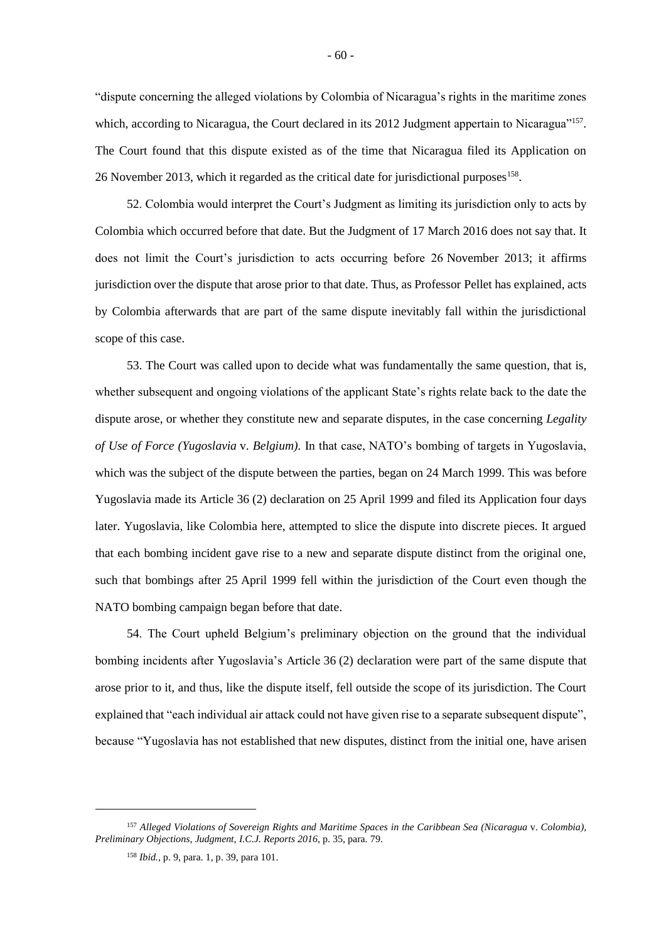"dispute concerning the alleged violations by Colombia of Nicaragua's rights in the maritime zones which, according to Nicaragua, the Court declared in its 2012 Judgment appertain to Nicaragua"<sup>157</sup>. The Court found that this dispute existed as of the time that Nicaragua filed its Application on 26 November 2013, which it regarded as the critical date for jurisdictional purposes<sup>158</sup>.

52. Colombia would interpret the Court's Judgment as limiting its jurisdiction only to acts by Colombia which occurred before that date. But the Judgment of 17 March 2016 does not say that. It does not limit the Court's jurisdiction to acts occurring before 26 November 2013; it affirms jurisdiction over the dispute that arose prior to that date. Thus, as Professor Pellet has explained, acts by Colombia afterwards that are part of the same dispute inevitably fall within the jurisdictional scope of this case.

53. The Court was called upon to decide what was fundamentally the same question, that is, whether subsequent and ongoing violations of the applicant State's rights relate back to the date the dispute arose, or whether they constitute new and separate disputes, in the case concerning *Legality of Use of Force (Yugoslavia* v. *Belgium).* In that case, NATO's bombing of targets in Yugoslavia, which was the subject of the dispute between the parties, began on 24 March 1999. This was before Yugoslavia made its Article 36 (2) declaration on 25 April 1999 and filed its Application four days later. Yugoslavia, like Colombia here, attempted to slice the dispute into discrete pieces. It argued that each bombing incident gave rise to a new and separate dispute distinct from the original one, such that bombings after 25 April 1999 fell within the jurisdiction of the Court even though the NATO bombing campaign began before that date.

54. The Court upheld Belgium's preliminary objection on the ground that the individual bombing incidents after Yugoslavia's Article 36 (2) declaration were part of the same dispute that arose prior to it, and thus, like the dispute itself, fell outside the scope of its jurisdiction. The Court explained that "each individual air attack could not have given rise to a separate subsequent dispute", because "Yugoslavia has not established that new disputes, distinct from the initial one, have arisen

<sup>157</sup> *Alleged Violations of Sovereign Rights and Maritime Spaces in the Caribbean Sea (Nicaragua* v. *Colombia), Preliminary Objections, Judgment, I.C.J. Reports 2016*, p. 35, para. 79.

<sup>158</sup> *Ibid.*, p. 9, para. 1, p. 39, para 101.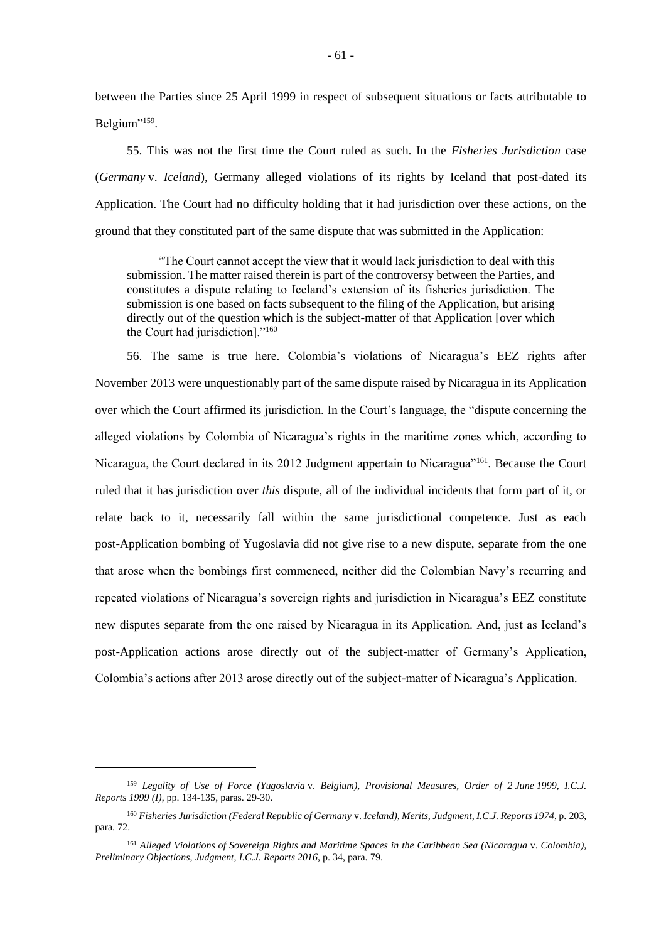between the Parties since 25 April 1999 in respect of subsequent situations or facts attributable to Belgium"<sup>159</sup>.

55. This was not the first time the Court ruled as such. In the *Fisheries Jurisdiction* case (*Germany* v. *Iceland*), Germany alleged violations of its rights by Iceland that post-dated its Application. The Court had no difficulty holding that it had jurisdiction over these actions, on the ground that they constituted part of the same dispute that was submitted in the Application:

"The Court cannot accept the view that it would lack jurisdiction to deal with this submission. The matter raised therein is part of the controversy between the Parties, and constitutes a dispute relating to Iceland's extension of its fisheries jurisdiction. The submission is one based on facts subsequent to the filing of the Application, but arising directly out of the question which is the subject-matter of that Application [over which the Court had jurisdiction]."<sup>160</sup>

56. The same is true here. Colombia's violations of Nicaragua's EEZ rights after November 2013 were unquestionably part of the same dispute raised by Nicaragua in its Application over which the Court affirmed its jurisdiction. In the Court's language, the "dispute concerning the alleged violations by Colombia of Nicaragua's rights in the maritime zones which, according to Nicaragua, the Court declared in its 2012 Judgment appertain to Nicaragua"<sup>161</sup>. Because the Court ruled that it has jurisdiction over *this* dispute, all of the individual incidents that form part of it, or relate back to it, necessarily fall within the same jurisdictional competence. Just as each post-Application bombing of Yugoslavia did not give rise to a new dispute, separate from the one that arose when the bombings first commenced, neither did the Colombian Navy's recurring and repeated violations of Nicaragua's sovereign rights and jurisdiction in Nicaragua's EEZ constitute new disputes separate from the one raised by Nicaragua in its Application. And, just as Iceland's post-Application actions arose directly out of the subject-matter of Germany's Application, Colombia's actions after 2013 arose directly out of the subject-matter of Nicaragua's Application.

<sup>159</sup> *Legality of Use of Force (Yugoslavia* v. *Belgium), Provisional Measures, Order of 2 June 1999, I.C.J. Reports 1999 (I)*, pp. 134-135, paras. 29-30.

<sup>160</sup> *Fisheries Jurisdiction (Federal Republic of Germany* v. *Iceland), Merits, Judgment, I.C.J. Reports 1974*, p. 203, para. 72.

<sup>161</sup> *Alleged Violations of Sovereign Rights and Maritime Spaces in the Caribbean Sea (Nicaragua* v. *Colombia), Preliminary Objections, Judgment, I.C.J. Reports 2016*, p. 34, para. 79.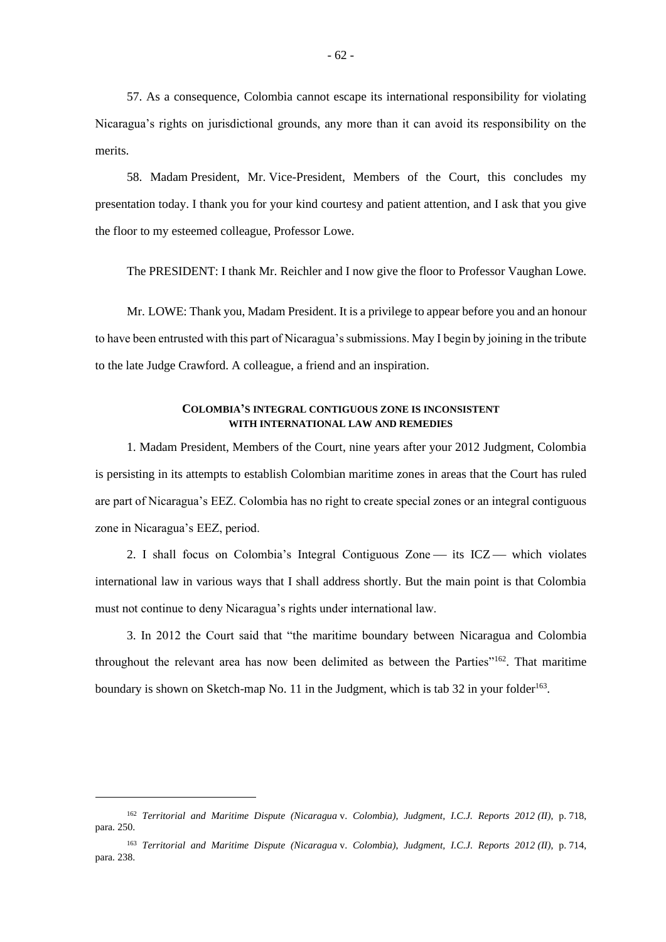57. As a consequence, Colombia cannot escape its international responsibility for violating Nicaragua's rights on jurisdictional grounds, any more than it can avoid its responsibility on the merits.

58. Madam President, Mr. Vice-President, Members of the Court, this concludes my presentation today. I thank you for your kind courtesy and patient attention, and I ask that you give the floor to my esteemed colleague, Professor Lowe.

The PRESIDENT: I thank Mr. Reichler and I now give the floor to Professor Vaughan Lowe.

Mr. LOWE: Thank you, Madam President. It is a privilege to appear before you and an honour to have been entrusted with this part of Nicaragua's submissions. May I begin by joining in the tribute to the late Judge Crawford. A colleague, a friend and an inspiration.

### **COLOMBIA'S INTEGRAL CONTIGUOUS ZONE IS INCONSISTENT WITH INTERNATIONAL LAW AND REMEDIES**

1. Madam President, Members of the Court, nine years after your 2012 Judgment, Colombia is persisting in its attempts to establish Colombian maritime zones in areas that the Court has ruled are part of Nicaragua's EEZ. Colombia has no right to create special zones or an integral contiguous zone in Nicaragua's EEZ, period.

2. I shall focus on Colombia's Integral Contiguous Zone  $\frac{1}{10}$  its ICZ  $\frac{1}{10}$  which violates international law in various ways that I shall address shortly. But the main point is that Colombia must not continue to deny Nicaragua's rights under international law.

3. In 2012 the Court said that "the maritime boundary between Nicaragua and Colombia throughout the relevant area has now been delimited as between the Parties $\frac{1}{162}$ . That maritime boundary is shown on Sketch-map No. 11 in the Judgment, which is tab 32 in your folder<sup>163</sup>.

<sup>162</sup> *Territorial and Maritime Dispute (Nicaragua* v. *Colombia), Judgment, I.C.J. Reports 2012 (II)*, p. 718, para. 250.

<sup>163</sup> *Territorial and Maritime Dispute (Nicaragua* v. *Colombia)*, *Judgment, I.C.J. Reports 2012 (II)*, p. 714, para. 238.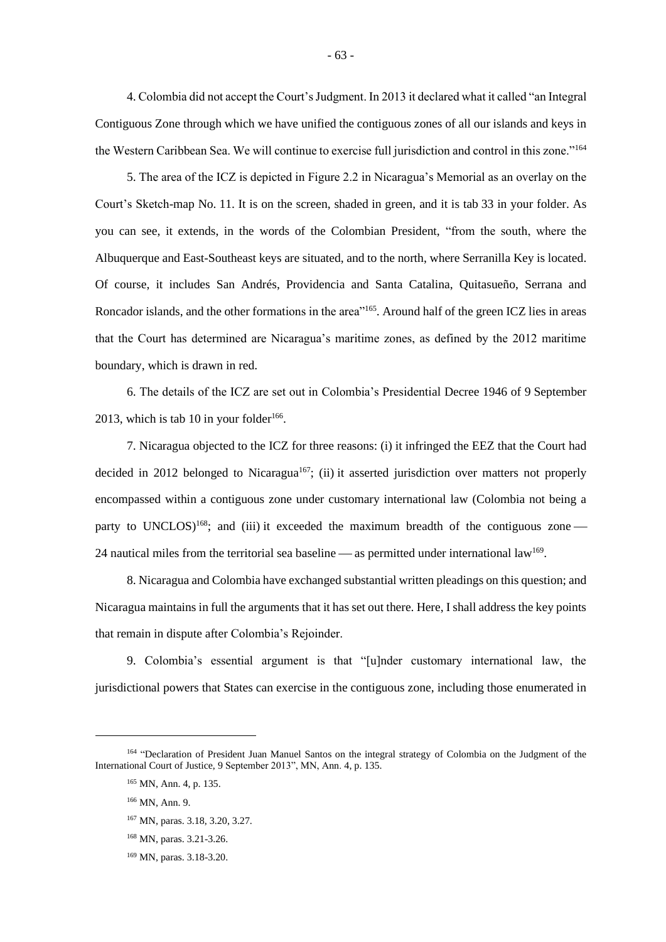4. Colombia did not accept the Court's Judgment. In 2013 it declared what it called "an Integral Contiguous Zone through which we have unified the contiguous zones of all our islands and keys in the Western Caribbean Sea. We will continue to exercise full jurisdiction and control in this zone."<sup>164</sup>

5. The area of the ICZ is depicted in Figure 2.2 in Nicaragua's Memorial as an overlay on the Court's Sketch-map No. 11. It is on the screen, shaded in green, and it is tab 33 in your folder. As you can see, it extends, in the words of the Colombian President, "from the south, where the Albuquerque and East-Southeast keys are situated, and to the north, where Serranilla Key is located. Of course, it includes San Andrés, Providencia and Santa Catalina, Quitasueño, Serrana and Roncador islands, and the other formations in the area<sup>"165</sup>. Around half of the green ICZ lies in areas that the Court has determined are Nicaragua's maritime zones, as defined by the 2012 maritime boundary, which is drawn in red.

6. The details of the ICZ are set out in Colombia's Presidential Decree 1946 of 9 September 2013, which is tab 10 in your folder<sup>166</sup>.

7. Nicaragua objected to the ICZ for three reasons: (i) it infringed the EEZ that the Court had decided in 2012 belonged to Nicaragua<sup>167</sup>; (ii) it asserted jurisdiction over matters not properly encompassed within a contiguous zone under customary international law (Colombia not being a party to UNCLOS)<sup>168</sup>; and (iii) it exceeded the maximum breadth of the contiguous zone  $-$ 24 nautical miles from the territorial sea baseline — as permitted under international law<sup>169</sup>.

8. Nicaragua and Colombia have exchanged substantial written pleadings on this question; and Nicaragua maintains in full the arguments that it has set out there. Here, I shall address the key points that remain in dispute after Colombia's Rejoinder.

9. Colombia's essential argument is that "[u]nder customary international law, the jurisdictional powers that States can exercise in the contiguous zone, including those enumerated in

<sup>164</sup> "Declaration of President Juan Manuel Santos on the integral strategy of Colombia on the Judgment of the International Court of Justice, 9 September 2013", MN, Ann. 4, p. 135.

<sup>165</sup> MN, Ann. 4, p. 135.

<sup>166</sup> MN, Ann. 9.

<sup>167</sup> MN, paras. 3.18, 3.20, 3.27.

<sup>168</sup> MN, paras. 3.21-3.26.

<sup>169</sup> MN, paras. 3.18-3.20.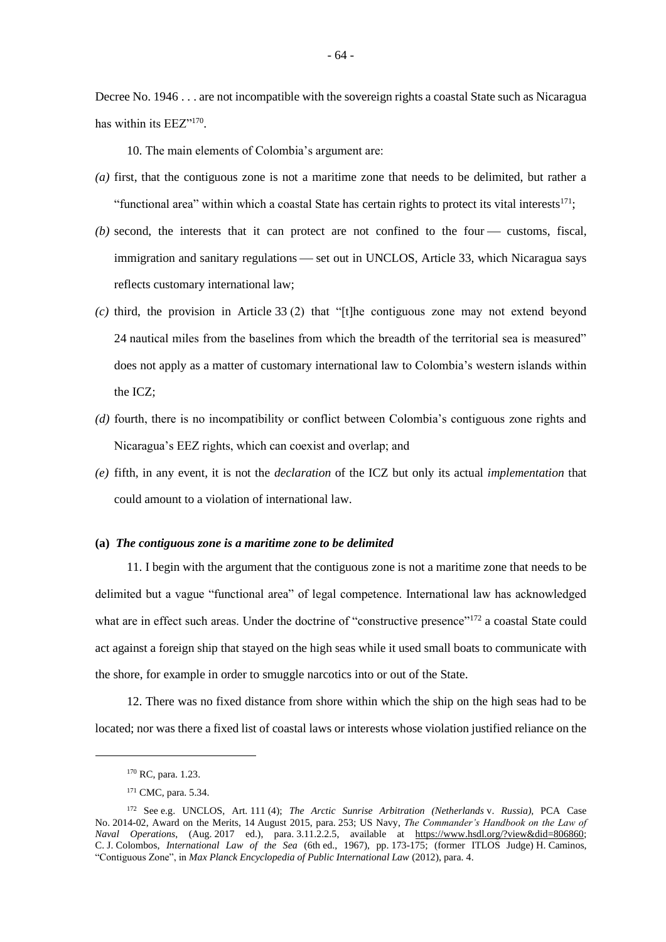Decree No. 1946 . . . are not incompatible with the sovereign rights a coastal State such as Nicaragua has within its EEZ"<sup>170</sup>.

10. The main elements of Colombia's argument are:

- *(a)* first, that the contiguous zone is not a maritime zone that needs to be delimited, but rather a "functional area" within which a coastal State has certain rights to protect its vital interests<sup>171</sup>;
- $(b)$  second, the interests that it can protect are not confined to the four  $\frac{1}{1}$  customs, fiscal, immigration and sanitary regulations — set out in UNCLOS, Article 33, which Nicaragua says reflects customary international law;
- *(c)* third, the provision in Article 33 (2) that "[t]he contiguous zone may not extend beyond 24 nautical miles from the baselines from which the breadth of the territorial sea is measured" does not apply as a matter of customary international law to Colombia's western islands within the ICZ;
- *(d)* fourth, there is no incompatibility or conflict between Colombia's contiguous zone rights and Nicaragua's EEZ rights, which can coexist and overlap; and
- *(e)* fifth, in any event, it is not the *declaration* of the ICZ but only its actual *implementation* that could amount to a violation of international law.

#### **(a)** *The contiguous zone is a maritime zone to be delimited*

11. I begin with the argument that the contiguous zone is not a maritime zone that needs to be delimited but a vague "functional area" of legal competence. International law has acknowledged what are in effect such areas. Under the doctrine of "constructive presence"<sup>172</sup> a coastal State could act against a foreign ship that stayed on the high seas while it used small boats to communicate with the shore, for example in order to smuggle narcotics into or out of the State.

12. There was no fixed distance from shore within which the ship on the high seas had to be located; nor was there a fixed list of coastal laws or interests whose violation justified reliance on the

<sup>170</sup> RC, para. 1.23.

<sup>171</sup> CMC, para. 5.34.

<sup>172</sup> See e.g. UNCLOS, Art. 111 (4); *The Arctic Sunrise Arbitration (Netherlands* v. *Russia)*, PCA Case No. 2014-02, Award on the Merits, 14 August 2015, para. 253; US Navy, *The Commander's Handbook on the Law of Naval Operations*, (Aug. 2017 ed.), para. 3.11.2.2.5, available at https://www.hsdl.org/?view&did=806860; C. J. Colombos, *International Law of the Sea* (6th ed., 1967), pp. 173-175; (former ITLOS Judge) H. Caminos, "Contiguous Zone", in *Max Planck Encyclopedia of Public International Law* (2012), para. 4.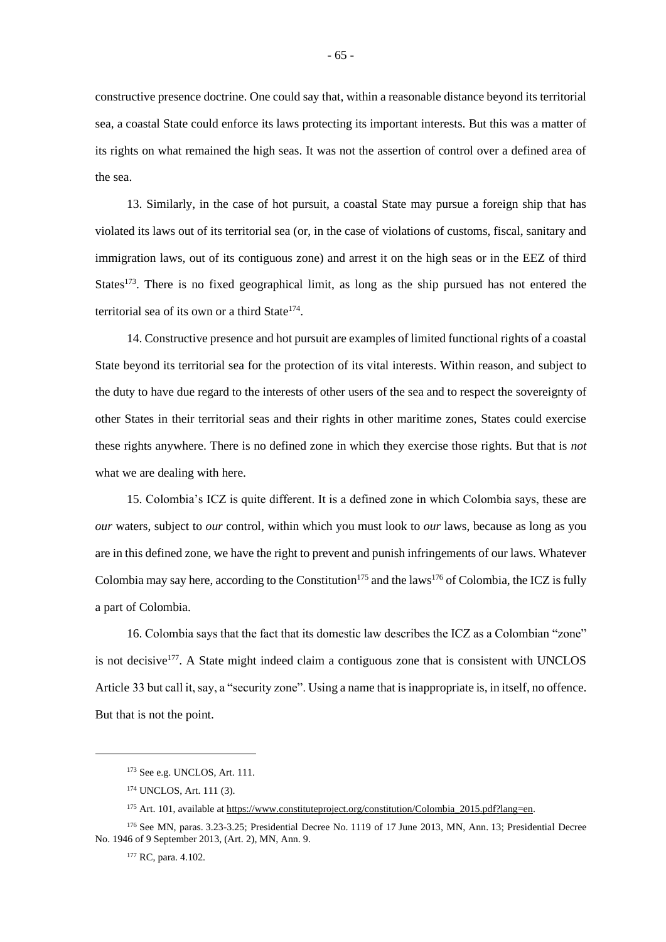constructive presence doctrine. One could say that, within a reasonable distance beyond its territorial sea, a coastal State could enforce its laws protecting its important interests. But this was a matter of its rights on what remained the high seas. It was not the assertion of control over a defined area of the sea.

13. Similarly, in the case of hot pursuit, a coastal State may pursue a foreign ship that has violated its laws out of its territorial sea (or, in the case of violations of customs, fiscal, sanitary and immigration laws, out of its contiguous zone) and arrest it on the high seas or in the EEZ of third States<sup>173</sup>. There is no fixed geographical limit, as long as the ship pursued has not entered the territorial sea of its own or a third State<sup>174</sup>.

14. Constructive presence and hot pursuit are examples of limited functional rights of a coastal State beyond its territorial sea for the protection of its vital interests. Within reason, and subject to the duty to have due regard to the interests of other users of the sea and to respect the sovereignty of other States in their territorial seas and their rights in other maritime zones, States could exercise these rights anywhere. There is no defined zone in which they exercise those rights. But that is *not* what we are dealing with here.

15. Colombia's ICZ is quite different. It is a defined zone in which Colombia says, these are *our* waters, subject to *our* control, within which you must look to *our* laws, because as long as you are in this defined zone, we have the right to prevent and punish infringements of our laws. Whatever Colombia may say here, according to the Constitution<sup>175</sup> and the laws<sup>176</sup> of Colombia, the ICZ is fully a part of Colombia.

16. Colombia says that the fact that its domestic law describes the ICZ as a Colombian "zone" is not decisive $177$ . A State might indeed claim a contiguous zone that is consistent with UNCLOS Article 33 but call it, say, a "security zone". Using a name that is inappropriate is, in itself, no offence. But that is not the point.

<sup>173</sup> See e.g. UNCLOS, Art. 111.

<sup>174</sup> UNCLOS, Art. 111 (3).

<sup>&</sup>lt;sup>175</sup> Art. 101, available at https://www.constituteproject.org/constitution/Colombia\_2015.pdf?lang=en.

<sup>176</sup> See MN, paras. 3.23-3.25; Presidential Decree No. 1119 of 17 June 2013, MN, Ann. 13; Presidential Decree No. 1946 of 9 September 2013, (Art. 2), MN, Ann. 9.

<sup>177</sup> RC, para. 4.102.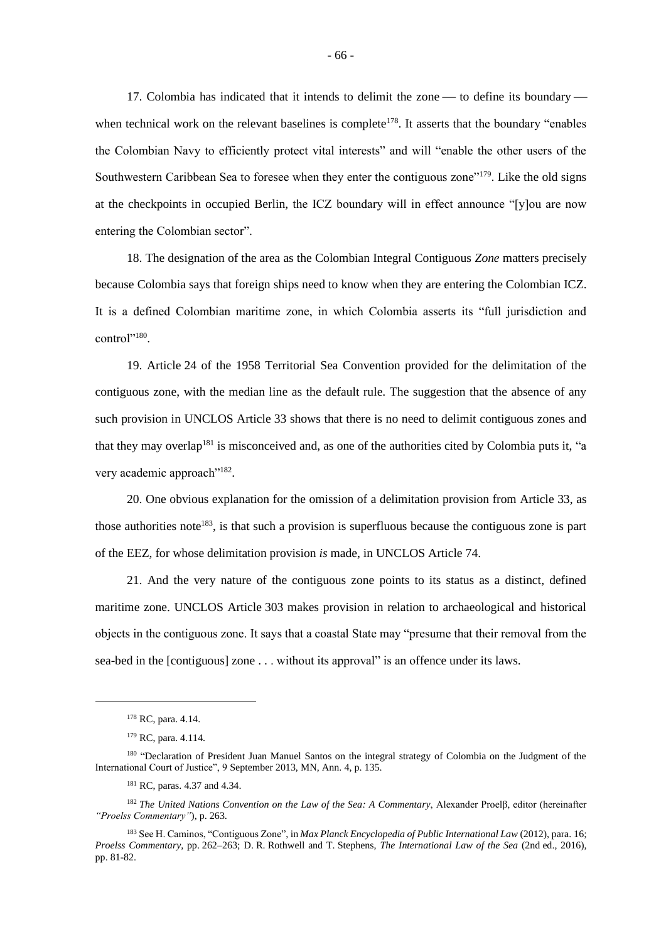17. Colombia has indicated that it intends to delimit the zone — to define its boundary when technical work on the relevant baselines is complete<sup>178</sup>. It asserts that the boundary "enables the Colombian Navy to efficiently protect vital interests" and will "enable the other users of the Southwestern Caribbean Sea to foresee when they enter the contiguous zone"<sup>179</sup>. Like the old signs at the checkpoints in occupied Berlin, the ICZ boundary will in effect announce "[y]ou are now entering the Colombian sector".

18. The designation of the area as the Colombian Integral Contiguous *Zone* matters precisely because Colombia says that foreign ships need to know when they are entering the Colombian ICZ. It is a defined Colombian maritime zone, in which Colombia asserts its "full jurisdiction and control"<sup>180</sup>.

19. Article 24 of the 1958 Territorial Sea Convention provided for the delimitation of the contiguous zone, with the median line as the default rule. The suggestion that the absence of any such provision in UNCLOS Article 33 shows that there is no need to delimit contiguous zones and that they may overlap<sup>181</sup> is misconceived and, as one of the authorities cited by Colombia puts it, "a very academic approach"<sup>182</sup>.

20. One obvious explanation for the omission of a delimitation provision from Article 33, as those authorities note<sup>183</sup>, is that such a provision is superfluous because the contiguous zone is part of the EEZ, for whose delimitation provision *is* made, in UNCLOS Article 74.

21. And the very nature of the contiguous zone points to its status as a distinct, defined maritime zone. UNCLOS Article 303 makes provision in relation to archaeological and historical objects in the contiguous zone. It says that a coastal State may "presume that their removal from the sea-bed in the [contiguous] zone . . . without its approval" is an offence under its laws.

<sup>178</sup> RC, para. 4.14.

<sup>179</sup> RC, para. 4.114.

<sup>&</sup>lt;sup>180</sup> "Declaration of President Juan Manuel Santos on the integral strategy of Colombia on the Judgment of the International Court of Justice", 9 September 2013, MN, Ann. 4, p. 135.

<sup>181</sup> RC, paras. 4.37 and 4.34.

<sup>182</sup> *The United Nations Convention on the Law of the Sea: A Commentary*, Alexander Proelβ, editor (hereinafter *"Proelss Commentary"*), p. 263.

<sup>183</sup> See H. Caminos, "Contiguous Zone", in *Max Planck Encyclopedia of Public International Law* (2012), para. 16; *Proelss Commentary*, pp. 262–263; D. R. Rothwell and T. Stephens, *The International Law of the Sea* (2nd ed., 2016), pp. 81-82.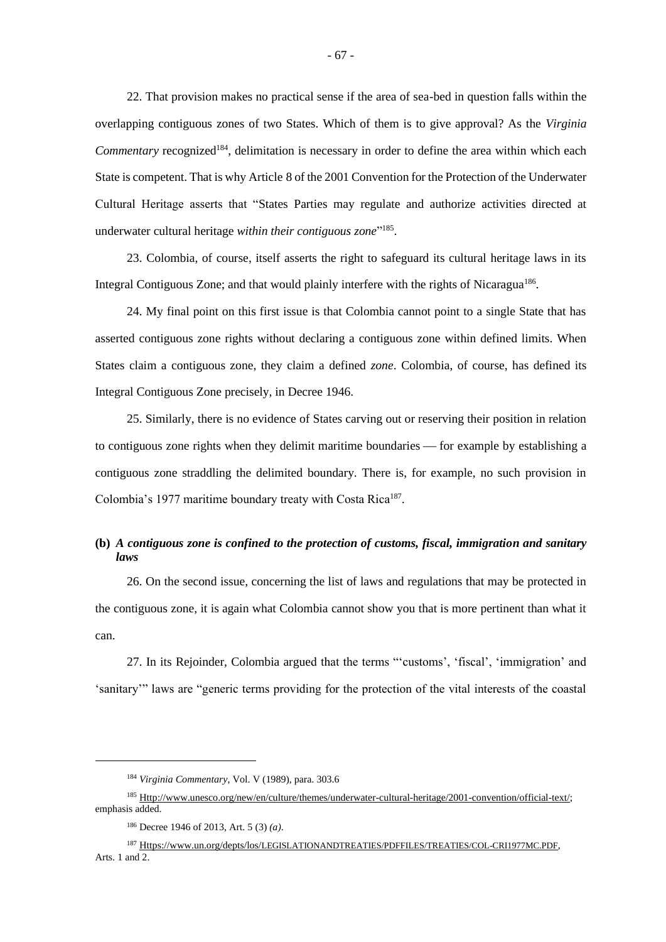22. That provision makes no practical sense if the area of sea-bed in question falls within the overlapping contiguous zones of two States. Which of them is to give approval? As the *Virginia Commentary* recognized<sup>184</sup>, delimitation is necessary in order to define the area within which each State is competent. That is why Article 8 of the 2001 Convention for the Protection of the Underwater Cultural Heritage asserts that "States Parties may regulate and authorize activities directed at underwater cultural heritage *within their contiguous zone*" 185 .

23. Colombia, of course, itself asserts the right to safeguard its cultural heritage laws in its Integral Contiguous Zone; and that would plainly interfere with the rights of Nicaragua<sup>186</sup>.

24. My final point on this first issue is that Colombia cannot point to a single State that has asserted contiguous zone rights without declaring a contiguous zone within defined limits. When States claim a contiguous zone, they claim a defined *zone*. Colombia, of course, has defined its Integral Contiguous Zone precisely, in Decree 1946.

25. Similarly, there is no evidence of States carving out or reserving their position in relation to contiguous zone rights when they delimit maritime boundaries — for example by establishing a contiguous zone straddling the delimited boundary. There is, for example, no such provision in Colombia's 1977 maritime boundary treaty with Costa Rica<sup>187</sup>.

# **(b)** *A contiguous zone is confined to the protection of customs, fiscal, immigration and sanitary laws*

26. On the second issue, concerning the list of laws and regulations that may be protected in the contiguous zone, it is again what Colombia cannot show you that is more pertinent than what it can.

27. In its Rejoinder, Colombia argued that the terms "'customs', 'fiscal', 'immigration' and 'sanitary'" laws are "generic terms providing for the protection of the vital interests of the coastal

<sup>184</sup> *Virginia Commentary*, Vol. V (1989), para. 303.6

<sup>185</sup> Http://www.unesco.org/new/en/culture/themes/underwater-cultural-heritage/2001-convention/official-text/; emphasis added.

<sup>186</sup> Decree 1946 of 2013, Art. 5 (3) *(a)*.

<sup>187</sup> Https://www.un.org/depts/los/LEGISLATIONANDTREATIES/PDFFILES/TREATIES/COL-CRI1977MC.PDF, Arts. 1 and 2.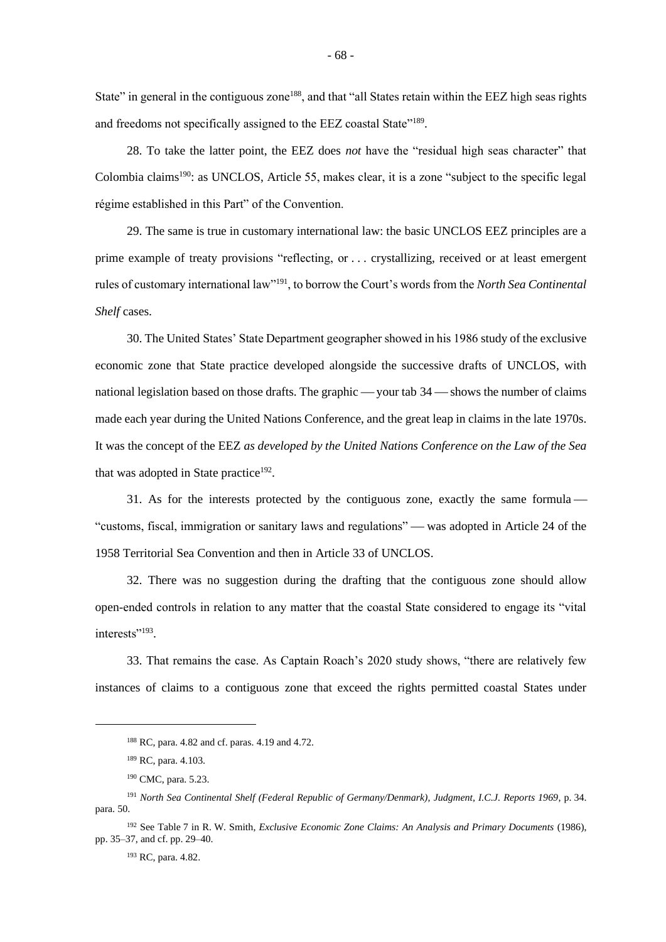State" in general in the contiguous zone<sup>188</sup>, and that "all States retain within the EEZ high seas rights and freedoms not specifically assigned to the EEZ coastal State"<sup>189</sup>.

28. To take the latter point, the EEZ does *not* have the "residual high seas character" that Colombia claims<sup>190</sup>: as UNCLOS, Article 55, makes clear, it is a zone "subject to the specific legal régime established in this Part" of the Convention.

29. The same is true in customary international law: the basic UNCLOS EEZ principles are a prime example of treaty provisions "reflecting, or . . . crystallizing, received or at least emergent rules of customary international law"<sup>191</sup>, to borrow the Court's words from the *North Sea Continental Shelf* cases.

30. The United States' State Department geographer showed in his 1986 study of the exclusive economic zone that State practice developed alongside the successive drafts of UNCLOS, with national legislation based on those drafts. The graphic  $\rightarrow$  your tab 34  $\rightarrow$  shows the number of claims made each year during the United Nations Conference, and the great leap in claims in the late 1970s. It was the concept of the EEZ *as developed by the United Nations Conference on the Law of the Sea* that was adopted in State practice<sup>192</sup>.

31. As for the interests protected by the contiguous zone, exactly the same formula  $\frac{1}{\sqrt{2}}$ "customs, fiscal, immigration or sanitary laws and regulations" — was adopted in Article 24 of the 1958 Territorial Sea Convention and then in Article 33 of UNCLOS.

32. There was no suggestion during the drafting that the contiguous zone should allow open-ended controls in relation to any matter that the coastal State considered to engage its "vital interests"<sup>193</sup>.

33. That remains the case. As Captain Roach's 2020 study shows, "there are relatively few instances of claims to a contiguous zone that exceed the rights permitted coastal States under

<sup>193</sup> RC, para. 4.82.

<sup>188</sup> RC, para. 4.82 and cf. paras. 4.19 and 4.72.

<sup>189</sup> RC, para. 4.103.

<sup>190</sup> CMC, para. 5.23.

<sup>191</sup> *North Sea Continental Shelf (Federal Republic of Germany/Denmark), Judgment, I.C.J. Reports 1969*, p. 34. para. 50.

<sup>192</sup> See Table 7 in R. W. Smith, *Exclusive Economic Zone Claims: An Analysis and Primary Documents* (1986), pp. 35–37, and cf. pp. 29–40.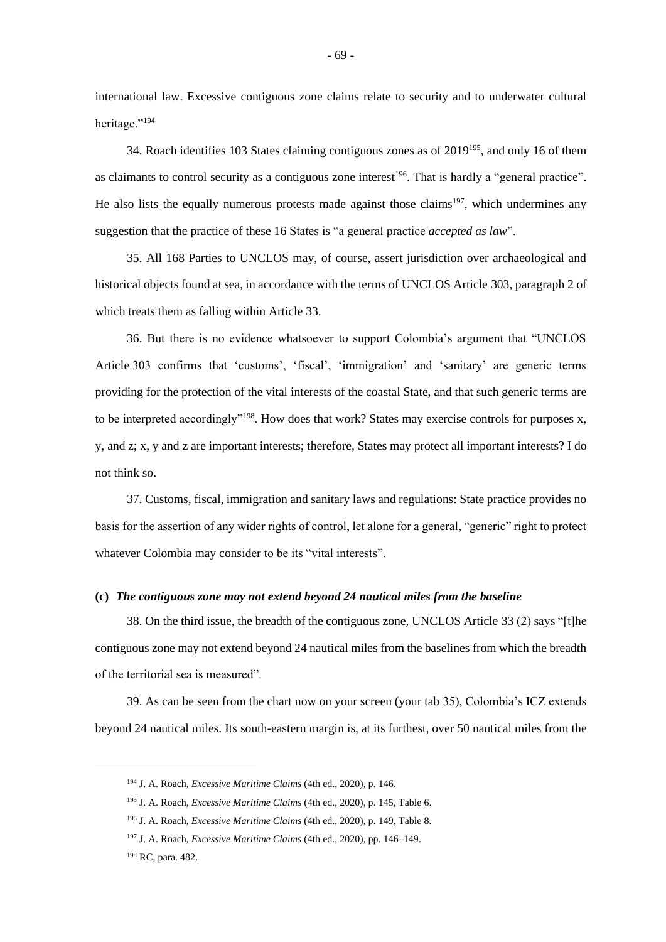international law. Excessive contiguous zone claims relate to security and to underwater cultural heritage."<sup>194</sup>

34. Roach identifies 103 States claiming contiguous zones as of 2019<sup>195</sup>, and only 16 of them as claimants to control security as a contiguous zone interest<sup>196</sup>. That is hardly a "general practice". He also lists the equally numerous protests made against those claims<sup>197</sup>, which undermines any suggestion that the practice of these 16 States is "a general practice *accepted as law*".

35. All 168 Parties to UNCLOS may, of course, assert jurisdiction over archaeological and historical objects found at sea, in accordance with the terms of UNCLOS Article 303, paragraph 2 of which treats them as falling within Article 33.

36. But there is no evidence whatsoever to support Colombia's argument that "UNCLOS Article 303 confirms that 'customs', 'fiscal', 'immigration' and 'sanitary' are generic terms providing for the protection of the vital interests of the coastal State, and that such generic terms are to be interpreted accordingly"<sup>198</sup>. How does that work? States may exercise controls for purposes x, y, and z; x, y and z are important interests; therefore, States may protect all important interests? I do not think so.

37. Customs, fiscal, immigration and sanitary laws and regulations: State practice provides no basis for the assertion of any wider rights of control, let alone for a general, "generic" right to protect whatever Colombia may consider to be its "vital interests".

### **(c)** *The contiguous zone may not extend beyond 24 nautical miles from the baseline*

38. On the third issue, the breadth of the contiguous zone, UNCLOS Article 33 (2) says "[t]he contiguous zone may not extend beyond 24 nautical miles from the baselines from which the breadth of the territorial sea is measured".

39. As can be seen from the chart now on your screen (your tab 35), Colombia's ICZ extends beyond 24 nautical miles. Its south-eastern margin is, at its furthest, over 50 nautical miles from the

<sup>194</sup> J. A. Roach, *Excessive Maritime Claims* (4th ed., 2020), p. 146.

<sup>195</sup> J. A. Roach, *Excessive Maritime Claims* (4th ed., 2020), p. 145, Table 6.

<sup>196</sup> J. A. Roach, *Excessive Maritime Claims* (4th ed., 2020), p. 149, Table 8.

<sup>197</sup> J. A. Roach, *Excessive Maritime Claims* (4th ed., 2020), pp. 146–149.

<sup>198</sup> RC, para. 482.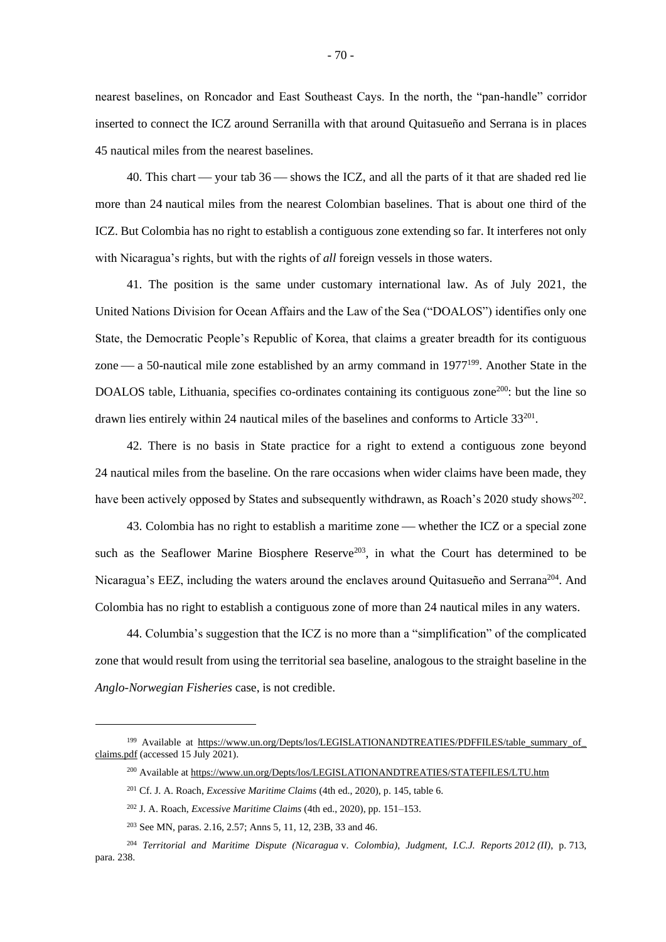nearest baselines, on Roncador and East Southeast Cays. In the north, the "pan-handle" corridor inserted to connect the ICZ around Serranilla with that around Quitasueño and Serrana is in places 45 nautical miles from the nearest baselines.

40. This chart  $-$  your tab 36  $-$  shows the ICZ, and all the parts of it that are shaded red lie more than 24 nautical miles from the nearest Colombian baselines. That is about one third of the ICZ. But Colombia has no right to establish a contiguous zone extending so far. It interferes not only with Nicaragua's rights, but with the rights of *all* foreign vessels in those waters.

41. The position is the same under customary international law. As of July 2021, the United Nations Division for Ocean Affairs and the Law of the Sea ("DOALOS") identifies only one State, the Democratic People's Republic of Korea, that claims a greater breadth for its contiguous zone  $\sim$  a 50-nautical mile zone established by an army command in 1977<sup>199</sup>. Another State in the DOALOS table, Lithuania, specifies co-ordinates containing its contiguous zone<sup>200</sup>: but the line so drawn lies entirely within 24 nautical miles of the baselines and conforms to Article 33<sup>201</sup>.

42. There is no basis in State practice for a right to extend a contiguous zone beyond 24 nautical miles from the baseline. On the rare occasions when wider claims have been made, they have been actively opposed by States and subsequently withdrawn, as Roach's 2020 study shows<sup>202</sup>.

43. Colombia has no right to establish a maritime zone — whether the ICZ or a special zone such as the Seaflower Marine Biosphere Reserve<sup>203</sup>, in what the Court has determined to be Nicaragua's EEZ, including the waters around the enclaves around Quitasueño and Serrana<sup>204</sup>. And Colombia has no right to establish a contiguous zone of more than 24 nautical miles in any waters.

44. Columbia's suggestion that the ICZ is no more than a "simplification" of the complicated zone that would result from using the territorial sea baseline, analogous to the straight baseline in the *Anglo-Norwegian Fisheries* case, is not credible.

<sup>&</sup>lt;sup>199</sup> Available at https://www.un.org/Depts/los/LEGISLATIONANDTREATIES/PDFFILES/table summary of claims.pdf (accessed 15 July 2021).

<sup>200</sup> Available at https://www.un.org/Depts/los/LEGISLATIONANDTREATIES/STATEFILES/LTU.htm

<sup>201</sup> Cf. J. A. Roach, *Excessive Maritime Claims* (4th ed., 2020), p. 145, table 6.

<sup>202</sup> J. A. Roach, *Excessive Maritime Claims* (4th ed., 2020), pp. 151–153.

<sup>203</sup> See MN, paras. 2.16, 2.57; Anns 5, 11, 12, 23B, 33 and 46.

<sup>204</sup> *Territorial and Maritime Dispute (Nicaragua* v. *Colombia)*, *Judgment, I.C.J. Reports 2012 (II)*, p. 713, para. 238.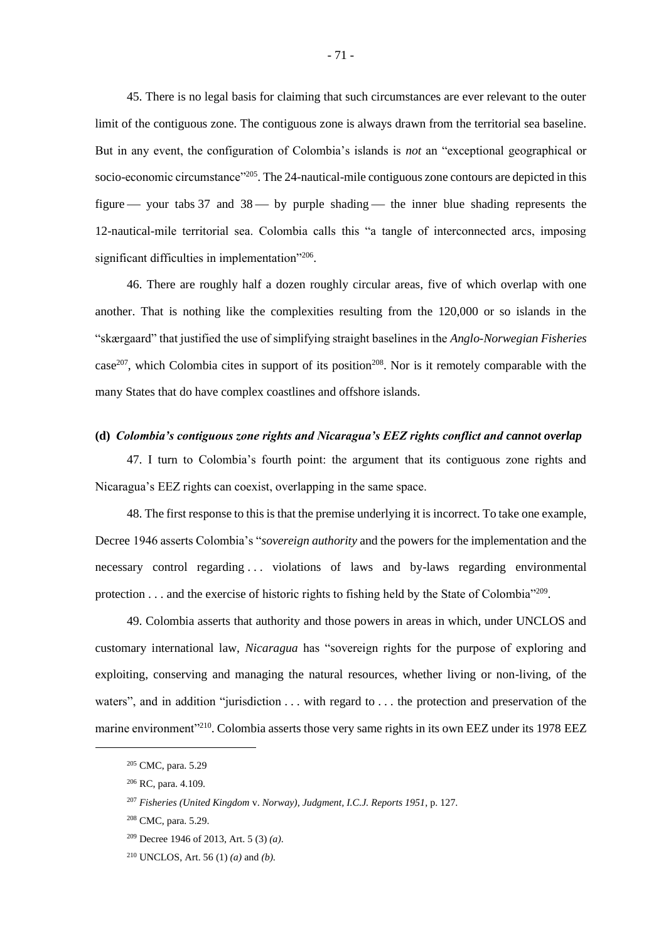45. There is no legal basis for claiming that such circumstances are ever relevant to the outer limit of the contiguous zone. The contiguous zone is always drawn from the territorial sea baseline. But in any event, the configuration of Colombia's islands is *not* an "exceptional geographical or socio-economic circumstance"<sup>205</sup>. The 24-nautical-mile contiguous zone contours are depicted in this figure  $\rightarrow$  your tabs 37 and 38  $\rightarrow$  by purple shading  $\rightarrow$  the inner blue shading represents the 12-nautical-mile territorial sea. Colombia calls this "a tangle of interconnected arcs, imposing significant difficulties in implementation"<sup>206</sup>.

46. There are roughly half a dozen roughly circular areas, five of which overlap with one another. That is nothing like the complexities resulting from the 120,000 or so islands in the "skærgaard" that justified the use of simplifying straight baselines in the *Anglo-Norwegian Fisheries* case<sup>207</sup>, which Colombia cites in support of its position<sup>208</sup>. Nor is it remotely comparable with the many States that do have complex coastlines and offshore islands.

### **(d)** *Colombia's contiguous zone rights and Nicaragua's EEZ rights conflict and cannot overlap*

47. I turn to Colombia's fourth point: the argument that its contiguous zone rights and Nicaragua's EEZ rights can coexist, overlapping in the same space.

48. The first response to this is that the premise underlying it is incorrect. To take one example, Decree 1946 asserts Colombia's "*sovereign authority* and the powers for the implementation and the necessary control regarding . . . violations of laws and by-laws regarding environmental protection . . . and the exercise of historic rights to fishing held by the State of Colombia"209.

49. Colombia asserts that authority and those powers in areas in which, under UNCLOS and customary international law, *Nicaragua* has "sovereign rights for the purpose of exploring and exploiting, conserving and managing the natural resources, whether living or non-living, of the waters", and in addition "jurisdiction . . . with regard to . . . the protection and preservation of the marine environment"<sup>210</sup>. Colombia asserts those very same rights in its own EEZ under its 1978 EEZ

<sup>205</sup> CMC, para. 5.29

<sup>206</sup> RC, para. 4.109.

<sup>207</sup> *Fisheries (United Kingdom* v. *Norway), Judgment, I.C.J. Reports 1951*, p. 127.

<sup>208</sup> CMC, para. 5.29.

<sup>209</sup> Decree 1946 of 2013, Art. 5 (3) *(a)*.

<sup>210</sup> UNCLOS, Art. 56 (1) *(a)* and *(b)*.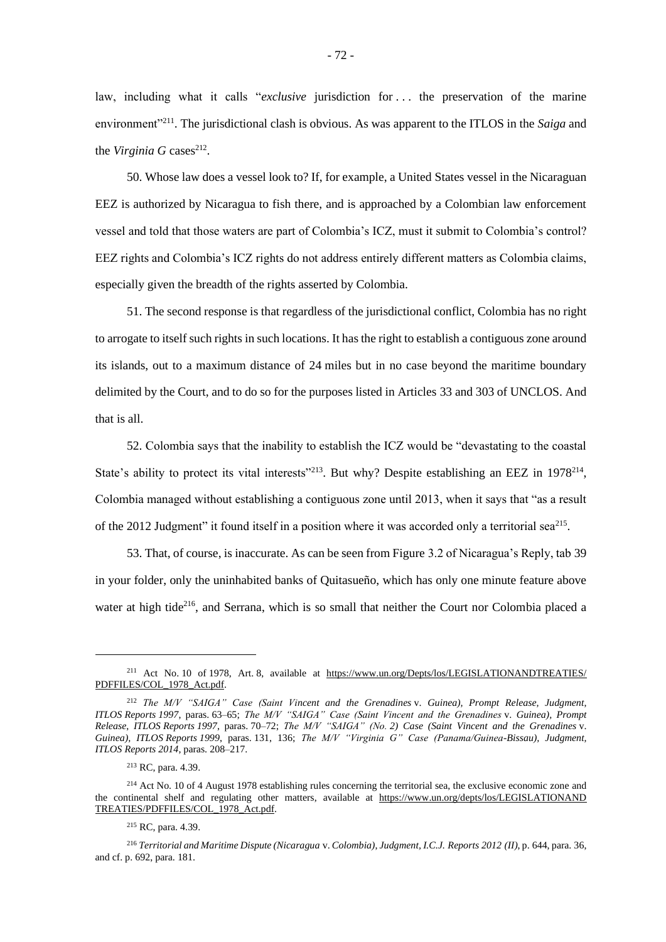law, including what it calls "*exclusive* jurisdiction for . . . the preservation of the marine environment"<sup>211</sup>. The jurisdictional clash is obvious. As was apparent to the ITLOS in the *Saiga* and the *Virginia G* cases<sup>212</sup>.

50. Whose law does a vessel look to? If, for example, a United States vessel in the Nicaraguan EEZ is authorized by Nicaragua to fish there, and is approached by a Colombian law enforcement vessel and told that those waters are part of Colombia's ICZ, must it submit to Colombia's control? EEZ rights and Colombia's ICZ rights do not address entirely different matters as Colombia claims, especially given the breadth of the rights asserted by Colombia.

51. The second response is that regardless of the jurisdictional conflict, Colombia has no right to arrogate to itself such rights in such locations. It has the right to establish a contiguous zone around its islands, out to a maximum distance of 24 miles but in no case beyond the maritime boundary delimited by the Court, and to do so for the purposes listed in Articles 33 and 303 of UNCLOS. And that is all.

52. Colombia says that the inability to establish the ICZ would be "devastating to the coastal State's ability to protect its vital interests"<sup>213</sup>. But why? Despite establishing an EEZ in 1978<sup>214</sup>, Colombia managed without establishing a contiguous zone until 2013, when it says that "as a result of the 2012 Judgment" it found itself in a position where it was accorded only a territorial sea<sup>215</sup>.

53. That, of course, is inaccurate. As can be seen from Figure 3.2 of Nicaragua's Reply, tab 39 in your folder, only the uninhabited banks of Quitasueño, which has only one minute feature above water at high tide<sup>216</sup>, and Serrana, which is so small that neither the Court nor Colombia placed a

<sup>211</sup> Act No. 10 of 1978, Art. 8, available at https://www.un.org/Depts/los/LEGISLATIONANDTREATIES/ PDFFILES/COL\_1978\_Act.pdf.

<sup>212</sup> *The M/V "SAIGA" Case (Saint Vincent and the Grenadines* v. *Guinea), Prompt Release, Judgment*, *ITLOS Reports 1997*, paras. 63–65; *The M/V "SAIGA" Case (Saint Vincent and the Grenadines* v. *Guinea), Prompt Release*, *ITLOS Reports 1997*, paras. 70–72; *The M/V "SAIGA" (No. 2) Case (Saint Vincent and the Grenadines* v. *Guinea), ITLOS Reports 1999*, paras. 131, 136; *The M/V "Virginia G" Case (Panama/Guinea-Bissau), Judgment, ITLOS Reports 2014*, paras. 208–217.

<sup>213</sup> RC, para. 4.39.

<sup>&</sup>lt;sup>214</sup> Act No. 10 of 4 August 1978 establishing rules concerning the territorial sea, the exclusive economic zone and the continental shelf and regulating other matters, available at https://www.un.org/depts/los/LEGISLATIONAND TREATIES/PDFFILES/COL\_1978\_Act.pdf.

<sup>215</sup> RC, para. 4.39.

<sup>216</sup> *Territorial and Maritime Dispute (Nicaragua* v. *Colombia)*, *Judgment, I.C.J. Reports 2012 (II)*, p. 644, para. 36, and cf. p. 692, para. 181.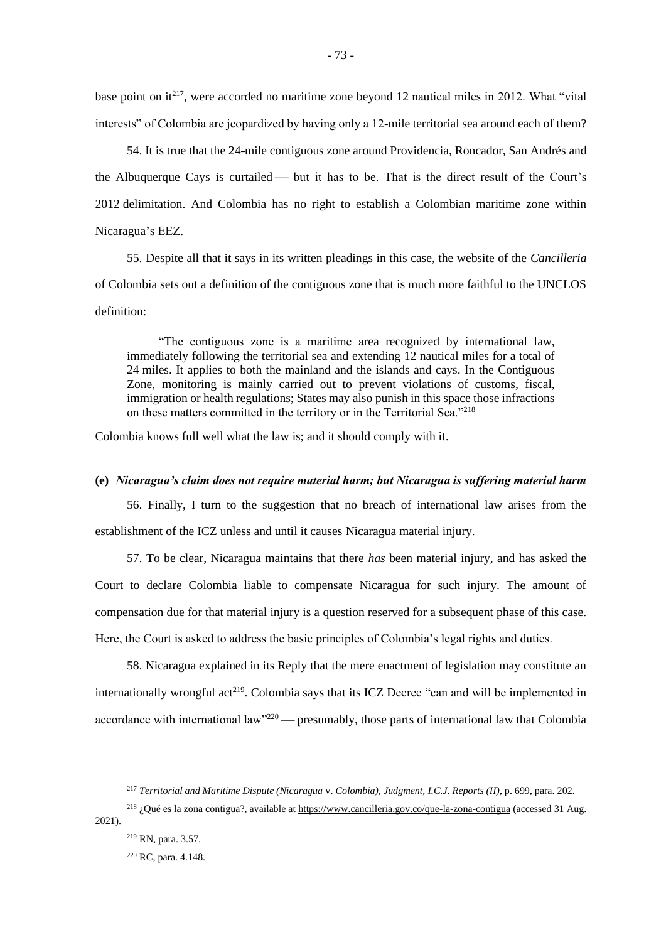base point on  $it^{217}$ , were accorded no maritime zone beyond 12 nautical miles in 2012. What "vital" interests" of Colombia are jeopardized by having only a 12-mile territorial sea around each of them?

54. It is true that the 24-mile contiguous zone around Providencia, Roncador, San Andrés and the Albuquerque Cays is curtailed — but it has to be. That is the direct result of the Court's 2012 delimitation. And Colombia has no right to establish a Colombian maritime zone within Nicaragua's EEZ.

55. Despite all that it says in its written pleadings in this case, the website of the *Cancilleria* of Colombia sets out a definition of the contiguous zone that is much more faithful to the UNCLOS definition:

"The contiguous zone is a maritime area recognized by international law, immediately following the territorial sea and extending 12 nautical miles for a total of 24 miles. It applies to both the mainland and the islands and cays. In the Contiguous Zone, monitoring is mainly carried out to prevent violations of customs, fiscal, immigration or health regulations; States may also punish in this space those infractions on these matters committed in the territory or in the Territorial Sea."<sup>218</sup>

Colombia knows full well what the law is; and it should comply with it.

## **(e)** *Nicaragua's claim does not require material harm; but Nicaragua is suffering material harm*

56. Finally, I turn to the suggestion that no breach of international law arises from the establishment of the ICZ unless and until it causes Nicaragua material injury.

57. To be clear, Nicaragua maintains that there *has* been material injury, and has asked the Court to declare Colombia liable to compensate Nicaragua for such injury. The amount of compensation due for that material injury is a question reserved for a subsequent phase of this case. Here, the Court is asked to address the basic principles of Colombia's legal rights and duties.

58. Nicaragua explained in its Reply that the mere enactment of legislation may constitute an internationally wrongful act<sup>219</sup>. Colombia says that its ICZ Decree "can and will be implemented in accordance with international law"<sup>220</sup> — presumably, those parts of international law that Colombia

<sup>217</sup> *Territorial and Maritime Dispute (Nicaragua* v. *Colombia), Judgment, I.C.J. Reports (II)*, p. 699, para. 202.

 $^{218}$  ¿Qué es la zona contigua?, available at https://www.cancilleria.gov.co/que-la-zona-contigua (accessed 31 Aug. 2021).

<sup>219</sup> RN, para. 3.57.

<sup>220</sup> RC, para. 4.148.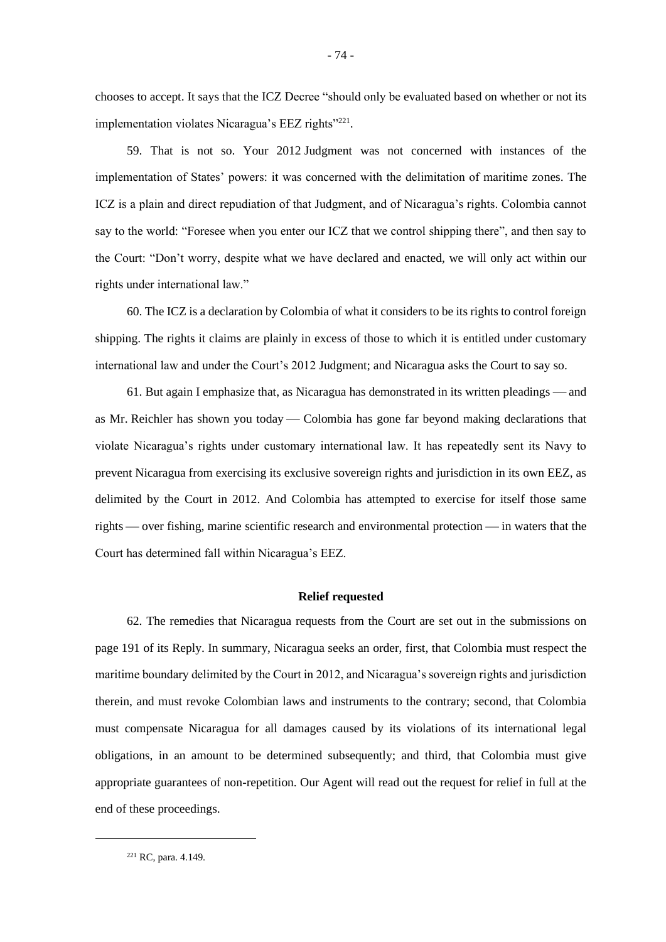chooses to accept. It says that the ICZ Decree "should only be evaluated based on whether or not its implementation violates Nicaragua's EEZ rights"<sup>221</sup>.

59. That is not so. Your 2012 Judgment was not concerned with instances of the implementation of States' powers: it was concerned with the delimitation of maritime zones. The ICZ is a plain and direct repudiation of that Judgment, and of Nicaragua's rights. Colombia cannot say to the world: "Foresee when you enter our ICZ that we control shipping there", and then say to the Court: "Don't worry, despite what we have declared and enacted, we will only act within our rights under international law."

60. The ICZ is a declaration by Colombia of what it considers to be its rights to control foreign shipping. The rights it claims are plainly in excess of those to which it is entitled under customary international law and under the Court's 2012 Judgment; and Nicaragua asks the Court to say so.

61. But again I emphasize that, as Nicaragua has demonstrated in its written pleadings  $-$  and as Mr. Reichler has shown you today — Colombia has gone far beyond making declarations that violate Nicaragua's rights under customary international law. It has repeatedly sent its Navy to prevent Nicaragua from exercising its exclusive sovereign rights and jurisdiction in its own EEZ, as delimited by the Court in 2012. And Colombia has attempted to exercise for itself those same rights — over fishing, marine scientific research and environmental protection — in waters that the Court has determined fall within Nicaragua's EEZ.

## **Relief requested**

62. The remedies that Nicaragua requests from the Court are set out in the submissions on page 191 of its Reply. In summary, Nicaragua seeks an order, first, that Colombia must respect the maritime boundary delimited by the Court in 2012, and Nicaragua's sovereign rights and jurisdiction therein, and must revoke Colombian laws and instruments to the contrary; second, that Colombia must compensate Nicaragua for all damages caused by its violations of its international legal obligations, in an amount to be determined subsequently; and third, that Colombia must give appropriate guarantees of non-repetition. Our Agent will read out the request for relief in full at the end of these proceedings.

<sup>221</sup> RC, para. 4.149.